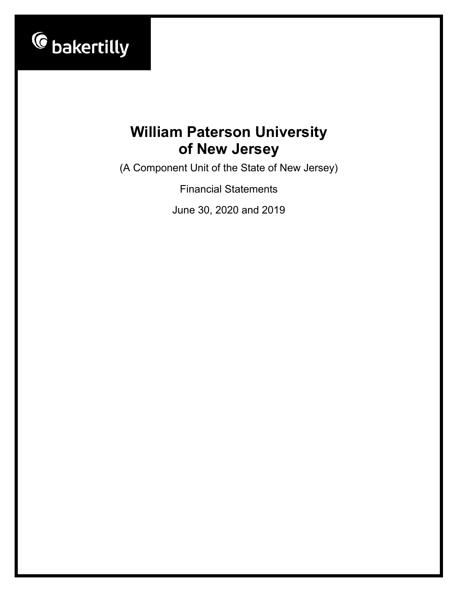

(A Component Unit of the State of New Jersey)

Financial Statements

June 30, 2020 and 2019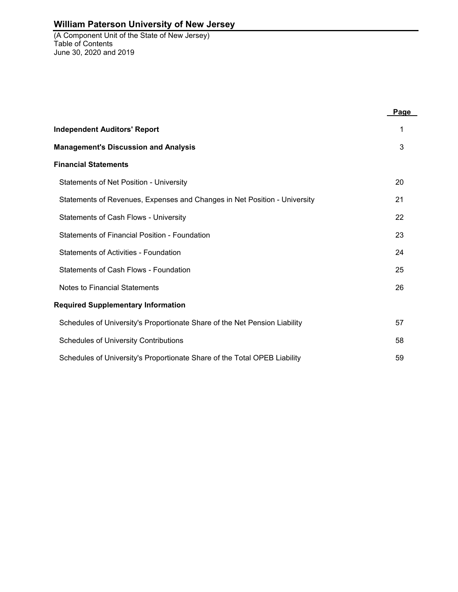(A Component Unit of the State of New Jersey) Table of Contents June 30, 2020 and 2019

|                                                                            | Page |
|----------------------------------------------------------------------------|------|
| <b>Independent Auditors' Report</b>                                        | 1    |
| <b>Management's Discussion and Analysis</b>                                | 3    |
| <b>Financial Statements</b>                                                |      |
| Statements of Net Position - University                                    | 20   |
| Statements of Revenues, Expenses and Changes in Net Position - University  | 21   |
| Statements of Cash Flows - University                                      | 22   |
| Statements of Financial Position - Foundation                              | 23   |
| Statements of Activities - Foundation                                      | 24   |
| <b>Statements of Cash Flows - Foundation</b>                               | 25   |
| <b>Notes to Financial Statements</b>                                       | 26   |
| <b>Required Supplementary Information</b>                                  |      |
| Schedules of University's Proportionate Share of the Net Pension Liability | 57   |
| <b>Schedules of University Contributions</b>                               | 58   |
| Schedules of University's Proportionate Share of the Total OPEB Liability  | 59   |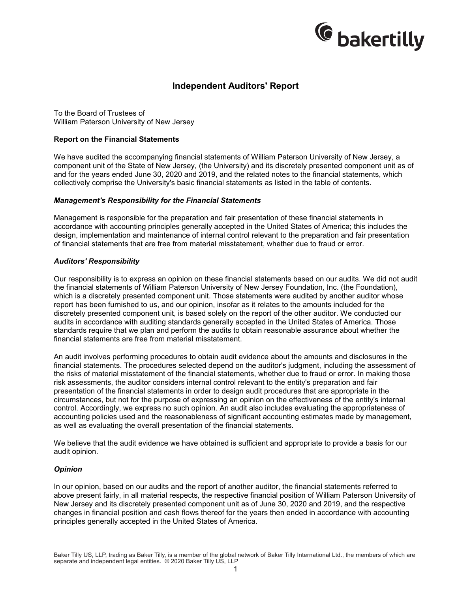

### **Independent Auditors' Report**

To the Board of Trustees of William Paterson University of New Jersey

#### **Report on the Financial Statements**

We have audited the accompanying financial statements of William Paterson University of New Jersey, a component unit of the State of New Jersey, (the University) and its discretely presented component unit as of and for the years ended June 30, 2020 and 2019, and the related notes to the financial statements, which collectively comprise the University's basic financial statements as listed in the table of contents.

#### *Management's Responsibility for the Financial Statements*

Management is responsible for the preparation and fair presentation of these financial statements in accordance with accounting principles generally accepted in the United States of America; this includes the design, implementation and maintenance of internal control relevant to the preparation and fair presentation of financial statements that are free from material misstatement, whether due to fraud or error.

#### *Auditors' Responsibility*

Our responsibility is to express an opinion on these financial statements based on our audits. We did not audit the financial statements of William Paterson University of New Jersey Foundation, Inc. (the Foundation), which is a discretely presented component unit. Those statements were audited by another auditor whose report has been furnished to us, and our opinion, insofar as it relates to the amounts included for the discretely presented component unit, is based solely on the report of the other auditor. We conducted our audits in accordance with auditing standards generally accepted in the United States of America. Those standards require that we plan and perform the audits to obtain reasonable assurance about whether the financial statements are free from material misstatement.

An audit involves performing procedures to obtain audit evidence about the amounts and disclosures in the financial statements. The procedures selected depend on the auditor's judgment, including the assessment of the risks of material misstatement of the financial statements, whether due to fraud or error. In making those risk assessments, the auditor considers internal control relevant to the entity's preparation and fair presentation of the financial statements in order to design audit procedures that are appropriate in the circumstances, but not for the purpose of expressing an opinion on the effectiveness of the entity's internal control. Accordingly, we express no such opinion. An audit also includes evaluating the appropriateness of accounting policies used and the reasonableness of significant accounting estimates made by management, as well as evaluating the overall presentation of the financial statements.

We believe that the audit evidence we have obtained is sufficient and appropriate to provide a basis for our audit opinion.

#### *Opinion*

In our opinion, based on our audits and the report of another auditor, the financial statements referred to above present fairly, in all material respects, the respective financial position of William Paterson University of New Jersey and its discretely presented component unit as of June 30, 2020 and 2019, and the respective changes in financial position and cash flows thereof for the years then ended in accordance with accounting principles generally accepted in the United States of America.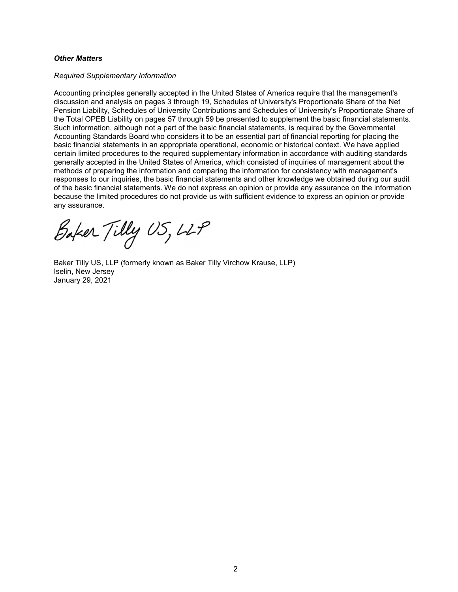### *Other Matters*

### *Required Supplementary Information*

Accounting principles generally accepted in the United States of America require that the management's discussion and analysis on pages 3 through 19, Schedules of University's Proportionate Share of the Net Pension Liability, Schedules of University Contributions and Schedules of University's Proportionate Share of the Total OPEB Liability on pages 57 through 59 be presented to supplement the basic financial statements. Such information, although not a part of the basic financial statements, is required by the Governmental Accounting Standards Board who considers it to be an essential part of financial reporting for placing the basic financial statements in an appropriate operational, economic or historical context. We have applied certain limited procedures to the required supplementary information in accordance with auditing standards generally accepted in the United States of America, which consisted of inquiries of management about the methods of preparing the information and comparing the information for consistency with management's responses to our inquiries, the basic financial statements and other knowledge we obtained during our audit of the basic financial statements. We do not express an opinion or provide any assurance on the information because the limited procedures do not provide us with sufficient evidence to express an opinion or provide any assurance.

Baker Tilly US, LLP

Baker Tilly US, LLP (formerly known as Baker Tilly Virchow Krause, LLP) Iselin, New Jersey January 29, 2021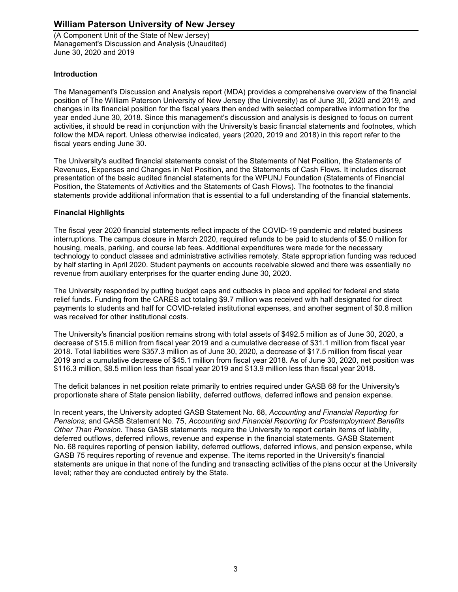(A Component Unit of the State of New Jersey) Management's Discussion and Analysis (Unaudited) June 30, 2020 and 2019

### **Introduction**

The Management's Discussion and Analysis report (MDA) provides a comprehensive overview of the financial position of The William Paterson University of New Jersey (the University) as of June 30, 2020 and 2019, and changes in its financial position for the fiscal years then ended with selected comparative information for the year ended June 30, 2018. Since this management's discussion and analysis is designed to focus on current activities, it should be read in conjunction with the University's basic financial statements and footnotes, which follow the MDA report. Unless otherwise indicated, years (2020, 2019 and 2018) in this report refer to the fiscal years ending June 30.

The University's audited financial statements consist of the Statements of Net Position, the Statements of Revenues, Expenses and Changes in Net Position, and the Statements of Cash Flows. It includes discreet presentation of the basic audited financial statements for the WPUNJ Foundation (Statements of Financial Position, the Statements of Activities and the Statements of Cash Flows). The footnotes to the financial statements provide additional information that is essential to a full understanding of the financial statements.

### **Financial Highlights**

The fiscal year 2020 financial statements reflect impacts of the COVID-19 pandemic and related business interruptions. The campus closure in March 2020, required refunds to be paid to students of \$5.0 million for housing, meals, parking, and course lab fees. Additional expenditures were made for the necessary technology to conduct classes and administrative activities remotely. State appropriation funding was reduced by half starting in April 2020. Student payments on accounts receivable slowed and there was essentially no revenue from auxiliary enterprises for the quarter ending June 30, 2020.

The University responded by putting budget caps and cutbacks in place and applied for federal and state relief funds. Funding from the CARES act totaling \$9.7 million was received with half designated for direct payments to students and half for COVID-related institutional expenses, and another segment of \$0.8 million was received for other institutional costs.

The University's financial position remains strong with total assets of \$492.5 million as of June 30, 2020, a decrease of \$15.6 million from fiscal year 2019 and a cumulative decrease of \$31.1 million from fiscal year 2018. Total liabilities were \$357.3 million as of June 30, 2020, a decrease of \$17.5 million from fiscal year 2019 and a cumulative decrease of \$45.1 million from fiscal year 2018. As of June 30, 2020, net position was \$116.3 million, \$8.5 million less than fiscal year 2019 and \$13.9 million less than fiscal year 2018.

The deficit balances in net position relate primarily to entries required under GASB 68 for the University's proportionate share of State pension liability, deferred outflows, deferred inflows and pension expense.

In recent years, the University adopted GASB Statement No. 68, *Accounting and Financial Reporting for Pensions;* and GASB Statement No. 75, *Accounting and Financial Reporting for Postemployment Benefits Other Than Pension.* These GASB statements require the University to report certain items of liability, deferred outflows, deferred inflows, revenue and expense in the financial statements. GASB Statement No. 68 requires reporting of pension liability, deferred outflows, deferred inflows, and pension expense, while GASB 75 requires reporting of revenue and expense. The items reported in the University's financial statements are unique in that none of the funding and transacting activities of the plans occur at the University level; rather they are conducted entirely by the State.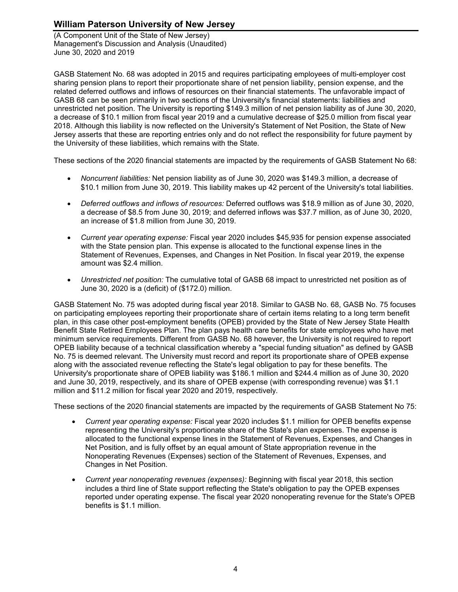(A Component Unit of the State of New Jersey) Management's Discussion and Analysis (Unaudited) June 30, 2020 and 2019

GASB Statement No. 68 was adopted in 2015 and requires participating employees of multi-employer cost sharing pension plans to report their proportionate share of net pension liability, pension expense, and the related deferred outflows and inflows of resources on their financial statements. The unfavorable impact of GASB 68 can be seen primarily in two sections of the University's financial statements: liabilities and unrestricted net position. The University is reporting \$149.3 million of net pension liability as of June 30, 2020, a decrease of \$10.1 million from fiscal year 2019 and a cumulative decrease of \$25.0 million from fiscal year 2018. Although this liability is now reflected on the University's Statement of Net Position, the State of New Jersey asserts that these are reporting entries only and do not reflect the responsibility for future payment by the University of these liabilities, which remains with the State.

These sections of the 2020 financial statements are impacted by the requirements of GASB Statement No 68:

- *Noncurrent liabilities:* Net pension liability as of June 30, 2020 was \$149.3 million, a decrease of \$10.1 million from June 30, 2019. This liability makes up 42 percent of the University's total liabilities.
- *Deferred outflows and inflows of resources:* Deferred outflows was \$18.9 million as of June 30, 2020, a decrease of \$8.5 from June 30, 2019; and deferred inflows was \$37.7 million, as of June 30, 2020, an increase of \$1.8 million from June 30, 2019.
- *Current year operating expense:* Fiscal year 2020 includes \$45,935 for pension expense associated with the State pension plan. This expense is allocated to the functional expense lines in the Statement of Revenues, Expenses, and Changes in Net Position. In fiscal year 2019, the expense amount was \$2.4 million.
- *Unrestricted net position:* The cumulative total of GASB 68 impact to unrestricted net position as of June 30, 2020 is a (deficit) of (\$172.0) million*.*

GASB Statement No. 75 was adopted during fiscal year 2018. Similar to GASB No. 68, GASB No. 75 focuses on participating employees reporting their proportionate share of certain items relating to a long term benefit plan, in this case other post-employment benefits (OPEB) provided by the State of New Jersey State Health Benefit State Retired Employees Plan. The plan pays health care benefits for state employees who have met minimum service requirements. Different from GASB No. 68 however, the University is not required to report OPEB liability because of a technical classification whereby a "special funding situation" as defined by GASB No. 75 is deemed relevant. The University must record and report its proportionate share of OPEB expense along with the associated revenue reflecting the State's legal obligation to pay for these benefits. The University's proportionate share of OPEB liability was \$186.1 million and \$244.4 million as of June 30, 2020 and June 30, 2019, respectively, and its share of OPEB expense (with corresponding revenue) was \$1.1 million and \$11.2 million for fiscal year 2020 and 2019, respectively.

These sections of the 2020 financial statements are impacted by the requirements of GASB Statement No 75:

- *Current year operating expense:* Fiscal year 2020 includes \$1.1 million for OPEB benefits expense representing the University's proportionate share of the State's plan expenses. The expense is allocated to the functional expense lines in the Statement of Revenues, Expenses, and Changes in Net Position, and is fully offset by an equal amount of State appropriation revenue in the Nonoperating Revenues (Expenses) section of the Statement of Revenues, Expenses, and Changes in Net Position.
- *Current year nonoperating revenues (expenses):* Beginning with fiscal year 2018, this section includes a third line of State support reflecting the State's obligation to pay the OPEB expenses reported under operating expense. The fiscal year 2020 nonoperating revenue for the State's OPEB benefits is \$1.1 million.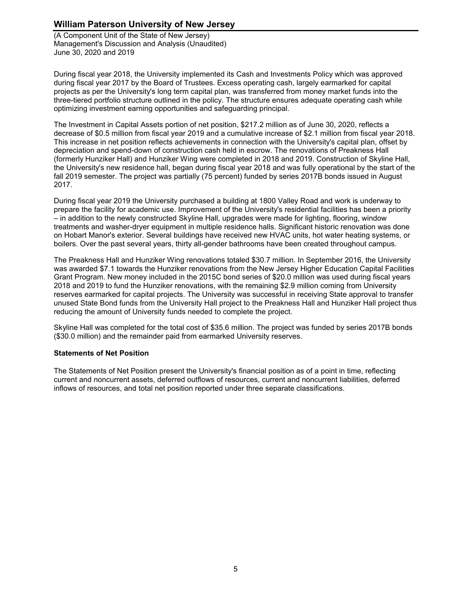(A Component Unit of the State of New Jersey) Management's Discussion and Analysis (Unaudited) June 30, 2020 and 2019

During fiscal year 2018, the University implemented its Cash and Investments Policy which was approved during fiscal year 2017 by the Board of Trustees. Excess operating cash, largely earmarked for capital projects as per the University's long term capital plan, was transferred from money market funds into the three-tiered portfolio structure outlined in the policy. The structure ensures adequate operating cash while optimizing investment earning opportunities and safeguarding principal.

The Investment in Capital Assets portion of net position, \$217.2 million as of June 30, 2020, reflects a decrease of \$0.5 million from fiscal year 2019 and a cumulative increase of \$2.1 million from fiscal year 2018. This increase in net position reflects achievements in connection with the University's capital plan, offset by depreciation and spend-down of construction cash held in escrow. The renovations of Preakness Hall (formerly Hunziker Hall) and Hunziker Wing were completed in 2018 and 2019. Construction of Skyline Hall, the University's new residence hall, began during fiscal year 2018 and was fully operational by the start of the fall 2019 semester. The project was partially (75 percent) funded by series 2017B bonds issued in August 2017.

During fiscal year 2019 the University purchased a building at 1800 Valley Road and work is underway to prepare the facility for academic use. Improvement of the University's residential facilities has been a priority – in addition to the newly constructed Skyline Hall, upgrades were made for lighting, flooring, window treatments and washer-dryer equipment in multiple residence halls. Significant historic renovation was done on Hobart Manor's exterior. Several buildings have received new HVAC units, hot water heating systems, or boilers. Over the past several years, thirty all-gender bathrooms have been created throughout campus.

The Preakness Hall and Hunziker Wing renovations totaled \$30.7 million. In September 2016, the University was awarded \$7.1 towards the Hunziker renovations from the New Jersey Higher Education Capital Facilities Grant Program. New money included in the 2015C bond series of \$20.0 million was used during fiscal years 2018 and 2019 to fund the Hunziker renovations, with the remaining \$2.9 million coming from University reserves earmarked for capital projects. The University was successful in receiving State approval to transfer unused State Bond funds from the University Hall project to the Preakness Hall and Hunziker Hall project thus reducing the amount of University funds needed to complete the project.

Skyline Hall was completed for the total cost of \$35.6 million. The project was funded by series 2017B bonds (\$30.0 million) and the remainder paid from earmarked University reserves.

### **Statements of Net Position**

The Statements of Net Position present the University's financial position as of a point in time, reflecting current and noncurrent assets, deferred outflows of resources, current and noncurrent liabilities, deferred inflows of resources, and total net position reported under three separate classifications.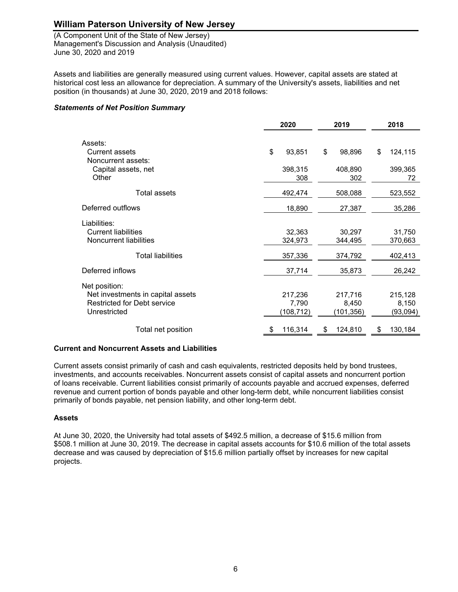(A Component Unit of the State of New Jersey) Management's Discussion and Analysis (Unaudited) June 30, 2020 and 2019

Assets and liabilities are generally measured using current values. However, capital assets are stated at historical cost less an allowance for depreciation. A summary of the University's assets, liabilities and net position (in thousands) at June 30, 2020, 2019 and 2018 follows:

### *Statements of Net Position Summary*

|                                    | 2020          | 2019         | 2018         |
|------------------------------------|---------------|--------------|--------------|
| Assets:<br>Current assets          | \$            | \$           | \$           |
| Noncurrent assets:                 | 93,851        | 98,896       | 124,115      |
| Capital assets, net                | 398,315       | 408,890      | 399,365      |
| Other                              | 308           | 302          | 72           |
| Total assets                       | 492,474       | 508,088      | 523,552      |
| Deferred outflows                  | 18,890        | 27,387       | 35,286       |
| Liabilities:                       |               |              |              |
| <b>Current liabilities</b>         | 32,363        | 30,297       | 31,750       |
| Noncurrent liabilities             | 324,973       | 344,495      | 370,663      |
| <b>Total liabilities</b>           | 357,336       | 374,792      | 402,413      |
| Deferred inflows                   | 37,714        | 35,873       | 26,242       |
| Net position:                      |               |              |              |
| Net investments in capital assets  | 217,236       | 217,716      | 215,128      |
| <b>Restricted for Debt service</b> | 7,790         | 8,450        | 8,150        |
| Unrestricted                       | (108, 712)    | (101,356)    | (93, 094)    |
| Total net position                 | 116,314<br>æ. | 124,810<br>S | 130,184<br>S |
|                                    |               |              |              |

#### **Current and Noncurrent Assets and Liabilities**

Current assets consist primarily of cash and cash equivalents, restricted deposits held by bond trustees, investments, and accounts receivables. Noncurrent assets consist of capital assets and noncurrent portion of loans receivable. Current liabilities consist primarily of accounts payable and accrued expenses, deferred revenue and current portion of bonds payable and other long-term debt, while noncurrent liabilities consist primarily of bonds payable, net pension liability, and other long-term debt.

### **Assets**

At June 30, 2020, the University had total assets of \$492.5 million, a decrease of \$15.6 million from \$508.1 million at June 30, 2019. The decrease in capital assets accounts for \$10.6 million of the total assets decrease and was caused by depreciation of \$15.6 million partially offset by increases for new capital projects.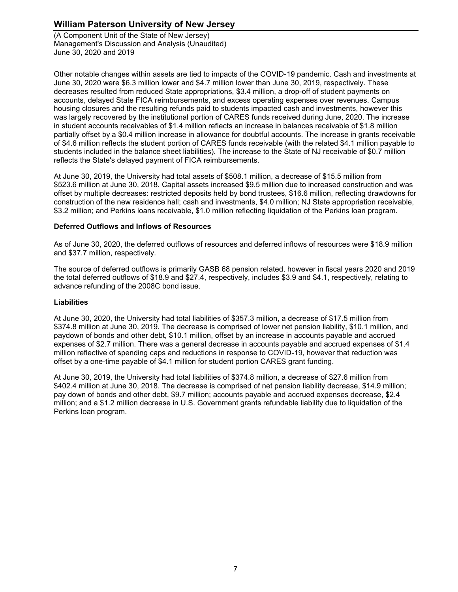(A Component Unit of the State of New Jersey) Management's Discussion and Analysis (Unaudited) June 30, 2020 and 2019

Other notable changes within assets are tied to impacts of the COVID-19 pandemic. Cash and investments at June 30, 2020 were \$6.3 million lower and \$4.7 million lower than June 30, 2019, respectively. These decreases resulted from reduced State appropriations, \$3.4 million, a drop-off of student payments on accounts, delayed State FICA reimbursements, and excess operating expenses over revenues. Campus housing closures and the resulting refunds paid to students impacted cash and investments, however this was largely recovered by the institutional portion of CARES funds received during June, 2020. The increase in student accounts receivables of \$1.4 million reflects an increase in balances receivable of \$1.8 million partially offset by a \$0.4 million increase in allowance for doubtful accounts. The increase in grants receivable of \$4.6 million reflects the student portion of CARES funds receivable (with the related \$4.1 million payable to students included in the balance sheet liabilities). The increase to the State of NJ receivable of \$0.7 million reflects the State's delayed payment of FICA reimbursements.

At June 30, 2019, the University had total assets of \$508.1 million, a decrease of \$15.5 million from \$523.6 million at June 30, 2018. Capital assets increased \$9.5 million due to increased construction and was offset by multiple decreases: restricted deposits held by bond trustees, \$16.6 million, reflecting drawdowns for construction of the new residence hall; cash and investments, \$4.0 million; NJ State appropriation receivable, \$3.2 million; and Perkins loans receivable, \$1.0 million reflecting liquidation of the Perkins loan program.

### **Deferred Outflows and Inflows of Resources**

As of June 30, 2020, the deferred outflows of resources and deferred inflows of resources were \$18.9 million and \$37.7 million, respectively.

The source of deferred outflows is primarily GASB 68 pension related, however in fiscal years 2020 and 2019 the total deferred outflows of \$18.9 and \$27.4, respectively, includes \$3.9 and \$4.1, respectively, relating to advance refunding of the 2008C bond issue.

### **Liabilities**

At June 30, 2020, the University had total liabilities of \$357.3 million, a decrease of \$17.5 million from \$374.8 million at June 30, 2019. The decrease is comprised of lower net pension liability, \$10.1 million, and paydown of bonds and other debt, \$10.1 million, offset by an increase in accounts payable and accrued expenses of \$2.7 million. There was a general decrease in accounts payable and accrued expenses of \$1.4 million reflective of spending caps and reductions in response to COVID-19, however that reduction was offset by a one-time payable of \$4.1 million for student portion CARES grant funding.

At June 30, 2019, the University had total liabilities of \$374.8 million, a decrease of \$27.6 million from \$402.4 million at June 30, 2018. The decrease is comprised of net pension liability decrease, \$14.9 million; pay down of bonds and other debt, \$9.7 million; accounts payable and accrued expenses decrease, \$2.4 million; and a \$1.2 million decrease in U.S. Government grants refundable liability due to liquidation of the Perkins loan program.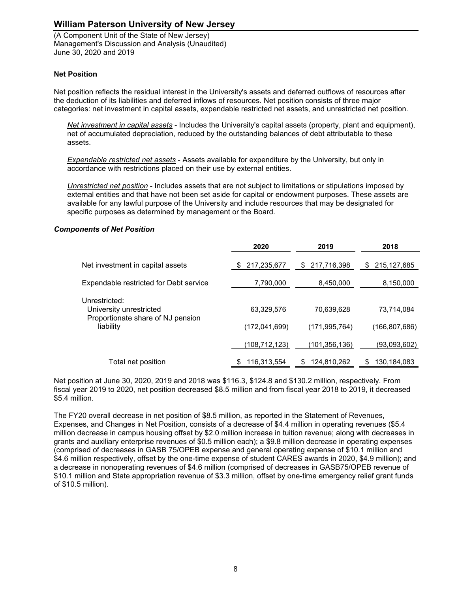(A Component Unit of the State of New Jersey) Management's Discussion and Analysis (Unaudited) June 30, 2020 and 2019

### **Net Position**

Net position reflects the residual interest in the University's assets and deferred outflows of resources after the deduction of its liabilities and deferred inflows of resources. Net position consists of three major categories: net investment in capital assets, expendable restricted net assets, and unrestricted net position.

*Net investment in capital assets* - Includes the University's capital assets (property, plant and equipment), net of accumulated depreciation, reduced by the outstanding balances of debt attributable to these assets.

*Expendable restricted net assets* - Assets available for expenditure by the University, but only in accordance with restrictions placed on their use by external entities.

*Unrestricted net position* - Includes assets that are not subject to limitations or stipulations imposed by external entities and that have not been set aside for capital or endowment purposes. These assets are available for any lawful purpose of the University and include resources that may be designated for specific purposes as determined by management or the Board.

#### *Components of Net Position*

|                                                | 2020             | 2019             | 2018                |
|------------------------------------------------|------------------|------------------|---------------------|
| Net investment in capital assets               | 217,235,677<br>S | 217,716,398<br>S | 215, 127, 685<br>\$ |
| Expendable restricted for Debt service         | 7,790,000        | 8,450,000        | 8,150,000           |
| Unrestricted:<br>University unrestricted       | 63,329,576       | 70,639,628       | 73.714.084          |
| Proportionate share of NJ pension<br>liability | (172,041,699)    | (171,995,764)    | (166, 807, 686)     |
|                                                | (108,712,123)    | (101,356,136)    | (93,093,602)        |
| Total net position                             | 116.313.554<br>S | 124.810.262<br>S | 130.184.083<br>S    |

Net position at June 30, 2020, 2019 and 2018 was \$116.3, \$124.8 and \$130.2 million, respectively. From fiscal year 2019 to 2020, net position decreased \$8.5 million and from fiscal year 2018 to 2019, it decreased \$5.4 million.

The FY20 overall decrease in net position of \$8.5 million, as reported in the Statement of Revenues, Expenses, and Changes in Net Position, consists of a decrease of \$4.4 million in operating revenues (\$5.4 million decrease in campus housing offset by \$2.0 million increase in tuition revenue; along with decreases in grants and auxiliary enterprise revenues of \$0.5 million each); a \$9.8 million decrease in operating expenses (comprised of decreases in GASB 75/OPEB expense and general operating expense of \$10.1 million and \$4.6 million respectively, offset by the one-time expense of student CARES awards in 2020, \$4.9 million); and a decrease in nonoperating revenues of \$4.6 million (comprised of decreases in GASB75/OPEB revenue of \$10.1 million and State appropriation revenue of \$3.3 million, offset by one-time emergency relief grant funds of \$10.5 million).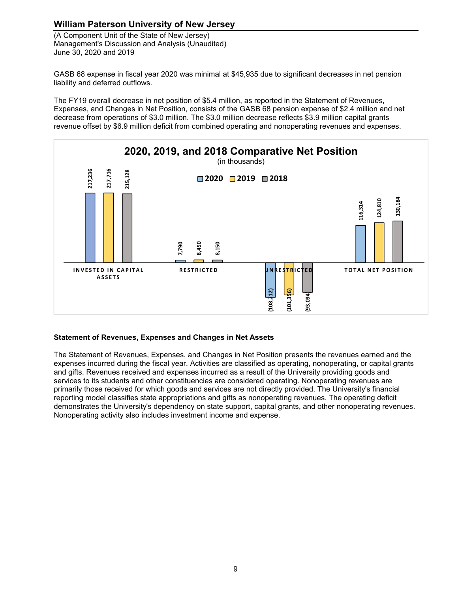(A Component Unit of the State of New Jersey) Management's Discussion and Analysis (Unaudited) June 30, 2020 and 2019

GASB 68 expense in fiscal year 2020 was minimal at \$45,935 due to significant decreases in net pension liability and deferred outflows.

The FY19 overall decrease in net position of \$5.4 million, as reported in the Statement of Revenues, Expenses, and Changes in Net Position, consists of the GASB 68 pension expense of \$2.4 million and net decrease from operations of \$3.0 million. The \$3.0 million decrease reflects \$3.9 million capital grants revenue offset by \$6.9 million deficit from combined operating and nonoperating revenues and expenses.



### **Statement of Revenues, Expenses and Changes in Net Assets**

The Statement of Revenues, Expenses, and Changes in Net Position presents the revenues earned and the expenses incurred during the fiscal year. Activities are classified as operating, nonoperating, or capital grants and gifts. Revenues received and expenses incurred as a result of the University providing goods and services to its students and other constituencies are considered operating. Nonoperating revenues are primarily those received for which goods and services are not directly provided. The University's financial reporting model classifies state appropriations and gifts as nonoperating revenues. The operating deficit demonstrates the University's dependency on state support, capital grants, and other nonoperating revenues. Nonoperating activity also includes investment income and expense.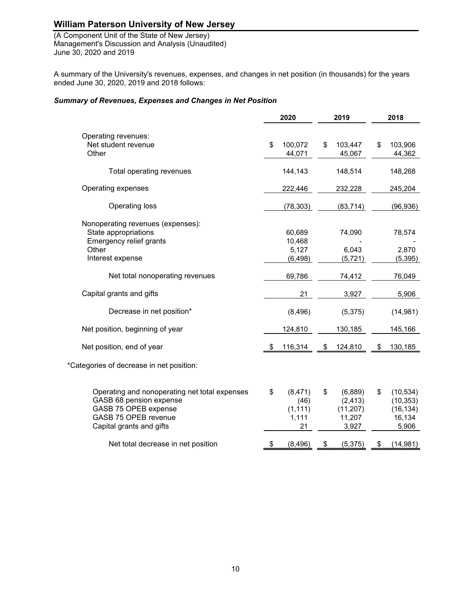(A Component Unit of the State of New Jersey) Management's Discussion and Analysis (Unaudited) June 30, 2020 and 2019

A summary of the University's revenues, expenses, and changes in net position (in thousands) for the years ended June 30, 2020, 2019 and 2018 follows:

### *Summary of Revenues, Expenses and Changes in Net Position*

|                                                                                                                                                      |    | 2020                                        | 2019                                                      | 2018 |                                                        |  |
|------------------------------------------------------------------------------------------------------------------------------------------------------|----|---------------------------------------------|-----------------------------------------------------------|------|--------------------------------------------------------|--|
| Operating revenues:<br>Net student revenue<br>Other                                                                                                  | \$ | 100,072<br>44,071                           | \$<br>103,447<br>45,067                                   | \$   | 103,906<br>44,362                                      |  |
| Total operating revenues                                                                                                                             |    | 144,143                                     | 148,514                                                   |      | 148,268                                                |  |
| Operating expenses                                                                                                                                   |    | 222,446                                     | 232,228                                                   |      | 245,204                                                |  |
| Operating loss                                                                                                                                       |    | (78, 303)                                   | (83, 714)                                                 |      | (96, 936)                                              |  |
| Nonoperating revenues (expenses):<br>State appropriations<br>Emergency relief grants<br>Other<br>Interest expense                                    |    | 60,689<br>10,468<br>5,127<br>(6, 498)       | 74,090<br>6,043<br>(5, 721)                               |      | 78,574<br>2,870<br>(5, 395)                            |  |
| Net total nonoperating revenues                                                                                                                      |    | 69,786                                      | 74,412                                                    |      | 76,049                                                 |  |
| Capital grants and gifts                                                                                                                             |    | 21                                          | 3,927                                                     |      | 5,906                                                  |  |
| Decrease in net position*                                                                                                                            |    | (8, 496)                                    | (5, 375)                                                  |      | (14, 981)                                              |  |
| Net position, beginning of year                                                                                                                      |    | 124,810                                     | 130,185                                                   |      | 145,166                                                |  |
| Net position, end of year                                                                                                                            | \$ | 116,314                                     | \$<br>124,810                                             | \$   | 130,185                                                |  |
| *Categories of decrease in net position:                                                                                                             |    |                                             |                                                           |      |                                                        |  |
| Operating and nonoperating net total expenses<br>GASB 68 pension expense<br>GASB 75 OPEB expense<br>GASB 75 OPEB revenue<br>Capital grants and gifts | \$ | (8, 471)<br>(46)<br>(1, 111)<br>1,111<br>21 | \$<br>(6,889)<br>(2, 413)<br>(11, 207)<br>11,207<br>3,927 | \$   | (10, 534)<br>(10, 353)<br>(16, 134)<br>16,134<br>5,906 |  |
| Net total decrease in net position                                                                                                                   | \$ | (8, 496)                                    | \$<br>(5, 375)                                            | \$   | (14, 981)                                              |  |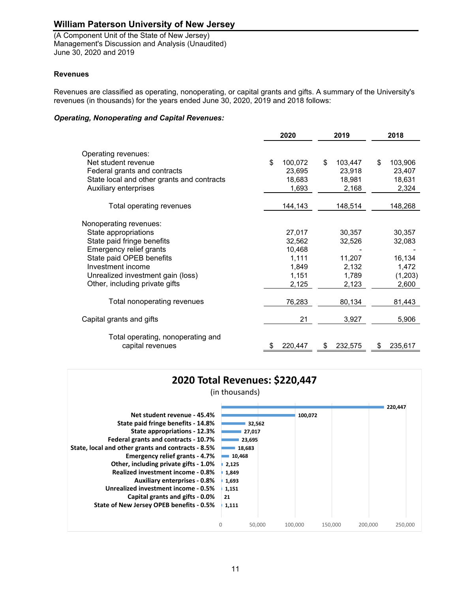(A Component Unit of the State of New Jersey) Management's Discussion and Analysis (Unaudited) June 30, 2020 and 2019

### **Revenues**

Revenues are classified as operating, nonoperating, or capital grants and gifts. A summary of the University's revenues (in thousands) for the years ended June 30, 2020, 2019 and 2018 follows:

### *Operating, Nonoperating and Capital Revenues:*

|                                                                                                                          | 2020                              | 2019                              | 2018                              |
|--------------------------------------------------------------------------------------------------------------------------|-----------------------------------|-----------------------------------|-----------------------------------|
| Operating revenues:<br>Net student revenue<br>Federal grants and contracts<br>State local and other grants and contracts | \$<br>100,072<br>23,695<br>18,683 | \$<br>103,447<br>23,918<br>18,981 | \$<br>103,906<br>23,407<br>18,631 |
| Auxiliary enterprises                                                                                                    | 1,693                             | 2,168                             | 2,324                             |
| Total operating revenues                                                                                                 | 144,143                           | 148,514                           | 148,268                           |
| Nonoperating revenues:                                                                                                   |                                   |                                   |                                   |
| State appropriations                                                                                                     | 27,017                            | 30,357                            | 30,357                            |
| State paid fringe benefits                                                                                               | 32,562                            | 32,526                            | 32,083                            |
| Emergency relief grants                                                                                                  | 10,468                            |                                   |                                   |
| State paid OPEB benefits                                                                                                 | 1,111                             | 11,207                            | 16,134                            |
| Investment income                                                                                                        | 1,849                             | 2,132                             | 1,472                             |
| Unrealized investment gain (loss)                                                                                        | 1,151                             | 1,789                             | (1, 203)                          |
| Other, including private gifts                                                                                           | 2,125                             | 2,123                             | 2,600                             |
| Total nonoperating revenues                                                                                              | 76,283                            | 80,134                            | 81,443                            |
| Capital grants and gifts                                                                                                 | 21                                | 3,927                             | 5,906                             |
| Total operating, nonoperating and                                                                                        |                                   |                                   |                                   |
| capital revenues                                                                                                         | 220,447<br>\$                     | 232,575<br>\$                     | 235,617<br>\$                     |

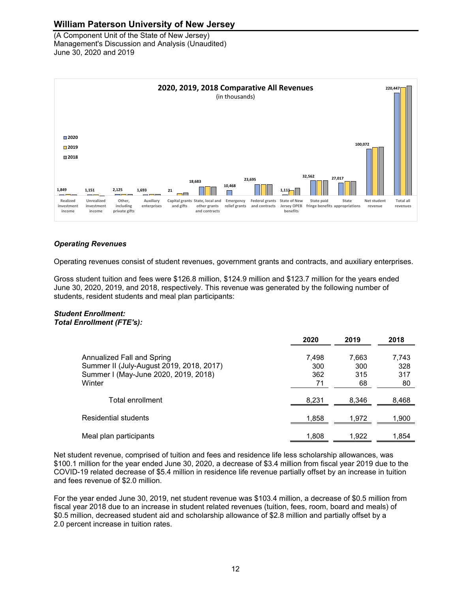(A Component Unit of the State of New Jersey) Management's Discussion and Analysis (Unaudited) June 30, 2020 and 2019



### *Operating Revenues*

Operating revenues consist of student revenues, government grants and contracts, and auxiliary enterprises.

Gross student tuition and fees were \$126.8 million, \$124.9 million and \$123.7 million for the years ended June 30, 2020, 2019, and 2018, respectively. This revenue was generated by the following number of students, resident students and meal plan participants:

#### *Student Enrollment: Total Enrollment (FTE's):*

|                                                                                                                          | 2020                      | 2019                      | 2018                      |
|--------------------------------------------------------------------------------------------------------------------------|---------------------------|---------------------------|---------------------------|
| Annualized Fall and Spring<br>Summer II (July-August 2019, 2018, 2017)<br>Summer I (May-June 2020, 2019, 2018)<br>Winter | 7,498<br>300<br>362<br>71 | 7,663<br>300<br>315<br>68 | 7,743<br>328<br>317<br>80 |
| Total enrollment                                                                                                         | 8,231                     | 8,346                     | 8,468                     |
| <b>Residential students</b>                                                                                              | 1,858                     | 1,972                     | 1,900                     |
| Meal plan participants                                                                                                   | 1,808                     | 1.922                     | 1,854                     |

Net student revenue, comprised of tuition and fees and residence life less scholarship allowances, was \$100.1 million for the year ended June 30, 2020, a decrease of \$3.4 million from fiscal year 2019 due to the COVID-19 related decrease of \$5.4 million in residence life revenue partially offset by an increase in tuition and fees revenue of \$2.0 million.

For the year ended June 30, 2019, net student revenue was \$103.4 million, a decrease of \$0.5 million from fiscal year 2018 due to an increase in student related revenues (tuition, fees, room, board and meals) of \$0.5 million, decreased student aid and scholarship allowance of \$2.8 million and partially offset by a 2.0 percent increase in tuition rates.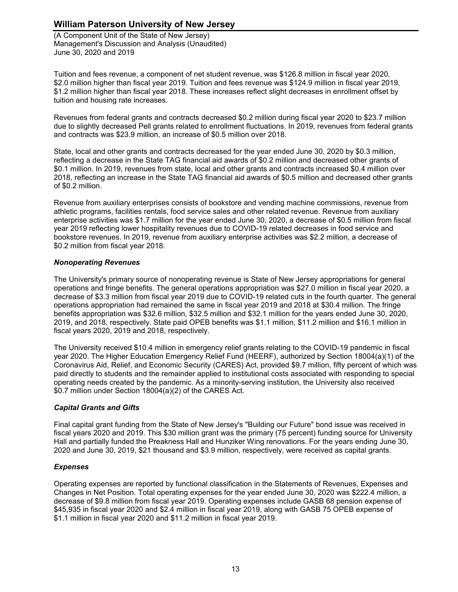(A Component Unit of the State of New Jersey) Management's Discussion and Analysis (Unaudited) June 30, 2020 and 2019

Tuition and fees revenue, a component of net student revenue, was \$126.8 million in fiscal year 2020, \$2.0 million higher than fiscal year 2019. Tuition and fees revenue was \$124.9 million in fiscal year 2019, \$1.2 million higher than fiscal year 2018. These increases reflect slight decreases in enrollment offset by tuition and housing rate increases.

Revenues from federal grants and contracts decreased \$0.2 million during fiscal year 2020 to \$23.7 million due to slightly decreased Pell grants related to enrollment fluctuations. In 2019, revenues from federal grants and contracts was \$23.9 million, an increase of \$0.5 million over 2018.

State, local and other grants and contracts decreased for the year ended June 30, 2020 by \$0.3 million, reflecting a decrease in the State TAG financial aid awards of \$0.2 million and decreased other grants of \$0.1 million. In 2019, revenues from state, local and other grants and contracts increased \$0.4 million over 2018, reflecting an increase in the State TAG financial aid awards of \$0.5 million and decreased other grants of \$0.2 million.

Revenue from auxiliary enterprises consists of bookstore and vending machine commissions, revenue from athletic programs, facilities rentals, food service sales and other related revenue. Revenue from auxiliary enterprise activities was \$1.7 million for the year ended June 30, 2020, a decrease of \$0.5 million from fiscal year 2019 reflecting lower hospitality revenues due to COVID-19 related decreases in food service and bookstore revenues. In 2019, revenue from auxiliary enterprise activities was \$2.2 million, a decrease of \$0.2 million from fiscal year 2018.

### *Nonoperating Revenues*

The University's primary source of nonoperating revenue is State of New Jersey appropriations for general operations and fringe benefits. The general operations appropriation was \$27.0 million in fiscal year 2020, a decrease of \$3.3 million from fiscal year 2019 due to COVID-19 related cuts in the fourth quarter. The general operations appropriation had remained the same in fiscal year 2019 and 2018 at \$30.4 million. The fringe benefits appropriation was \$32.6 million, \$32.5 million and \$32.1 million for the years ended June 30, 2020, 2019, and 2018, respectively. State paid OPEB benefits was \$1.1 million, \$11.2 million and \$16.1 million in fiscal years 2020, 2019 and 2018, respectively.

The University received \$10.4 million in emergency relief grants relating to the COVID-19 pandemic in fiscal year 2020. The Higher Education Emergency Relief Fund (HEERF), authorized by Section 18004(a)(1) of the Coronavirus Aid, Relief, and Economic Security (CARES) Act, provided \$9.7 million, fifty percent of which was paid directly to students and the remainder applied to institutional costs associated with responding to special operating needs created by the pandemic. As a minority-serving institution, the University also received \$0.7 million under Section 18004(a)(2) of the CARES Act.

### *Capital Grants and Gifts*

Final capital grant funding from the State of New Jersey's "Building our Future" bond issue was received in fiscal years 2020 and 2019. This \$30 million grant was the primary (75 percent) funding source for University Hall and partially funded the Preakness Hall and Hunziker Wing renovations. For the years ending June 30, 2020 and June 30, 2019, \$21 thousand and \$3.9 million, respectively, were received as capital grants.

### *Expenses*

Operating expenses are reported by functional classification in the Statements of Revenues, Expenses and Changes in Net Position. Total operating expenses for the year ended June 30, 2020 was \$222.4 million, a decrease of \$9.8 million from fiscal year 2019. Operating expenses include GASB 68 pension expense of \$45,935 in fiscal year 2020 and \$2.4 million in fiscal year 2019, along with GASB 75 OPEB expense of \$1.1 million in fiscal year 2020 and \$11.2 million in fiscal year 2019.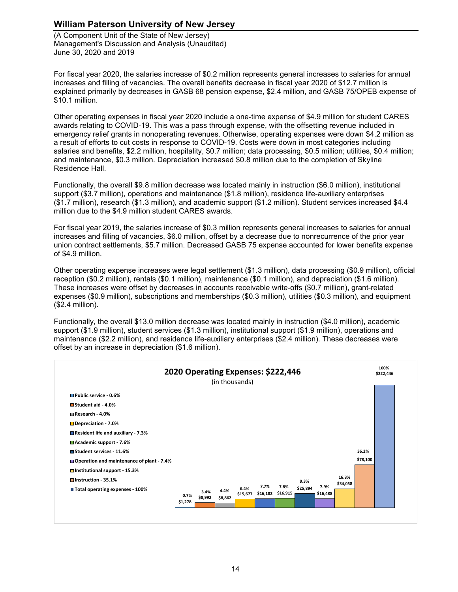(A Component Unit of the State of New Jersey) Management's Discussion and Analysis (Unaudited) June 30, 2020 and 2019

For fiscal year 2020, the salaries increase of \$0.2 million represents general increases to salaries for annual increases and filling of vacancies. The overall benefits decrease in fiscal year 2020 of \$12.7 million is explained primarily by decreases in GASB 68 pension expense, \$2.4 million, and GASB 75/OPEB expense of \$10.1 million.

Other operating expenses in fiscal year 2020 include a one-time expense of \$4.9 million for student CARES awards relating to COVID-19. This was a pass through expense, with the offsetting revenue included in emergency relief grants in nonoperating revenues. Otherwise, operating expenses were down \$4.2 million as a result of efforts to cut costs in response to COVID-19. Costs were down in most categories including salaries and benefits, \$2.2 million, hospitality, \$0.7 million; data processing, \$0.5 million; utilities, \$0.4 million; and maintenance, \$0.3 million. Depreciation increased \$0.8 million due to the completion of Skyline Residence Hall.

Functionally, the overall \$9.8 million decrease was located mainly in instruction (\$6.0 million), institutional support (\$3.7 million), operations and maintenance (\$1.8 million), residence life-auxiliary enterprises (\$1.7 million), research (\$1.3 million), and academic support (\$1.2 million). Student services increased \$4.4 million due to the \$4.9 million student CARES awards.

For fiscal year 2019, the salaries increase of \$0.3 million represents general increases to salaries for annual increases and filling of vacancies, \$6.0 million, offset by a decrease due to nonrecurrence of the prior year union contract settlements, \$5.7 million. Decreased GASB 75 expense accounted for lower benefits expense of \$4.9 million.

Other operating expense increases were legal settlement (\$1.3 million), data processing (\$0.9 million), official reception (\$0.2 million), rentals (\$0.1 million), maintenance (\$0.1 million), and depreciation (\$1.6 million). These increases were offset by decreases in accounts receivable write-offs (\$0.7 million), grant-related expenses (\$0.9 million), subscriptions and memberships (\$0.3 million), utilities (\$0.3 million), and equipment (\$2.4 million).

Functionally, the overall \$13.0 million decrease was located mainly in instruction (\$4.0 million), academic support (\$1.9 million), student services (\$1.3 million), institutional support (\$1.9 million), operations and maintenance (\$2.2 million), and residence life-auxiliary enterprises (\$2.4 million). These decreases were offset by an increase in depreciation (\$1.6 million).

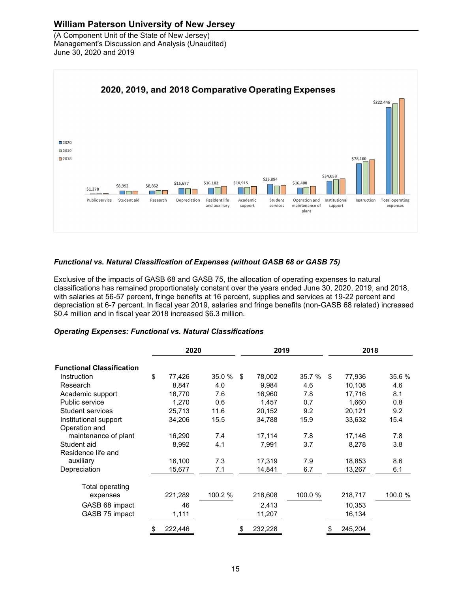(A Component Unit of the State of New Jersey) Management's Discussion and Analysis (Unaudited) June 30, 2020 and 2019



### *Functional vs. Natural Classification of Expenses (without GASB 68 or GASB 75)*

Exclusive of the impacts of GASB 68 and GASB 75, the allocation of operating expenses to natural classifications has remained proportionately constant over the years ended June 30, 2020, 2019, and 2018, with salaries at 56-57 percent, fringe benefits at 16 percent, supplies and services at 19-22 percent and depreciation at 6-7 percent. In fiscal year 2019, salaries and fringe benefits (non-GASB 68 related) increased \$0.4 million and in fiscal year 2018 increased \$6.3 million.

#### *Operating Expenses: Functional vs. Natural Classifications*

|                                        | 2020         |         | 2019         |         | 2018         |         |
|----------------------------------------|--------------|---------|--------------|---------|--------------|---------|
| <b>Functional Classification</b>       |              |         |              |         |              |         |
| Instruction                            | \$<br>77,426 | 35.0 %  | \$<br>78,002 | 35.7 %  | \$<br>77,936 | 35.6 %  |
| Research                               | 8,847        | 4.0     | 9,984        | 4.6     | 10,108       | 4.6     |
| Academic support                       | 16,770       | 7.6     | 16,960       | 7.8     | 17,716       | 8.1     |
| Public service                         | 1.270        | 0.6     | 1.457        | 0.7     | 1.660        | 0.8     |
| <b>Student services</b>                | 25,713       | 11.6    | 20,152       | 9.2     | 20,121       | 9.2     |
| Institutional support<br>Operation and | 34,206       | 15.5    | 34,788       | 15.9    | 33,632       | 15.4    |
| maintenance of plant                   | 16,290       | 7.4     | 17,114       | 7.8     | 17,146       | 7.8     |
| Student aid                            | 8,992        | 4.1     | 7,991        | 3.7     | 8,278        | 3.8     |
| Residence life and                     |              |         |              |         |              |         |
| auxiliary                              | 16,100       | 7.3     | 17,319       | 7.9     | 18,853       | 8.6     |
| Depreciation                           | 15,677       | 7.1     | 14,841       | 6.7     | 13,267       | 6.1     |
| Total operating                        |              |         |              |         |              |         |
| expenses                               | 221,289      | 100.2 % | 218,608      | 100.0 % | 218,717      | 100.0 % |
| GASB 68 impact                         | 46           |         | 2,413        |         | 10,353       |         |
| GASB 75 impact                         | 1,111        |         | 11,207       |         | 16,134       |         |
|                                        | 222,446      |         | 232,228      |         | 245,204      |         |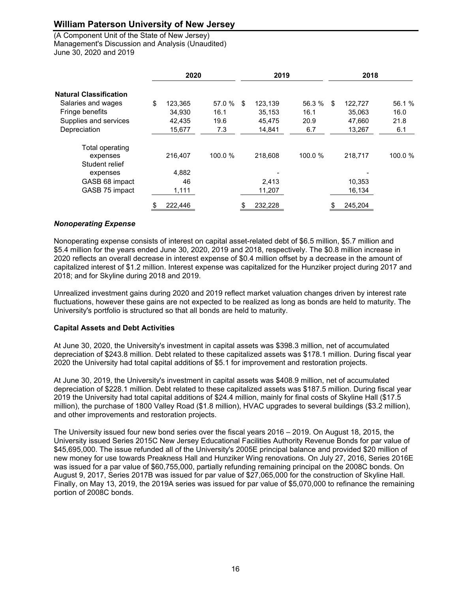(A Component Unit of the State of New Jersey) Management's Discussion and Analysis (Unaudited) June 30, 2020 and 2019

|                               | 2020          |         | 2019          |         | 2018          |        |
|-------------------------------|---------------|---------|---------------|---------|---------------|--------|
| <b>Natural Classification</b> |               |         |               |         |               |        |
| Salaries and wages            | \$<br>123.365 | 57.0 %  | \$<br>123,139 | 56.3 %  | \$<br>122,727 | 56.1 % |
| Fringe benefits               | 34,930        | 16.1    | 35,153        | 16.1    | 35,063        | 16.0   |
| Supplies and services         | 42.435        | 19.6    | 45.475        | 20.9    | 47.660        | 21.8   |
| Depreciation                  | 15,677        | 7.3     | 14,841        | 6.7     | 13,267        | 6.1    |
| Total operating               |               |         |               |         |               |        |
| expenses                      | 216,407       | 100.0 % | 218,608       | 100.0 % | 218.717       | 100.0% |
| Student relief                |               |         |               |         |               |        |
| expenses                      | 4,882         |         |               |         |               |        |
| GASB 68 impact                | 46            |         | 2,413         |         | 10,353        |        |
| GASB 75 impact                | 1,111         |         | 11,207        |         | 16,134        |        |
|                               | \$<br>222,446 |         | \$<br>232,228 |         | \$<br>245,204 |        |

### *Nonoperating Expense*

Nonoperating expense consists of interest on capital asset-related debt of \$6.5 million, \$5.7 million and \$5.4 million for the years ended June 30, 2020, 2019 and 2018, respectively. The \$0.8 million increase in 2020 reflects an overall decrease in interest expense of \$0.4 million offset by a decrease in the amount of capitalized interest of \$1.2 million. Interest expense was capitalized for the Hunziker project during 2017 and 2018; and for Skyline during 2018 and 2019.

Unrealized investment gains during 2020 and 2019 reflect market valuation changes driven by interest rate fluctuations, however these gains are not expected to be realized as long as bonds are held to maturity. The University's portfolio is structured so that all bonds are held to maturity.

### **Capital Assets and Debt Activities**

At June 30, 2020, the University's investment in capital assets was \$398.3 million, net of accumulated depreciation of \$243.8 million. Debt related to these capitalized assets was \$178.1 million. During fiscal year 2020 the University had total capital additions of \$5.1 for improvement and restoration projects.

At June 30, 2019, the University's investment in capital assets was \$408.9 million, net of accumulated depreciation of \$228.1 million. Debt related to these capitalized assets was \$187.5 million. During fiscal year 2019 the University had total capital additions of \$24.4 million, mainly for final costs of Skyline Hall (\$17.5 million), the purchase of 1800 Valley Road (\$1.8 million), HVAC upgrades to several buildings (\$3.2 million), and other improvements and restoration projects.

The University issued four new bond series over the fiscal years 2016 – 2019. On August 18, 2015, the University issued Series 2015C New Jersey Educational Facilities Authority Revenue Bonds for par value of \$45,695,000. The issue refunded all of the University's 2005E principal balance and provided \$20 million of new money for use towards Preakness Hall and Hunziker Wing renovations. On July 27, 2016, Series 2016E was issued for a par value of \$60,755,000, partially refunding remaining principal on the 2008C bonds. On August 9, 2017, Series 2017B was issued for par value of \$27,065,000 for the construction of Skyline Hall. Finally, on May 13, 2019, the 2019A series was issued for par value of \$5,070,000 to refinance the remaining portion of 2008C bonds.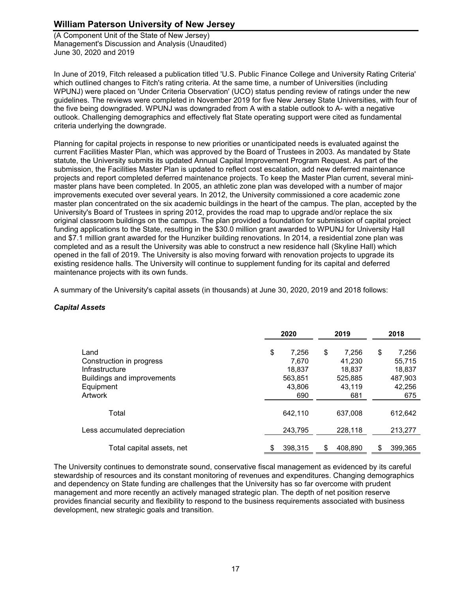(A Component Unit of the State of New Jersey) Management's Discussion and Analysis (Unaudited) June 30, 2020 and 2019

In June of 2019, Fitch released a publication titled 'U.S. Public Finance College and University Rating Criteria' which outlined changes to Fitch's rating criteria. At the same time, a number of Universities (including WPUNJ) were placed on 'Under Criteria Observation' (UCO) status pending review of ratings under the new guidelines. The reviews were completed in November 2019 for five New Jersey State Universities, with four of the five being downgraded. WPUNJ was downgraded from A with a stable outlook to A- with a negative outlook. Challenging demographics and effectively flat State operating support were cited as fundamental criteria underlying the downgrade.

Planning for capital projects in response to new priorities or unanticipated needs is evaluated against the current Facilities Master Plan, which was approved by the Board of Trustees in 2003. As mandated by State statute, the University submits its updated Annual Capital Improvement Program Request. As part of the submission, the Facilities Master Plan is updated to reflect cost escalation, add new deferred maintenance projects and report completed deferred maintenance projects. To keep the Master Plan current, several minimaster plans have been completed. In 2005, an athletic zone plan was developed with a number of major improvements executed over several years. In 2012, the University commissioned a core academic zone master plan concentrated on the six academic buildings in the heart of the campus. The plan, accepted by the University's Board of Trustees in spring 2012, provides the road map to upgrade and/or replace the six original classroom buildings on the campus. The plan provided a foundation for submission of capital project funding applications to the State, resulting in the \$30.0 million grant awarded to WPUNJ for University Hall and \$7.1 million grant awarded for the Hunziker building renovations. In 2014, a residential zone plan was completed and as a result the University was able to construct a new residence hall (Skyline Hall) which opened in the fall of 2019. The University is also moving forward with renovation projects to upgrade its existing residence halls. The University will continue to supplement funding for its capital and deferred maintenance projects with its own funds.

A summary of the University's capital assets (in thousands) at June 30, 2020, 2019 and 2018 follows:

### *Capital Assets*

|                               | 2020          |             | 2019    |    | 2018    |
|-------------------------------|---------------|-------------|---------|----|---------|
| Land                          | \$            | \$<br>7.256 | 7.256   | \$ | 7,256   |
| Construction in progress      |               | 7.670       | 41,230  |    | 55,715  |
| Infrastructure                |               | 18.837      | 18.837  |    | 18,837  |
| Buildings and improvements    | 563,851       |             | 525,885 |    | 487,903 |
| Equipment                     |               | 43,806      | 43,119  |    | 42,256  |
| Artwork                       |               | 690         | 681     |    | 675     |
| Total                         | 642.110       |             | 637.008 |    | 612,642 |
| Less accumulated depreciation | 243,795       |             | 228,118 |    | 213,277 |
| Total capital assets, net     | 398.315<br>\$ | \$          | 408.890 | \$ | 399.365 |

The University continues to demonstrate sound, conservative fiscal management as evidenced by its careful stewardship of resources and its constant monitoring of revenues and expenditures. Changing demographics and dependency on State funding are challenges that the University has so far overcome with prudent management and more recently an actively managed strategic plan. The depth of net position reserve provides financial security and flexibility to respond to the business requirements associated with business development, new strategic goals and transition.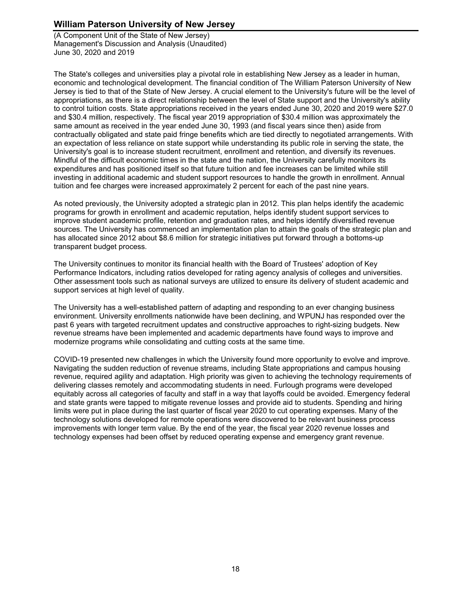(A Component Unit of the State of New Jersey) Management's Discussion and Analysis (Unaudited) June 30, 2020 and 2019

The State's colleges and universities play a pivotal role in establishing New Jersey as a leader in human, economic and technological development. The financial condition of The William Paterson University of New Jersey is tied to that of the State of New Jersey. A crucial element to the University's future will be the level of appropriations, as there is a direct relationship between the level of State support and the University's ability to control tuition costs. State appropriations received in the years ended June 30, 2020 and 2019 were \$27.0 and \$30.4 million, respectively. The fiscal year 2019 appropriation of \$30.4 million was approximately the same amount as received in the year ended June 30, 1993 (and fiscal years since then) aside from contractually obligated and state paid fringe benefits which are tied directly to negotiated arrangements. With an expectation of less reliance on state support while understanding its public role in serving the state, the University's goal is to increase student recruitment, enrollment and retention, and diversify its revenues. Mindful of the difficult economic times in the state and the nation, the University carefully monitors its expenditures and has positioned itself so that future tuition and fee increases can be limited while still investing in additional academic and student support resources to handle the growth in enrollment. Annual tuition and fee charges were increased approximately 2 percent for each of the past nine years.

As noted previously, the University adopted a strategic plan in 2012. This plan helps identify the academic programs for growth in enrollment and academic reputation, helps identify student support services to improve student academic profile, retention and graduation rates, and helps identify diversified revenue sources. The University has commenced an implementation plan to attain the goals of the strategic plan and has allocated since 2012 about \$8.6 million for strategic initiatives put forward through a bottoms-up transparent budget process.

The University continues to monitor its financial health with the Board of Trustees' adoption of Key Performance Indicators, including ratios developed for rating agency analysis of colleges and universities. Other assessment tools such as national surveys are utilized to ensure its delivery of student academic and support services at high level of quality.

The University has a well-established pattern of adapting and responding to an ever changing business environment. University enrollments nationwide have been declining, and WPUNJ has responded over the past 6 years with targeted recruitment updates and constructive approaches to right-sizing budgets. New revenue streams have been implemented and academic departments have found ways to improve and modernize programs while consolidating and cutting costs at the same time.

COVID-19 presented new challenges in which the University found more opportunity to evolve and improve. Navigating the sudden reduction of revenue streams, including State appropriations and campus housing revenue, required agility and adaptation. High priority was given to achieving the technology requirements of delivering classes remotely and accommodating students in need. Furlough programs were developed equitably across all categories of faculty and staff in a way that layoffs could be avoided. Emergency federal and state grants were tapped to mitigate revenue losses and provide aid to students. Spending and hiring limits were put in place during the last quarter of fiscal year 2020 to cut operating expenses. Many of the technology solutions developed for remote operations were discovered to be relevant business process improvements with longer term value. By the end of the year, the fiscal year 2020 revenue losses and technology expenses had been offset by reduced operating expense and emergency grant revenue.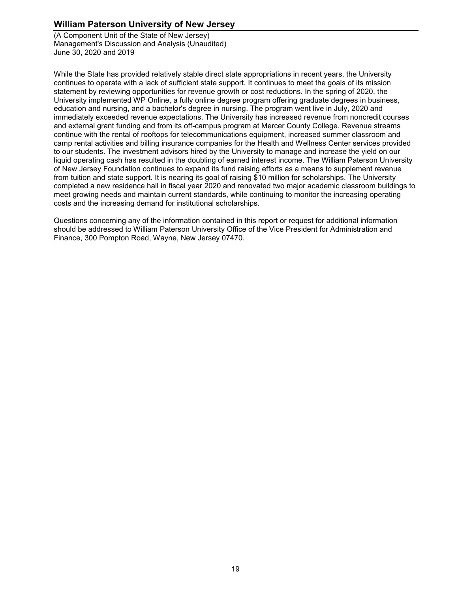(A Component Unit of the State of New Jersey) Management's Discussion and Analysis (Unaudited) June 30, 2020 and 2019

While the State has provided relatively stable direct state appropriations in recent years, the University continues to operate with a lack of sufficient state support. It continues to meet the goals of its mission statement by reviewing opportunities for revenue growth or cost reductions. In the spring of 2020, the University implemented WP Online, a fully online degree program offering graduate degrees in business, education and nursing, and a bachelor's degree in nursing. The program went live in July, 2020 and immediately exceeded revenue expectations. The University has increased revenue from noncredit courses and external grant funding and from its off-campus program at Mercer County College. Revenue streams continue with the rental of rooftops for telecommunications equipment, increased summer classroom and camp rental activities and billing insurance companies for the Health and Wellness Center services provided to our students. The investment advisors hired by the University to manage and increase the yield on our liquid operating cash has resulted in the doubling of earned interest income. The William Paterson University of New Jersey Foundation continues to expand its fund raising efforts as a means to supplement revenue from tuition and state support. It is nearing its goal of raising \$10 million for scholarships. The University completed a new residence hall in fiscal year 2020 and renovated two major academic classroom buildings to meet growing needs and maintain current standards, while continuing to monitor the increasing operating costs and the increasing demand for institutional scholarships.

Questions concerning any of the information contained in this report or request for additional information should be addressed to William Paterson University Office of the Vice President for Administration and Finance, 300 Pompton Road, Wayne, New Jersey 07470.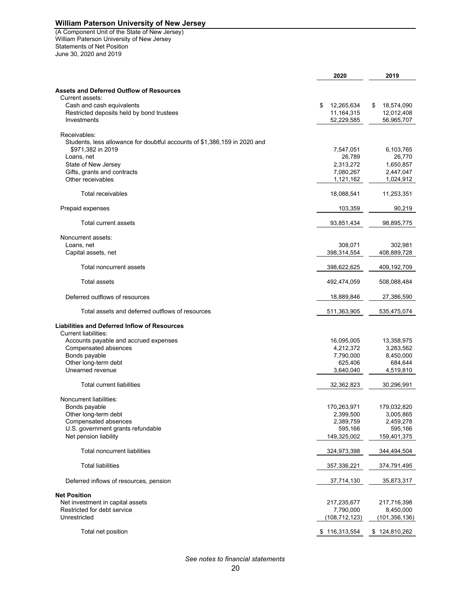(A Component Unit of the State of New Jersey) Statements of Net Position June 30, 2020 and 2019 William Paterson University of New Jersey

|                                                                           | 2020                | 2019                   |
|---------------------------------------------------------------------------|---------------------|------------------------|
|                                                                           |                     |                        |
| <b>Assets and Deferred Outflow of Resources</b><br>Current assets:        |                     |                        |
| Cash and cash equivalents                                                 | 12,265,634<br>\$    | 18,574,090<br>\$       |
| Restricted deposits held by bond trustees                                 | 11,164,315          | 12,012,408             |
| Investments                                                               | 52,229,585          | 56,965,707             |
|                                                                           |                     |                        |
| Receivables:                                                              |                     |                        |
| Students, less allowance for doubtful accounts of \$1,386,159 in 2020 and |                     |                        |
| \$971,382 in 2019                                                         | 7,547,051           | 6,103,765              |
| Loans, net                                                                | 26,789<br>2,313,272 | 26,770                 |
| State of New Jersey<br>Gifts, grants and contracts                        | 7,080,267           | 1,650,857<br>2,447,047 |
| Other receivables                                                         | 1,121,162           | 1,024,912              |
|                                                                           |                     |                        |
| Total receivables                                                         | 18,088,541          | 11,253,351             |
| Prepaid expenses                                                          | 103,359             | 90,219                 |
| Total current assets                                                      | 93,851,434          | 98,895,775             |
| Noncurrent assets:                                                        |                     |                        |
| Loans, net                                                                | 308,071             | 302,981                |
| Capital assets, net                                                       | 398,314,554         | 408,889,728            |
|                                                                           |                     |                        |
| Total noncurrent assets                                                   | 398,622,625         | 409,192,709            |
| <b>Total assets</b>                                                       | 492,474,059         | 508,088,484            |
| Deferred outflows of resources                                            | 18,889,846          | 27,386,590             |
| Total assets and deferred outflows of resources                           | 511,363,905         | 535,475,074            |
| <b>Liabilities and Deferred Inflow of Resources</b>                       |                     |                        |
| <b>Current liabilities:</b><br>Accounts payable and accrued expenses      | 16,095,005          | 13,358,975             |
| Compensated absences                                                      | 4,212,372           | 3,283,562              |
| Bonds payable                                                             | 7,790,000           | 8,450,000              |
| Other long-term debt                                                      | 625,406             | 684,644                |
| Unearned revenue                                                          | 3,640,040           | 4,519,810              |
| Total current liabilities                                                 | 32,362,823          | 30,296,991             |
| Noncurrent liabilities:                                                   |                     |                        |
| Bonds payable                                                             | 170,263,971         | 179,032,820            |
| Other long-term debt                                                      | 2,399,500           | 3,005,865              |
| Compensated absences                                                      | 2,389,759           | 2,459,278              |
| U.S. government grants refundable                                         | 595,166             | 595,166                |
| Net pension liability                                                     | 149,325,002         | 159,401,375            |
| <b>Total noncurrent liabilities</b>                                       | 324,973,398         | 344,494,504            |
|                                                                           |                     |                        |
| <b>Total liabilities</b>                                                  | 357,336,221         | 374,791,495            |
| Deferred inflows of resources, pension                                    | 37,714,130          | 35,873,317             |
| <b>Net Position</b>                                                       |                     |                        |
| Net investment in capital assets                                          | 217,235,677         | 217,716,398            |
| Restricted for debt service                                               | 7,790,000           | 8,450,000              |
| Unrestricted                                                              | (108, 712, 123)     | (101, 356, 136)        |
| Total net position                                                        | \$116,313,554       | \$124,810,262          |
|                                                                           |                     |                        |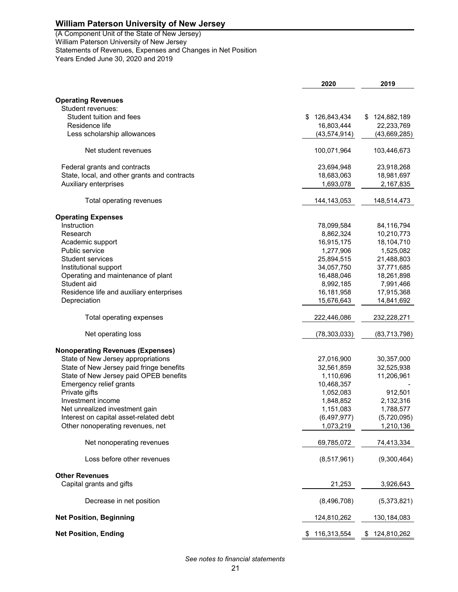(A Component Unit of the State of New Jersey) Statements of Revenues, Expenses and Changes in Net Position Years Ended June 30, 2020 and 2019 William Paterson University of New Jersey

|                                                | 2020              | 2019              |
|------------------------------------------------|-------------------|-------------------|
|                                                |                   |                   |
| <b>Operating Revenues</b><br>Student revenues: |                   |                   |
| Student tuition and fees                       | 126,843,434<br>\$ | 124,882,189<br>\$ |
| Residence life                                 | 16,803,444        | 22,233,769        |
| Less scholarship allowances                    | (43, 574, 914)    | (43,669,285)      |
|                                                |                   |                   |
| Net student revenues                           | 100,071,964       | 103,446,673       |
| Federal grants and contracts                   | 23,694,948        | 23,918,268        |
| State, local, and other grants and contracts   | 18,683,063        | 18,981,697        |
| Auxiliary enterprises                          | 1,693,078         | 2,167,835         |
| Total operating revenues                       | 144, 143, 053     | 148,514,473       |
| <b>Operating Expenses</b>                      |                   |                   |
| Instruction                                    | 78,099,584        | 84,116,794        |
| Research                                       | 8,862,324         | 10,210,773        |
| Academic support                               | 16,915,175        | 18,104,710        |
| Public service                                 | 1,277,906         | 1,525,082         |
| Student services                               | 25,894,515        | 21,488,803        |
| Institutional support                          | 34,057,750        | 37,771,685        |
| Operating and maintenance of plant             |                   |                   |
| Student aid                                    | 16,488,046        | 18,261,898        |
|                                                | 8,992,185         | 7,991,466         |
| Residence life and auxiliary enterprises       | 16,181,958        | 17,915,368        |
| Depreciation                                   | 15,676,643        | 14,841,692        |
| Total operating expenses                       | 222,446,086       | 232,228,271       |
| Net operating loss                             | (78, 303, 033)    | (83,713,798)      |
| <b>Nonoperating Revenues (Expenses)</b>        |                   |                   |
| State of New Jersey appropriations             | 27,016,900        | 30,357,000        |
| State of New Jersey paid fringe benefits       | 32,561,859        | 32,525,938        |
| State of New Jersey paid OPEB benefits         | 1,110,696         | 11,206,961        |
| Emergency relief grants                        | 10,468,357        |                   |
| Private gifts                                  | 1,052,083         | 912,501           |
| Investment income                              | 1,848,852         | 2,132,316         |
| Net unrealized investment gain                 | 1,151,083         | 1,788,577         |
| Interest on capital asset-related debt         | (6, 497, 977)     | (5,720,095)       |
| Other nonoperating revenues, net               | 1,073,219         | 1,210,136         |
| Net nonoperating revenues                      | 69,785,072        | 74,413,334        |
| Loss before other revenues                     | (8,517,961)       | (9,300,464)       |
|                                                |                   |                   |
| <b>Other Revenues</b>                          |                   |                   |
| Capital grants and gifts                       | 21,253            | 3,926,643         |
| Decrease in net position                       | (8,496,708)       | (5,373,821)       |
| <b>Net Position, Beginning</b>                 | 124,810,262       | 130,184,083       |
| <b>Net Position, Ending</b>                    | 116,313,554<br>\$ | \$124,810,262     |

*See notes to financial statements*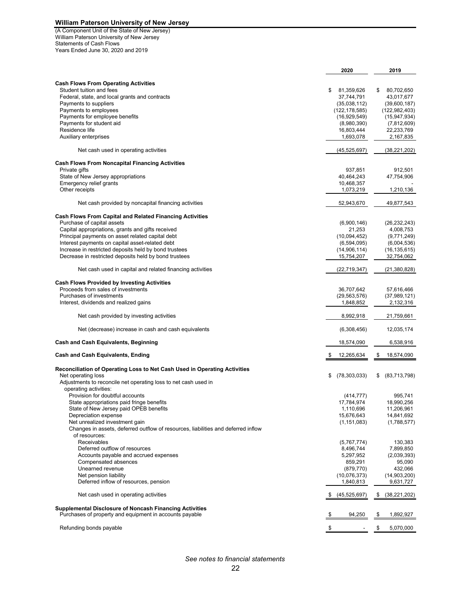(A Component Unit of the State of New Jersey) Statements of Cash Flows Years Ended June 30, 2020 and 2019 William Paterson University of New Jersey

|                                                                                                    | 2020                    | 2019                    |
|----------------------------------------------------------------------------------------------------|-------------------------|-------------------------|
|                                                                                                    |                         |                         |
| <b>Cash Flows From Operating Activities</b>                                                        |                         |                         |
| Student tuition and fees                                                                           | \$<br>81,359,626        | 80,702,650<br>\$        |
| Federal, state, and local grants and contracts                                                     | 37,744,791              | 43,017,677              |
| Payments to suppliers                                                                              | (35,038,112)            | (39,600,187)            |
| Payments to employees                                                                              | (122, 178, 585)         | (122, 982, 403)         |
| Payments for employee benefits<br>Payments for student aid                                         | (16,929,549)            | (15, 947, 934)          |
| Residence life                                                                                     | (8,980,390)             | (7,812,609)             |
|                                                                                                    | 16,803,444<br>1,693,078 | 22,233,769<br>2,167,835 |
| Auxiliary enterprises                                                                              |                         |                         |
| Net cash used in operating activities                                                              | (45,525,697)            | (38, 221, 202)          |
| <b>Cash Flows From Noncapital Financing Activities</b>                                             |                         |                         |
| Private gifts                                                                                      | 937,851                 | 912,501                 |
| State of New Jersey appropriations                                                                 | 40,464,243              | 47,754,906              |
| Emergency relief grants                                                                            | 10,468,357              |                         |
| Other receipts                                                                                     | 1,073,219               | 1,210,136               |
| Net cash provided by noncapital financing activities                                               | 52,943,670              | 49,877,543              |
| <b>Cash Flows From Capital and Related Financing Activities</b>                                    |                         |                         |
| Purchase of capital assets                                                                         | (6,900,146)             | (26, 232, 243)          |
| Capital appropriations, grants and gifts received                                                  | 21,253                  | 4,008,753               |
| Principal payments on asset related capital debt                                                   | (10,094,452)            | (9,771,249)             |
| Interest payments on capital asset-related debt                                                    | (6,594,095)             | (6,004,536)             |
| Increase in restricted deposits held by bond trustees                                              | (14,906,114)            | (16, 135, 615)          |
| Decrease in restricted deposits held by bond trustees                                              | 15,754,207              | 32,754,062              |
| Net cash used in capital and related financing activities                                          | (22, 719, 347)          | (21,380,828)            |
|                                                                                                    |                         |                         |
| <b>Cash Flows Provided by Investing Activities</b><br>Proceeds from sales of investments           |                         |                         |
| Purchases of investments                                                                           | 36,707,642              | 57,616,466              |
|                                                                                                    | (29, 563, 576)          | (37,989,121)            |
| Interest, dividends and realized gains                                                             | 1,848,852               | 2,132,316               |
| Net cash provided by investing activities                                                          | 8,992,918               | 21,759,661              |
| Net (decrease) increase in cash and cash equivalents                                               | (6,308,456)             | 12,035,174              |
| <b>Cash and Cash Equivalents, Beginning</b>                                                        | 18,574,090              | 6,538,916               |
| <b>Cash and Cash Equivalents, Ending</b>                                                           | S.<br>12,265,634        | S<br>18,574,090         |
| Reconciliation of Operating Loss to Net Cash Used in Operating Activities                          |                         |                         |
| Net operating loss                                                                                 | (78, 303, 033)<br>\$    | \$<br>(83,713,798)      |
| Adjustments to reconcile net operating loss to net cash used in                                    |                         |                         |
| operating activities:                                                                              |                         |                         |
| Provision for doubtful accounts                                                                    | (414, 777)              | 995,741                 |
| State appropriations paid fringe benefits                                                          | 17,784,974              | 18,990,256              |
| State of New Jersey paid OPEB benefits                                                             | 1,110,696               | 11,206,961              |
| Depreciation expense                                                                               | 15,676,643              | 14,841,692              |
| Net unrealized investment gain                                                                     | (1, 151, 083)           | (1,788,577)             |
| Changes in assets, deferred outflow of resources, liabilities and deferred inflow<br>of resources: |                         |                         |
| Receivables                                                                                        | (5,767,774)             | 130,383                 |
| Deferred outflow of resources                                                                      | 8,496,744               | 7,899,850               |
| Accounts payable and accrued expenses                                                              | 5,297,952               | (2,039,393)             |
| Compensated absences                                                                               | 859,291                 | 95,090                  |
| Unearned revenue                                                                                   | (879, 770)              | 432,066                 |
| Net pension liability                                                                              | (10,076,373)            | (14,903,200)            |
| Deferred inflow of resources, pension                                                              | 1,840,813               | 9,631,727               |
| Net cash used in operating activities                                                              | (45, 525, 697)          | (38, 221, 202)<br>\$    |
|                                                                                                    |                         |                         |
| <b>Supplemental Disclosure of Noncash Financing Activities</b>                                     |                         |                         |
| Purchases of property and equipment in accounts payable                                            | 94,250                  | 1,892,927               |
| Refunding bonds payable                                                                            | \$                      | 5,070,000<br>\$         |
|                                                                                                    |                         |                         |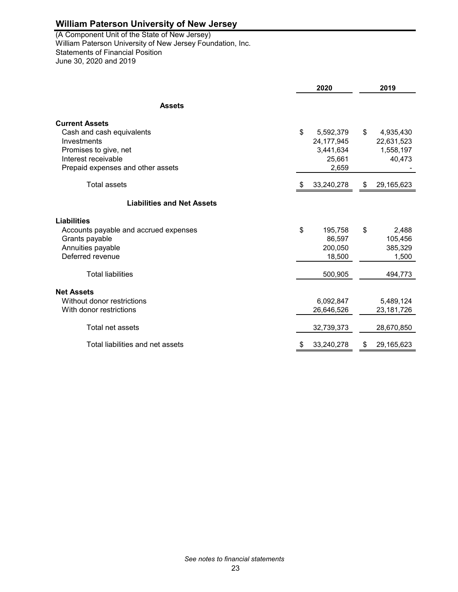June 30, 2020 and 2019 William Paterson University of New Jersey Foundation, Inc. (A Component Unit of the State of New Jersey) Statements of Financial Position

|                                       |    | 2020       | 2019             |
|---------------------------------------|----|------------|------------------|
| <b>Assets</b>                         |    |            |                  |
| <b>Current Assets</b>                 |    |            |                  |
| Cash and cash equivalents             | \$ | 5,592,379  | \$<br>4,935,430  |
| Investments                           |    | 24,177,945 | 22,631,523       |
| Promises to give, net                 |    | 3,441,634  | 1,558,197        |
| Interest receivable                   |    | 25,661     | 40,473           |
| Prepaid expenses and other assets     |    | 2,659      |                  |
| <b>Total assets</b>                   | £. | 33,240,278 | \$<br>29,165,623 |
| <b>Liabilities and Net Assets</b>     |    |            |                  |
| <b>Liabilities</b>                    |    |            |                  |
| Accounts payable and accrued expenses | \$ | 195,758    | \$<br>2,488      |
| Grants payable                        |    | 86,597     | 105,456          |
| Annuities payable                     |    | 200,050    | 385,329          |
| Deferred revenue                      |    | 18,500     | 1,500            |
| <b>Total liabilities</b>              |    | 500,905    | 494,773          |
| <b>Net Assets</b>                     |    |            |                  |
| Without donor restrictions            |    | 6,092,847  | 5,489,124        |
| With donor restrictions               |    | 26,646,526 | 23,181,726       |
|                                       |    |            |                  |
| Total net assets                      |    | 32,739,373 | 28,670,850       |
| Total liabilities and net assets      | \$ | 33,240,278 | \$<br>29,165,623 |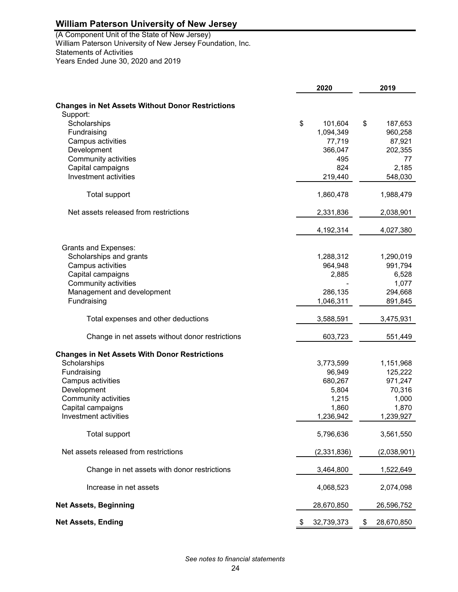Years Ended June 30, 2020 and 2019 William Paterson University of New Jersey Foundation, Inc. (A Component Unit of the State of New Jersey) Statements of Activities

|                                                         | 2020          | 2019             |
|---------------------------------------------------------|---------------|------------------|
| <b>Changes in Net Assets Without Donor Restrictions</b> |               |                  |
| Support:                                                |               |                  |
| Scholarships                                            | \$<br>101,604 | \$<br>187,653    |
| Fundraising                                             | 1,094,349     | 960,258          |
| Campus activities                                       | 77,719        | 87,921           |
| Development                                             | 366,047       | 202,355          |
| <b>Community activities</b>                             | 495           | 77               |
| Capital campaigns                                       | 824           | 2,185            |
| Investment activities                                   | 219,440       | 548,030          |
| Total support                                           | 1,860,478     | 1,988,479        |
| Net assets released from restrictions                   | 2,331,836     | 2,038,901        |
|                                                         | 4,192,314     | 4,027,380        |
| <b>Grants and Expenses:</b>                             |               |                  |
| Scholarships and grants                                 | 1,288,312     | 1,290,019        |
| Campus activities                                       | 964,948       | 991,794          |
| Capital campaigns                                       | 2,885         | 6,528            |
| <b>Community activities</b>                             |               | 1,077            |
| Management and development                              | 286,135       | 294,668          |
| Fundraising                                             | 1,046,311     | 891,845          |
| Total expenses and other deductions                     | 3,588,591     | 3,475,931        |
| Change in net assets without donor restrictions         | 603,723       | 551,449          |
| <b>Changes in Net Assets With Donor Restrictions</b>    |               |                  |
| Scholarships                                            | 3,773,599     | 1,151,968        |
| Fundraising                                             | 96,949        | 125,222          |
| Campus activities                                       | 680,267       | 971,247          |
| Development                                             | 5,804         | 70,316           |
| Community activities                                    | 1,215         | 1,000            |
| Capital campaigns                                       | 1,860         | 1,870            |
| <b>Investment activities</b>                            | 1,236,942     | 1,239,927        |
| <b>Total support</b>                                    | 5,796,636     | 3,561,550        |
| Net assets released from restrictions                   | (2,331,836)   | (2,038,901)      |
| Change in net assets with donor restrictions            | 3,464,800     | 1,522,649        |
| Increase in net assets                                  | 4,068,523     | 2,074,098        |
| <b>Net Assets, Beginning</b>                            | 28,670,850    | 26,596,752       |
| <b>Net Assets, Ending</b>                               | 32,739,373    | \$<br>28,670,850 |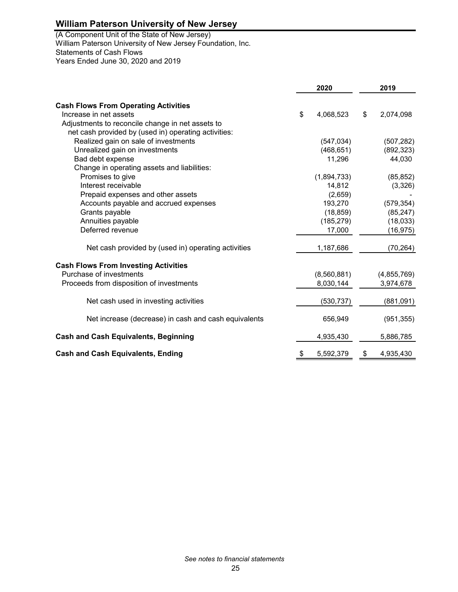(A Component Unit of the State of New Jersey) William Paterson University of New Jersey Foundation, Inc. Years Ended June 30, 2020 and 2019 Statements of Cash Flows

|                                                      | 2020            | 2019            |
|------------------------------------------------------|-----------------|-----------------|
| <b>Cash Flows From Operating Activities</b>          |                 |                 |
| Increase in net assets                               | \$<br>4,068,523 | \$<br>2,074,098 |
| Adjustments to reconcile change in net assets to     |                 |                 |
| net cash provided by (used in) operating activities: |                 |                 |
| Realized gain on sale of investments                 | (547, 034)      | (507, 282)      |
| Unrealized gain on investments                       | (468, 651)      | (892, 323)      |
| Bad debt expense                                     | 11,296          | 44,030          |
| Change in operating assets and liabilities:          |                 |                 |
| Promises to give                                     | (1,894,733)     | (85, 852)       |
| Interest receivable                                  | 14,812          | (3,326)         |
| Prepaid expenses and other assets                    | (2,659)         |                 |
| Accounts payable and accrued expenses                | 193,270         | (579, 354)      |
| Grants payable                                       | (18, 859)       | (85, 247)       |
| Annuities payable                                    | (185, 279)      | (18,033)        |
| Deferred revenue                                     | 17,000          | (16, 975)       |
| Net cash provided by (used in) operating activities  | 1,187,686       | (70, 264)       |
| <b>Cash Flows From Investing Activities</b>          |                 |                 |
| Purchase of investments                              | (8,560,881)     | (4,855,769)     |
| Proceeds from disposition of investments             | 8,030,144       | 3,974,678       |
| Net cash used in investing activities                | (530, 737)      | (881,091)       |
| Net increase (decrease) in cash and cash equivalents | 656,949         | (951, 355)      |
| <b>Cash and Cash Equivalents, Beginning</b>          | 4,935,430       | 5,886,785       |
| <b>Cash and Cash Equivalents, Ending</b>             | \$<br>5,592,379 | \$<br>4,935,430 |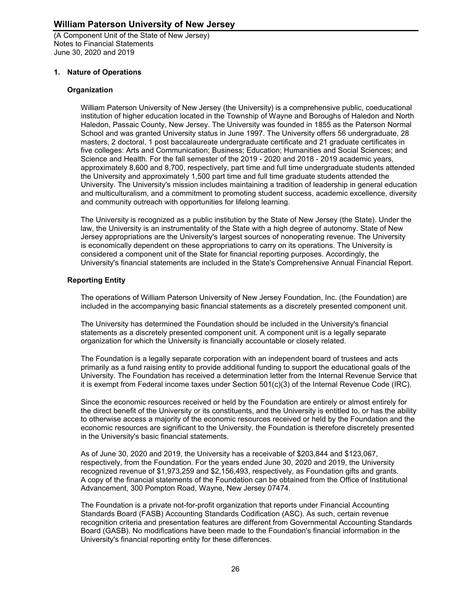(A Component Unit of the State of New Jersey) Notes to Financial Statements June 30, 2020 and 2019

### **1. Nature of Operations**

### **Organization**

William Paterson University of New Jersey (the University) is a comprehensive public, coeducational institution of higher education located in the Township of Wayne and Boroughs of Haledon and North Haledon, Passaic County, New Jersey. The University was founded in 1855 as the Paterson Normal School and was granted University status in June 1997. The University offers 56 undergraduate, 28 masters, 2 doctoral, 1 post baccalaureate undergraduate certificate and 21 graduate certificates in five colleges: Arts and Communication; Business; Education; Humanities and Social Sciences; and Science and Health. For the fall semester of the 2019 - 2020 and 2018 - 2019 academic years, approximately 8,600 and 8,700, respectively, part time and full time undergraduate students attended the University and approximately 1,500 part time and full time graduate students attended the University. The University's mission includes maintaining a tradition of leadership in general education and multiculturalism, and a commitment to promoting student success, academic excellence, diversity and community outreach with opportunities for lifelong learning.

The University is recognized as a public institution by the State of New Jersey (the State). Under the law, the University is an instrumentality of the State with a high degree of autonomy. State of New Jersey appropriations are the University's largest sources of nonoperating revenue. The University is economically dependent on these appropriations to carry on its operations. The University is considered a component unit of the State for financial reporting purposes. Accordingly, the University's financial statements are included in the State's Comprehensive Annual Financial Report.

### **Reporting Entity**

The operations of William Paterson University of New Jersey Foundation, Inc. (the Foundation) are included in the accompanying basic financial statements as a discretely presented component unit.

The University has determined the Foundation should be included in the University's financial statements as a discretely presented component unit. A component unit is a legally separate organization for which the University is financially accountable or closely related.

The Foundation is a legally separate corporation with an independent board of trustees and acts primarily as a fund raising entity to provide additional funding to support the educational goals of the University. The Foundation has received a determination letter from the Internal Revenue Service that it is exempt from Federal income taxes under Section 501(c)(3) of the Internal Revenue Code (IRC).

Since the economic resources received or held by the Foundation are entirely or almost entirely for the direct benefit of the University or its constituents, and the University is entitled to, or has the ability to otherwise access a majority of the economic resources received or held by the Foundation and the economic resources are significant to the University, the Foundation is therefore discretely presented in the University's basic financial statements.

As of June 30, 2020 and 2019, the University has a receivable of \$203,844 and \$123,067, respectively, from the Foundation. For the years ended June 30, 2020 and 2019, the University recognized revenue of \$1,973,259 and \$2,156,493, respectively, as Foundation gifts and grants. A copy of the financial statements of the Foundation can be obtained from the Office of Institutional Advancement, 300 Pompton Road, Wayne, New Jersey 07474.

The Foundation is a private not-for-profit organization that reports under Financial Accounting Standards Board (FASB) Accounting Standards Codification (ASC). As such, certain revenue recognition criteria and presentation features are different from Governmental Accounting Standards Board (GASB). No modifications have been made to the Foundation's financial information in the University's financial reporting entity for these differences.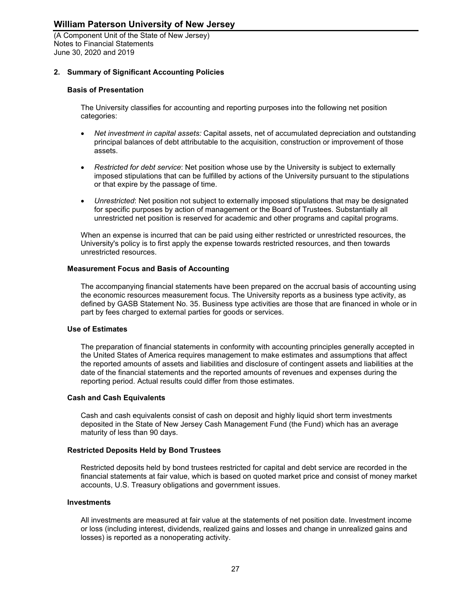(A Component Unit of the State of New Jersey) Notes to Financial Statements June 30, 2020 and 2019

### **2. Summary of Significant Accounting Policies**

### **Basis of Presentation**

The University classifies for accounting and reporting purposes into the following net position categories:

- *Net investment in capital assets:* Capital assets, net of accumulated depreciation and outstanding principal balances of debt attributable to the acquisition, construction or improvement of those assets.
- *Restricted for debt service*: Net position whose use by the University is subject to externally imposed stipulations that can be fulfilled by actions of the University pursuant to the stipulations or that expire by the passage of time.
- *Unrestricted*: Net position not subject to externally imposed stipulations that may be designated for specific purposes by action of management or the Board of Trustees. Substantially all unrestricted net position is reserved for academic and other programs and capital programs.

When an expense is incurred that can be paid using either restricted or unrestricted resources, the University's policy is to first apply the expense towards restricted resources, and then towards unrestricted resources.

#### **Measurement Focus and Basis of Accounting**

The accompanying financial statements have been prepared on the accrual basis of accounting using the economic resources measurement focus. The University reports as a business type activity, as defined by GASB Statement No. 35. Business type activities are those that are financed in whole or in part by fees charged to external parties for goods or services.

#### **Use of Estimates**

The preparation of financial statements in conformity with accounting principles generally accepted in the United States of America requires management to make estimates and assumptions that affect the reported amounts of assets and liabilities and disclosure of contingent assets and liabilities at the date of the financial statements and the reported amounts of revenues and expenses during the reporting period. Actual results could differ from those estimates.

#### **Cash and Cash Equivalents**

Cash and cash equivalents consist of cash on deposit and highly liquid short term investments deposited in the State of New Jersey Cash Management Fund (the Fund) which has an average maturity of less than 90 days.

#### **Restricted Deposits Held by Bond Trustees**

Restricted deposits held by bond trustees restricted for capital and debt service are recorded in the financial statements at fair value, which is based on quoted market price and consist of money market accounts, U.S. Treasury obligations and government issues.

#### **Investments**

All investments are measured at fair value at the statements of net position date. Investment income or loss (including interest, dividends, realized gains and losses and change in unrealized gains and losses) is reported as a nonoperating activity.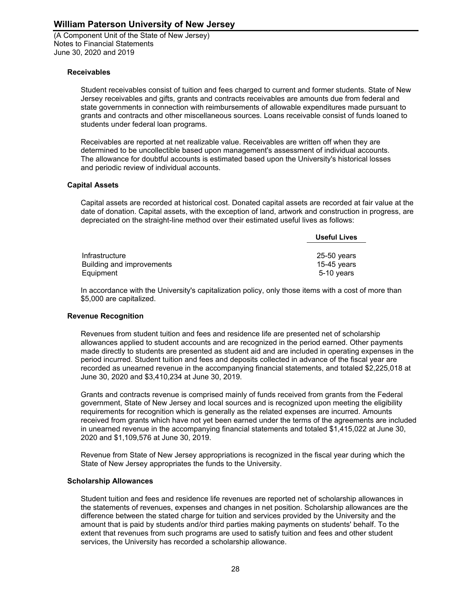(A Component Unit of the State of New Jersey) Notes to Financial Statements June 30, 2020 and 2019

### **Receivables**

Student receivables consist of tuition and fees charged to current and former students. State of New Jersey receivables and gifts, grants and contracts receivables are amounts due from federal and state governments in connection with reimbursements of allowable expenditures made pursuant to grants and contracts and other miscellaneous sources. Loans receivable consist of funds loaned to students under federal loan programs.

Receivables are reported at net realizable value. Receivables are written off when they are determined to be uncollectible based upon management's assessment of individual accounts. The allowance for doubtful accounts is estimated based upon the University's historical losses and periodic review of individual accounts.

#### **Capital Assets**

Capital assets are recorded at historical cost. Donated capital assets are recorded at fair value at the date of donation. Capital assets, with the exception of land, artwork and construction in progress, are depreciated on the straight-line method over their estimated useful lives as follows:

|                           | <b>Useful Lives</b> |
|---------------------------|---------------------|
|                           |                     |
| Infrastructure            | $25-50$ years       |
| Building and improvements | 15-45 years         |
| Equipment                 | 5-10 years          |

In accordance with the University's capitalization policy, only those items with a cost of more than \$5,000 are capitalized.

#### **Revenue Recognition**

Revenues from student tuition and fees and residence life are presented net of scholarship allowances applied to student accounts and are recognized in the period earned. Other payments made directly to students are presented as student aid and are included in operating expenses in the period incurred. Student tuition and fees and deposits collected in advance of the fiscal year are recorded as unearned revenue in the accompanying financial statements, and totaled \$2,225,018 at June 30, 2020 and \$3,410,234 at June 30, 2019.

Grants and contracts revenue is comprised mainly of funds received from grants from the Federal government, State of New Jersey and local sources and is recognized upon meeting the eligibility requirements for recognition which is generally as the related expenses are incurred. Amounts received from grants which have not yet been earned under the terms of the agreements are included in unearned revenue in the accompanying financial statements and totaled \$1,415,022 at June 30, 2020 and \$1,109,576 at June 30, 2019.

Revenue from State of New Jersey appropriations is recognized in the fiscal year during which the State of New Jersey appropriates the funds to the University.

#### **Scholarship Allowances**

Student tuition and fees and residence life revenues are reported net of scholarship allowances in the statements of revenues, expenses and changes in net position. Scholarship allowances are the difference between the stated charge for tuition and services provided by the University and the amount that is paid by students and/or third parties making payments on students' behalf. To the extent that revenues from such programs are used to satisfy tuition and fees and other student services, the University has recorded a scholarship allowance.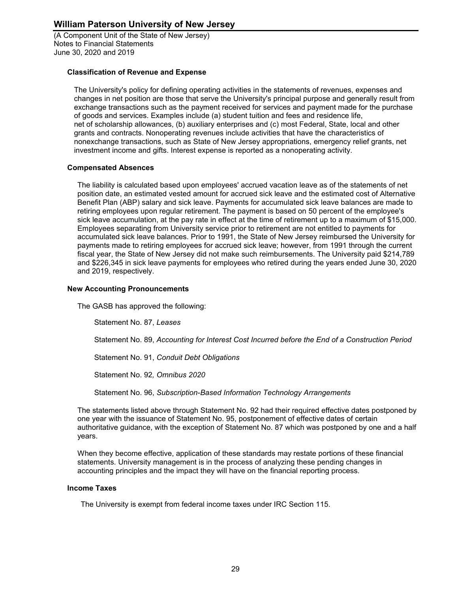(A Component Unit of the State of New Jersey) Notes to Financial Statements June 30, 2020 and 2019

### **Classification of Revenue and Expense**

The University's policy for defining operating activities in the statements of revenues, expenses and changes in net position are those that serve the University's principal purpose and generally result from exchange transactions such as the payment received for services and payment made for the purchase of goods and services. Examples include (a) student tuition and fees and residence life, net of scholarship allowances, (b) auxiliary enterprises and (c) most Federal, State, local and other grants and contracts. Nonoperating revenues include activities that have the characteristics of nonexchange transactions, such as State of New Jersey appropriations, emergency relief grants, net investment income and gifts. Interest expense is reported as a nonoperating activity.

### **Compensated Absences**

The liability is calculated based upon employees' accrued vacation leave as of the statements of net position date, an estimated vested amount for accrued sick leave and the estimated cost of Alternative Benefit Plan (ABP) salary and sick leave. Payments for accumulated sick leave balances are made to retiring employees upon regular retirement. The payment is based on 50 percent of the employee's sick leave accumulation, at the pay rate in effect at the time of retirement up to a maximum of \$15,000. Employees separating from University service prior to retirement are not entitled to payments for accumulated sick leave balances. Prior to 1991, the State of New Jersey reimbursed the University for payments made to retiring employees for accrued sick leave; however, from 1991 through the current fiscal year, the State of New Jersey did not make such reimbursements. The University paid \$214,789 and \$226,345 in sick leave payments for employees who retired during the years ended June 30, 2020 and 2019, respectively.

### **New Accounting Pronouncements**

The GASB has approved the following:

Statement No. 87, *Leases*

Statement No. 89, *Accounting for Interest Cost Incurred before the End of a Construction Period*

Statement No. 91, *Conduit Debt Obligations*

Statement No. 92*, Omnibus 2020*

Statement No. 96, *Subscription-Based Information Technology Arrangements*

The statements listed above through Statement No. 92 had their required effective dates postponed by one year with the issuance of Statement No. 95, postponement of effective dates of certain authoritative guidance, with the exception of Statement No. 87 which was postponed by one and a half years.

When they become effective, application of these standards may restate portions of these financial statements. University management is in the process of analyzing these pending changes in accounting principles and the impact they will have on the financial reporting process.

### **Income Taxes**

The University is exempt from federal income taxes under IRC Section 115.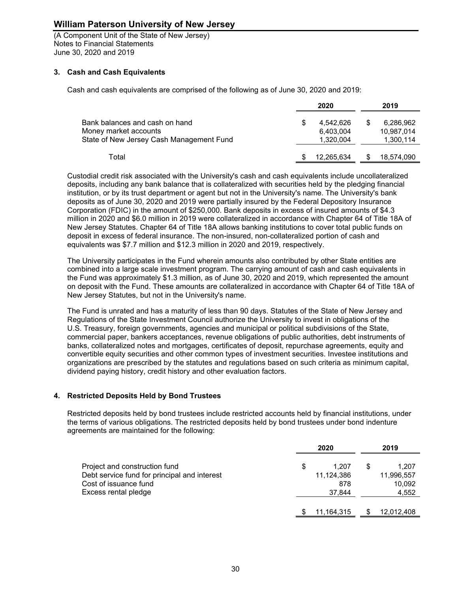(A Component Unit of the State of New Jersey) Notes to Financial Statements June 30, 2020 and 2019

### **3. Cash and Cash Equivalents**

Cash and cash equivalents are comprised of the following as of June 30, 2020 and 2019:

|                                          | 2020 |            |  | 2019       |
|------------------------------------------|------|------------|--|------------|
| Bank balances and cash on hand           |      | 4.542.626  |  | 6,286,962  |
| Money market accounts                    |      | 6.403.004  |  | 10,987,014 |
| State of New Jersey Cash Management Fund |      | 1,320,004  |  | 1,300,114  |
| Total                                    |      | 12,265,634 |  | 18,574,090 |

Custodial credit risk associated with the University's cash and cash equivalents include uncollateralized deposits, including any bank balance that is collateralized with securities held by the pledging financial institution, or by its trust department or agent but not in the University's name. The University's bank deposits as of June 30, 2020 and 2019 were partially insured by the Federal Depository Insurance Corporation (FDIC) in the amount of \$250,000. Bank deposits in excess of insured amounts of \$4.3 million in 2020 and \$6.0 million in 2019 were collateralized in accordance with Chapter 64 of Title 18A of New Jersey Statutes. Chapter 64 of Title 18A allows banking institutions to cover total public funds on deposit in excess of federal insurance. The non-insured, non-collateralized portion of cash and equivalents was \$7.7 million and \$12.3 million in 2020 and 2019, respectively.

The University participates in the Fund wherein amounts also contributed by other State entities are combined into a large scale investment program. The carrying amount of cash and cash equivalents in the Fund was approximately \$1.3 million, as of June 30, 2020 and 2019, which represented the amount on deposit with the Fund. These amounts are collateralized in accordance with Chapter 64 of Title 18A of New Jersey Statutes, but not in the University's name.

The Fund is unrated and has a maturity of less than 90 days. Statutes of the State of New Jersey and Regulations of the State Investment Council authorize the University to invest in obligations of the U.S. Treasury, foreign governments, agencies and municipal or political subdivisions of the State, commercial paper, bankers acceptances, revenue obligations of public authorities, debt instruments of banks, collateralized notes and mortgages, certificates of deposit, repurchase agreements, equity and convertible equity securities and other common types of investment securities. Investee institutions and organizations are prescribed by the statutes and regulations based on such criteria as minimum capital, dividend paying history, credit history and other evaluation factors.

### **4. Restricted Deposits Held by Bond Trustees**

Restricted deposits held by bond trustees include restricted accounts held by financial institutions, under the terms of various obligations. The restricted deposits held by bond trustees under bond indenture agreements are maintained for the following:

|                                              |   | 2019       |   |            |
|----------------------------------------------|---|------------|---|------------|
| Project and construction fund                | S | 1.207      | S | 1.207      |
| Debt service fund for principal and interest |   | 11,124,386 |   | 11,996,557 |
| Cost of issuance fund                        |   | 878        |   | 10,092     |
| Excess rental pledge                         |   | 37.844     |   | 4,552      |
|                                              |   | 11,164,315 |   | 12,012,408 |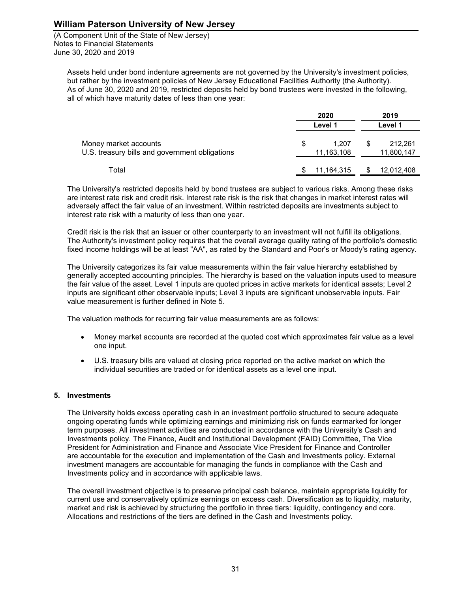(A Component Unit of the State of New Jersey) Notes to Financial Statements June 30, 2020 and 2019

Assets held under bond indenture agreements are not governed by the University's investment policies, but rather by the investment policies of New Jersey Educational Facilities Authority (the Authority). As of June 30, 2020 and 2019, restricted deposits held by bond trustees were invested in the following, all of which have maturity dates of less than one year:

|                                                                         |   | 2020                |         | 2019                  |  |
|-------------------------------------------------------------------------|---|---------------------|---------|-----------------------|--|
|                                                                         |   | Level 1             | Level 1 |                       |  |
| Money market accounts<br>U.S. treasury bills and government obligations | S | 1.207<br>11,163,108 |         | 212.261<br>11,800,147 |  |
| Total                                                                   |   | 11,164,315          |         | 12,012,408            |  |

The University's restricted deposits held by bond trustees are subject to various risks. Among these risks are interest rate risk and credit risk. Interest rate risk is the risk that changes in market interest rates will adversely affect the fair value of an investment. Within restricted deposits are investments subject to interest rate risk with a maturity of less than one year.

Credit risk is the risk that an issuer or other counterparty to an investment will not fulfill its obligations. The Authority's investment policy requires that the overall average quality rating of the portfolio's domestic fixed income holdings will be at least "AA", as rated by the Standard and Poor's or Moody's rating agency.

The University categorizes its fair value measurements within the fair value hierarchy established by generally accepted accounting principles. The hierarchy is based on the valuation inputs used to measure the fair value of the asset. Level 1 inputs are quoted prices in active markets for identical assets; Level 2 inputs are significant other observable inputs; Level 3 inputs are significant unobservable inputs. Fair value measurement is further defined in Note 5.

The valuation methods for recurring fair value measurements are as follows:

- Money market accounts are recorded at the quoted cost which approximates fair value as a level one input.
- U.S. treasury bills are valued at closing price reported on the active market on which the individual securities are traded or for identical assets as a level one input.

### **5. Investments**

The University holds excess operating cash in an investment portfolio structured to secure adequate ongoing operating funds while optimizing earnings and minimizing risk on funds earmarked for longer term purposes. All investment activities are conducted in accordance with the University's Cash and Investments policy. The Finance, Audit and Institutional Development (FAID) Committee, The Vice President for Administration and Finance and Associate Vice President for Finance and Controller are accountable for the execution and implementation of the Cash and Investments policy. External investment managers are accountable for managing the funds in compliance with the Cash and Investments policy and in accordance with applicable laws.

The overall investment objective is to preserve principal cash balance, maintain appropriate liquidity for current use and conservatively optimize earnings on excess cash. Diversification as to liquidity, maturity, market and risk is achieved by structuring the portfolio in three tiers: liquidity, contingency and core. Allocations and restrictions of the tiers are defined in the Cash and Investments policy.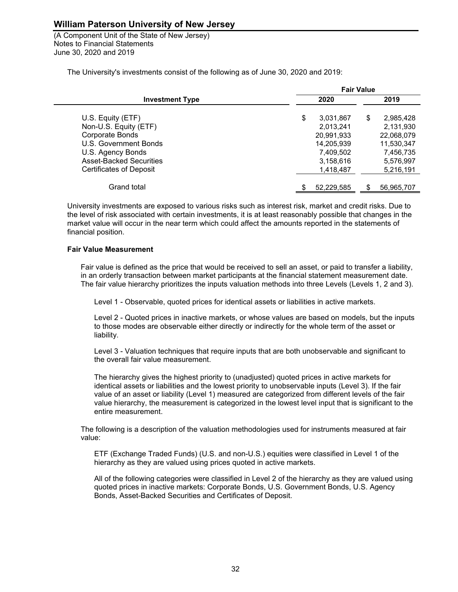(A Component Unit of the State of New Jersey) Notes to Financial Statements June 30, 2020 and 2019

The University's investments consist of the following as of June 30, 2020 and 2019:

|                                                                                                         | <b>Fair Value</b> |                                                   |    |                                                   |  |  |  |  |
|---------------------------------------------------------------------------------------------------------|-------------------|---------------------------------------------------|----|---------------------------------------------------|--|--|--|--|
| <b>Investment Type</b>                                                                                  | 2020              |                                                   |    | 2019                                              |  |  |  |  |
| U.S. Equity (ETF)<br>Non-U.S. Equity (ETF)<br>Corporate Bonds                                           | \$                | 3,031,867<br>2,013,241<br>20,991,933              | \$ | 2,985,428<br>2,131,930<br>22,068,079              |  |  |  |  |
| U.S. Government Bonds<br>U.S. Agency Bonds<br><b>Asset-Backed Securities</b><br>Certificates of Deposit |                   | 14,205,939<br>7,409,502<br>3,158,616<br>1,418,487 |    | 11,530,347<br>7,456,735<br>5,576,997<br>5,216,191 |  |  |  |  |
| Grand total                                                                                             |                   | 52,229,585                                        |    | 56,965,707                                        |  |  |  |  |

University investments are exposed to various risks such as interest risk, market and credit risks. Due to the level of risk associated with certain investments, it is at least reasonably possible that changes in the market value will occur in the near term which could affect the amounts reported in the statements of financial position.

### **Fair Value Measurement**

Fair value is defined as the price that would be received to sell an asset, or paid to transfer a liability, in an orderly transaction between market participants at the financial statement measurement date. The fair value hierarchy prioritizes the inputs valuation methods into three Levels (Levels 1, 2 and 3).

Level 1 - Observable, quoted prices for identical assets or liabilities in active markets.

Level 2 - Quoted prices in inactive markets, or whose values are based on models, but the inputs to those modes are observable either directly or indirectly for the whole term of the asset or liability.

Level 3 - Valuation techniques that require inputs that are both unobservable and significant to the overall fair value measurement.

The hierarchy gives the highest priority to (unadjusted) quoted prices in active markets for identical assets or liabilities and the lowest priority to unobservable inputs (Level 3). If the fair value of an asset or liability (Level 1) measured are categorized from different levels of the fair value hierarchy, the measurement is categorized in the lowest level input that is significant to the entire measurement.

The following is a description of the valuation methodologies used for instruments measured at fair value:

ETF (Exchange Traded Funds) (U.S. and non-U.S.) equities were classified in Level 1 of the hierarchy as they are valued using prices quoted in active markets.

All of the following categories were classified in Level 2 of the hierarchy as they are valued using quoted prices in inactive markets: Corporate Bonds, U.S. Government Bonds, U.S. Agency Bonds, Asset-Backed Securities and Certificates of Deposit.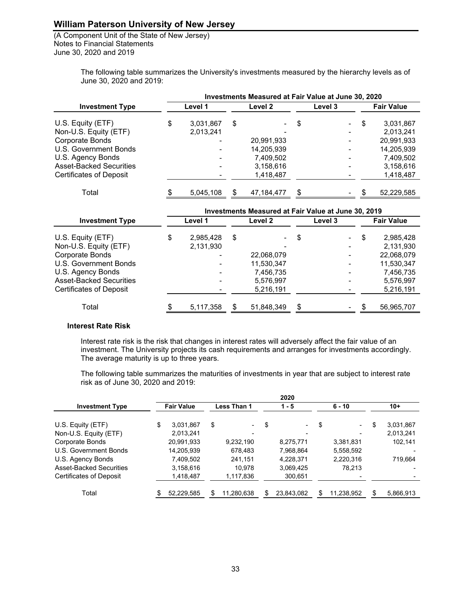(A Component Unit of the State of New Jersey) Notes to Financial Statements June 30, 2020 and 2019

> The following table summarizes the University's investments measured by the hierarchy levels as of June 30, 2020 and 2019:

|                                | Investments Measured at Fair Value at June 30, 2020 |           |    |            |    |         |   |                   |  |  |
|--------------------------------|-----------------------------------------------------|-----------|----|------------|----|---------|---|-------------------|--|--|
| <b>Investment Type</b>         |                                                     | Level 1   |    | Level 2    |    | Level 3 |   | <b>Fair Value</b> |  |  |
| U.S. Equity (ETF)              | \$                                                  | 3,031,867 | \$ | ۰.         | \$ | Ξ.      | S | 3,031,867         |  |  |
| Non-U.S. Equity (ETF)          |                                                     | 2,013,241 |    |            |    | ۰       |   | 2,013,241         |  |  |
| Corporate Bonds                |                                                     |           |    | 20,991,933 |    |         |   | 20,991,933        |  |  |
| U.S. Government Bonds          |                                                     |           |    | 14,205,939 |    |         |   | 14,205,939        |  |  |
| U.S. Agency Bonds              |                                                     |           |    | 7,409,502  |    |         |   | 7,409,502         |  |  |
| <b>Asset-Backed Securities</b> |                                                     |           |    | 3,158,616  |    |         |   | 3,158,616         |  |  |
| Certificates of Deposit        |                                                     |           |    | 1,418,487  |    |         |   | 1,418,487         |  |  |
| Total                          | \$                                                  | 5,045,108 | S  | 47,184,477 | \$ |         |   | 52,229,585        |  |  |

|                                |    | Investments Measured at Fair Value at June 30, 2019 |    |            |    |         |                   |            |  |  |  |
|--------------------------------|----|-----------------------------------------------------|----|------------|----|---------|-------------------|------------|--|--|--|
| <b>Investment Type</b>         |    | Level 1                                             |    | Level 2    |    | Level 3 | <b>Fair Value</b> |            |  |  |  |
| U.S. Equity (ETF)              | \$ | 2,985,428                                           | \$ | ۰.         | \$ | н.      | -\$               | 2,985,428  |  |  |  |
| Non-U.S. Equity (ETF)          |    | 2,131,930                                           |    |            |    | ۰       |                   | 2,131,930  |  |  |  |
| Corporate Bonds                |    |                                                     |    | 22,068,079 |    |         |                   | 22,068,079 |  |  |  |
| U.S. Government Bonds          |    |                                                     |    | 11,530,347 |    |         |                   | 11,530,347 |  |  |  |
| U.S. Agency Bonds              |    |                                                     |    | 7,456,735  |    |         |                   | 7,456,735  |  |  |  |
| <b>Asset-Backed Securities</b> |    |                                                     |    | 5,576,997  |    |         |                   | 5,576,997  |  |  |  |
| Certificates of Deposit        |    |                                                     |    | 5,216,191  |    |         |                   | 5,216,191  |  |  |  |
| Total                          |    | 5,117,358                                           |    | 51,848,349 | \$ |         |                   | 56,965,707 |  |  |  |

#### **Interest Rate Risk**

Interest rate risk is the risk that changes in interest rates will adversely affect the fair value of an investment. The University projects its cash requirements and arranges for investments accordingly. The average maturity is up to three years.

The following table summarizes the maturities of investments in year that are subject to interest rate risk as of June 30, 2020 and 2019:

| 2020              |             |              |                  |                 |  |  |  |  |  |  |
|-------------------|-------------|--------------|------------------|-----------------|--|--|--|--|--|--|
| <b>Fair Value</b> | Less Than 1 | $1 - 5$      | $6 - 10$         | $10+$           |  |  |  |  |  |  |
| 3.031.867<br>\$   | \$<br>$-$   | \$<br>$\sim$ | \$<br>$\sim$     | \$<br>3,031,867 |  |  |  |  |  |  |
| 2,013,241         |             |              |                  | 2,013,241       |  |  |  |  |  |  |
| 20,991,933        | 9,232,190   | 8,275,771    | 3,381,831        | 102,141         |  |  |  |  |  |  |
| 14,205,939        | 678.483     | 7,968,864    | 5,558,592        |                 |  |  |  |  |  |  |
| 7,409,502         | 241,151     | 4,228,371    | 2,220,316        | 719,664         |  |  |  |  |  |  |
| 3,158,616         | 10.978      | 3,069,425    | 78.213           |                 |  |  |  |  |  |  |
| 1,418,487         | 1,117,836   | 300,651      |                  |                 |  |  |  |  |  |  |
| 52,229,585        | 11,280,638  | 23,843,082   | \$<br>11,238,952 | 5,866,913       |  |  |  |  |  |  |
|                   |             |              |                  |                 |  |  |  |  |  |  |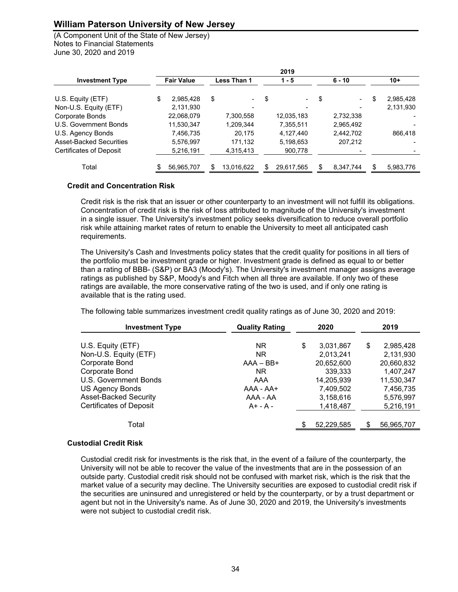(A Component Unit of the State of New Jersey) Notes to Financial Statements June 30, 2020 and 2019

| 2019              |            |             |            |         |                          |          |           |    |           |  |
|-------------------|------------|-------------|------------|---------|--------------------------|----------|-----------|----|-----------|--|
| <b>Fair Value</b> |            | Less Than 1 |            | $1 - 5$ |                          | $6 - 10$ |           |    | $10+$     |  |
| \$                | 2,985,428  | \$          | $\sim$     | S       | $\overline{\phantom{0}}$ | \$       | $\sim$    | \$ | 2,985,428 |  |
|                   | 2,131,930  |             |            |         |                          |          |           |    | 2,131,930 |  |
|                   | 22,068,079 |             | 7,300,558  |         | 12,035,183               |          | 2,732,338 |    |           |  |
|                   | 11,530,347 |             | 1,209,344  |         | 7,355,511                |          | 2,965,492 |    |           |  |
|                   | 7.456.735  |             | 20.175     |         | 4.127.440                |          | 2.442.702 |    | 866.418   |  |
|                   | 5,576,997  |             | 171,132    |         | 5,198,653                |          | 207,212   |    |           |  |
|                   | 5,216,191  |             | 4,315,413  |         | 900,778                  |          |           |    |           |  |
|                   |            |             |            |         |                          |          |           |    |           |  |
|                   | 56,965,707 | \$          | 13,016,622 |         | 29,617,565               | \$       | 8,347,744 |    | 5,983,776 |  |
|                   |            |             |            |         |                          |          |           |    |           |  |

### **Credit and Concentration Risk**

Credit risk is the risk that an issuer or other counterparty to an investment will not fulfill its obligations. Concentration of credit risk is the risk of loss attributed to magnitude of the University's investment in a single issuer. The University's investment policy seeks diversification to reduce overall portfolio risk while attaining market rates of return to enable the University to meet all anticipated cash requirements.

The University's Cash and Investments policy states that the credit quality for positions in all tiers of the portfolio must be investment grade or higher. Investment grade is defined as equal to or better than a rating of BBB- (S&P) or BA3 (Moody's). The University's investment manager assigns average ratings as published by S&P, Moody's and Fitch when all three are available. If only two of these ratings are available, the more conservative rating of the two is used, and if only one rating is available that is the rating used.

The following table summarizes investment credit quality ratings as of June 30, 2020 and 2019:

| <b>Investment Type</b>         | <b>Quality Rating</b> | 2020 |            | 2019 |            |
|--------------------------------|-----------------------|------|------------|------|------------|
| U.S. Equity (ETF)              | NR.                   | \$   | 3,031,867  | \$   | 2,985,428  |
| Non-U.S. Equity (ETF)          | NR.                   |      | 2,013,241  |      | 2,131,930  |
| Corporate Bond                 | $AAA - BB+$           |      | 20,652,600 |      | 20,660,832 |
| Corporate Bond                 | NR.                   |      | 339,333    |      | 1,407,247  |
| U.S. Government Bonds          | AAA                   |      | 14,205,939 |      | 11,530,347 |
| US Agency Bonds                | $AAA - A$             |      | 7,409,502  |      | 7,456,735  |
| <b>Asset-Backed Security</b>   | AAA - AA              |      | 3,158,616  |      | 5,576,997  |
| <b>Certificates of Deposit</b> | $A+ - A -$            |      | 1,418,487  |      | 5,216,191  |
| Total                          |                       |      | 52,229,585 |      | 56,965,707 |

#### **Custodial Credit Risk**

Custodial credit risk for investments is the risk that, in the event of a failure of the counterparty, the University will not be able to recover the value of the investments that are in the possession of an outside party. Custodial credit risk should not be confused with market risk, which is the risk that the market value of a security may decline. The University securities are exposed to custodial credit risk if the securities are uninsured and unregistered or held by the counterparty, or by a trust department or agent but not in the University's name. As of June 30, 2020 and 2019, the University's investments were not subject to custodial credit risk.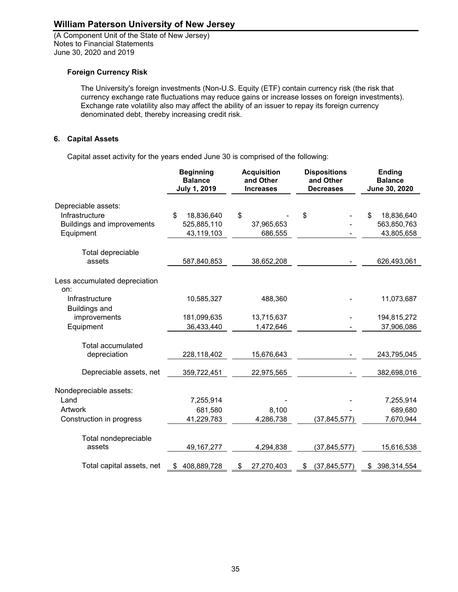(A Component Unit of the State of New Jersey) Notes to Financial Statements June 30, 2020 and 2019

### **Foreign Currency Risk**

The University's foreign investments (Non-U.S. Equity (ETF) contain currency risk (the risk that currency exchange rate fluctuations may reduce gains or increase losses on foreign investments). Exchange rate volatility also may affect the ability of an issuer to repay its foreign currency denominated debt, thereby increasing credit risk.

### **6. Capital Assets**

Capital asset activity for the years ended June 30 is comprised of the following:

|                                      | <b>Beginning</b><br><b>Balance</b><br><b>July 1, 2019</b> | <b>Acquisition</b><br>and Other<br><b>Increases</b> | <b>Dispositions</b><br>and Other<br><b>Decreases</b> | Ending<br><b>Balance</b><br>June 30, 2020 |  |
|--------------------------------------|-----------------------------------------------------------|-----------------------------------------------------|------------------------------------------------------|-------------------------------------------|--|
| Depreciable assets:                  |                                                           |                                                     |                                                      |                                           |  |
| Infrastructure                       | \$<br>18,836,640                                          | \$                                                  | \$                                                   | \$<br>18,836,640                          |  |
| Buildings and improvements           | 525,885,110                                               | 37,965,653                                          |                                                      | 563,850,763                               |  |
| Equipment                            | 43,119,103                                                | 686,555                                             |                                                      | 43,805,658                                |  |
| Total depreciable                    |                                                           |                                                     |                                                      |                                           |  |
| assets                               | 587,840,853                                               | 38,652,208                                          |                                                      | 626,493,061                               |  |
| Less accumulated depreciation<br>on: |                                                           |                                                     |                                                      |                                           |  |
| Infrastructure                       | 10,585,327                                                | 488,360                                             |                                                      | 11,073,687                                |  |
| <b>Buildings and</b>                 |                                                           |                                                     |                                                      |                                           |  |
| improvements                         | 181,099,635                                               | 13,715,637                                          |                                                      | 194,815,272                               |  |
| Equipment                            | 36,433,440                                                | 1,472,646                                           |                                                      | 37,906,086                                |  |
| Total accumulated                    |                                                           |                                                     |                                                      |                                           |  |
| depreciation                         | 228,118,402                                               | 15,676,643                                          |                                                      | 243,795,045                               |  |
|                                      |                                                           |                                                     |                                                      |                                           |  |
| Depreciable assets, net              | 359,722,451                                               | 22,975,565                                          |                                                      | 382,698,016                               |  |
| Nondepreciable assets:               |                                                           |                                                     |                                                      |                                           |  |
| Land                                 | 7,255,914                                                 |                                                     |                                                      | 7,255,914                                 |  |
| <b>Artwork</b>                       | 681,580                                                   | 8,100                                               |                                                      | 689,680                                   |  |
| Construction in progress             | 41,229,783                                                | 4,286,738                                           | (37, 845, 577)                                       | 7,670,944                                 |  |
| Total nondepreciable                 |                                                           |                                                     |                                                      |                                           |  |
| assets                               | 49, 167, 277                                              | 4,294,838                                           | (37, 845, 577)                                       | 15,616,538                                |  |
| Total capital assets, net            | \$<br>408,889,728                                         | \$<br>27,270,403                                    | \$<br>(37, 845, 577)                                 | 398,314,554<br>\$                         |  |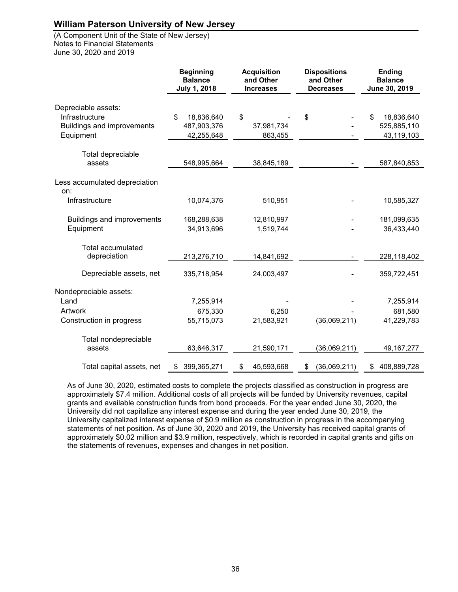(A Component Unit of the State of New Jersey) Notes to Financial Statements June 30, 2020 and 2019

|                                          | <b>Beginning</b><br><b>Balance</b><br><b>July 1, 2018</b> | <b>Acquisition</b><br>and Other<br><b>Increases</b> | <b>Dispositions</b><br>and Other<br><b>Decreases</b> | Ending<br><b>Balance</b><br>June 30, 2019 |
|------------------------------------------|-----------------------------------------------------------|-----------------------------------------------------|------------------------------------------------------|-------------------------------------------|
| Depreciable assets:                      |                                                           |                                                     |                                                      |                                           |
| Infrastructure                           | \$<br>18,836,640                                          | \$                                                  | \$                                                   | \$<br>18,836,640                          |
| <b>Buildings and improvements</b>        | 487,903,376                                               | 37,981,734                                          |                                                      | 525,885,110                               |
| Equipment                                | 42,255,648                                                | 863,455                                             |                                                      | 43,119,103                                |
| Total depreciable                        |                                                           |                                                     |                                                      |                                           |
| assets                                   | 548,995,664                                               | 38,845,189                                          |                                                      | 587,840,853                               |
| Less accumulated depreciation<br>on:     |                                                           |                                                     |                                                      |                                           |
| Infrastructure                           | 10,074,376                                                | 510,951                                             |                                                      | 10,585,327                                |
| Buildings and improvements               | 168,288,638                                               | 12,810,997                                          |                                                      | 181,099,635                               |
| Equipment                                | 34,913,696                                                | 1,519,744                                           |                                                      | 36,433,440                                |
|                                          |                                                           |                                                     |                                                      |                                           |
| <b>Total accumulated</b><br>depreciation | 213,276,710                                               | 14,841,692                                          |                                                      | 228,118,402                               |
|                                          |                                                           |                                                     |                                                      |                                           |
| Depreciable assets, net                  | 335,718,954                                               | 24,003,497                                          |                                                      | 359,722,451                               |
| Nondepreciable assets:                   |                                                           |                                                     |                                                      |                                           |
| Land                                     | 7,255,914                                                 |                                                     |                                                      | 7,255,914                                 |
| Artwork                                  | 675,330                                                   | 6,250                                               |                                                      | 681,580                                   |
| Construction in progress                 | 55,715,073                                                | 21,583,921                                          | (36,069,211)                                         | 41,229,783                                |
| Total nondepreciable                     |                                                           |                                                     |                                                      |                                           |
| assets                                   | 63,646,317                                                | 21,590,171                                          | (36,069,211)                                         | 49, 167, 277                              |
| Total capital assets, net                | \$<br>399,365,271                                         | \$<br>45,593,668                                    | \$<br>(36,069,211)                                   | 408,889,728<br>\$                         |

As of June 30, 2020, estimated costs to complete the projects classified as construction in progress are approximately \$7.4 million. Additional costs of all projects will be funded by University revenues, capital grants and available construction funds from bond proceeds. For the year ended June 30, 2020, the University did not capitalize any interest expense and during the year ended June 30, 2019, the University capitalized interest expense of \$0.9 million as construction in progress in the accompanying statements of net position. As of June 30, 2020 and 2019, the University has received capital grants of approximately \$0.02 million and \$3.9 million, respectively, which is recorded in capital grants and gifts on the statements of revenues, expenses and changes in net position.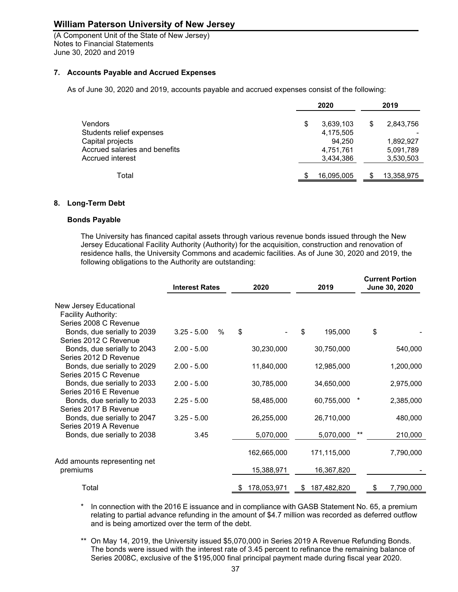(A Component Unit of the State of New Jersey) Notes to Financial Statements June 30, 2020 and 2019

### **7. Accounts Payable and Accrued Expenses**

As of June 30, 2020 and 2019, accounts payable and accrued expenses consist of the following:

| 2020 |            | 2019 |            |
|------|------------|------|------------|
| S    | 3,639,103  | S    | 2,843,756  |
|      | 4,175,505  |      |            |
|      | 94.250     |      | 1,892,927  |
|      | 4,751,761  |      | 5,091,789  |
|      | 3,434,386  |      | 3,530,503  |
|      | 16,095,005 |      | 13,358,975 |
|      |            |      |            |

### **8. Long-Term Debt**

#### **Bonds Payable**

The University has financed capital assets through various revenue bonds issued through the New Jersey Educational Facility Authority (Authority) for the acquisition, construction and renovation of residence halls, the University Commons and academic facilities. As of June 30, 2020 and 2019, the following obligations to the Authority are outstanding:

|                                                      | 2020<br><b>Interest Rates</b> |      | 2019              |    | <b>Current Portion</b><br>June 30, 2020 |    |    |           |
|------------------------------------------------------|-------------------------------|------|-------------------|----|-----------------------------------------|----|----|-----------|
| New Jersey Educational                               |                               |      |                   |    |                                         |    |    |           |
| Facility Authority:                                  |                               |      |                   |    |                                         |    |    |           |
| Series 2008 C Revenue                                |                               |      |                   |    |                                         |    |    |           |
| Bonds, due serially to 2039<br>Series 2012 C Revenue | $3.25 - 5.00$                 | $\%$ | \$                | \$ | 195,000                                 |    | \$ |           |
| Bonds, due serially to 2043                          | $2.00 - 5.00$                 |      | 30,230,000        |    | 30,750,000                              |    |    | 540,000   |
| Series 2012 D Revenue                                |                               |      |                   |    |                                         |    |    |           |
| Bonds, due serially to 2029                          | $2.00 - 5.00$                 |      | 11,840,000        |    | 12,985,000                              |    |    | 1,200,000 |
| Series 2015 C Revenue                                |                               |      |                   |    |                                         |    |    |           |
| Bonds, due serially to 2033                          | $2.00 - 5.00$                 |      | 30,785,000        |    | 34,650,000                              |    |    | 2,975,000 |
| Series 2016 E Revenue                                |                               |      |                   |    |                                         |    |    |           |
| Bonds, due serially to 2033                          | $2.25 - 5.00$                 |      | 58,485,000        |    | 60,755,000                              |    |    | 2,385,000 |
| Series 2017 B Revenue                                |                               |      |                   |    |                                         |    |    |           |
| Bonds, due serially to 2047                          | $3.25 - 5.00$                 |      | 26,255,000        |    | 26,710,000                              |    |    | 480,000   |
| Series 2019 A Revenue                                |                               |      |                   |    |                                         |    |    |           |
| Bonds, due serially to 2038                          | 3.45                          |      | 5,070,000         |    | 5,070,000                               | ** |    | 210,000   |
|                                                      |                               |      |                   |    |                                         |    |    |           |
|                                                      |                               |      | 162,665,000       |    | 171,115,000                             |    |    | 7,790,000 |
| Add amounts representing net                         |                               |      |                   |    |                                         |    |    |           |
| premiums                                             |                               |      | 15,388,971        |    | 16,367,820                              |    |    |           |
|                                                      |                               |      |                   |    |                                         |    |    |           |
| Total                                                |                               |      | \$<br>178,053,971 | \$ | 187,482,820                             |    | \$ | 7,790,000 |

\* In connection with the 2016 E issuance and in compliance with GASB Statement No. 65, a premium relating to partial advance refunding in the amount of \$4.7 million was recorded as deferred outflow and is being amortized over the term of the debt.

\*\* On May 14, 2019, the University issued \$5,070,000 in Series 2019 A Revenue Refunding Bonds. The bonds were issued with the interest rate of 3.45 percent to refinance the remaining balance of Series 2008C, exclusive of the \$195,000 final principal payment made during fiscal year 2020.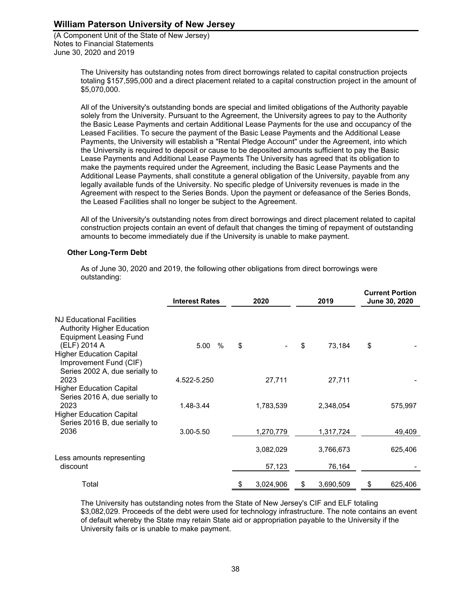(A Component Unit of the State of New Jersey) Notes to Financial Statements June 30, 2020 and 2019

> The University has outstanding notes from direct borrowings related to capital construction projects totaling \$157,595,000 and a direct placement related to a capital construction project in the amount of \$5,070,000.

All of the University's outstanding bonds are special and limited obligations of the Authority payable solely from the University. Pursuant to the Agreement, the University agrees to pay to the Authority the Basic Lease Payments and certain Additional Lease Payments for the use and occupancy of the Leased Facilities. To secure the payment of the Basic Lease Payments and the Additional Lease Payments, the University will establish a "Rental Pledge Account" under the Agreement, into which the University is required to deposit or cause to be deposited amounts sufficient to pay the Basic Lease Payments and Additional Lease Payments The University has agreed that its obligation to make the payments required under the Agreement, including the Basic Lease Payments and the Additional Lease Payments, shall constitute a general obligation of the University, payable from any legally available funds of the University. No specific pledge of University revenues is made in the Agreement with respect to the Series Bonds. Upon the payment or defeasance of the Series Bonds, the Leased Facilities shall no longer be subject to the Agreement.

All of the University's outstanding notes from direct borrowings and direct placement related to capital construction projects contain an event of default that changes the timing of repayment of outstanding amounts to become immediately due if the University is unable to make payment.

### **Other Long-Term Debt**

As of June 30, 2020 and 2019, the following other obligations from direct borrowings were outstanding:

|                                                                                                                                                                                     | <b>Interest Rates</b> | 2020 |           | 2019 |           | <b>Current Portion</b><br>June 30, 2020 |         |
|-------------------------------------------------------------------------------------------------------------------------------------------------------------------------------------|-----------------------|------|-----------|------|-----------|-----------------------------------------|---------|
| <b>NJ Educational Facilities</b><br><b>Authority Higher Education</b><br><b>Equipment Leasing Fund</b><br>(ELF) 2014 A<br><b>Higher Education Capital</b><br>Improvement Fund (CIF) | $\%$<br>5.00          | \$   |           | \$   | 73,184    | \$                                      |         |
| Series 2002 A, due serially to<br>2023<br><b>Higher Education Capital</b>                                                                                                           | 4.522-5.250           |      | 27,711    |      | 27,711    |                                         |         |
| Series 2016 A, due serially to<br>2023<br><b>Higher Education Capital</b>                                                                                                           | 1.48-3.44             |      | 1,783,539 |      | 2,348,054 |                                         | 575,997 |
| Series 2016 B, due serially to<br>2036                                                                                                                                              | 3.00-5.50             |      | 1,270,779 |      | 1,317,724 |                                         | 49,409  |
|                                                                                                                                                                                     |                       |      | 3,082,029 |      | 3,766,673 |                                         | 625,406 |
| Less amounts representing<br>discount                                                                                                                                               |                       |      | 57,123    |      | 76,164    |                                         |         |
| Total                                                                                                                                                                               |                       | \$   | 3,024,906 |      | 3,690,509 | \$                                      | 625,406 |

The University has outstanding notes from the State of New Jersey's CIF and ELF totaling \$3,082,029. Proceeds of the debt were used for technology infrastructure. The note contains an event of default whereby the State may retain State aid or appropriation payable to the University if the University fails or is unable to make payment.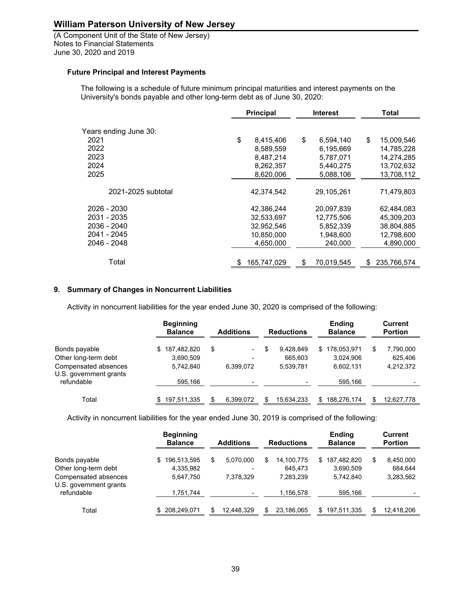(A Component Unit of the State of New Jersey) Notes to Financial Statements June 30, 2020 and 2019

### **Future Principal and Interest Payments**

The following is a schedule of future minimum principal maturities and interest payments on the University's bonds payable and other long-term debt as of June 30, 2020:

|                       | <b>Principal</b>  | <b>Interest</b>  | Total             |
|-----------------------|-------------------|------------------|-------------------|
| Years ending June 30: |                   |                  |                   |
| 2021                  | \$<br>8,415,406   | \$<br>6,594,140  | \$<br>15,009,546  |
| 2022                  | 8,589,559         | 6,195,669        | 14,785,228        |
| 2023                  |                   |                  |                   |
|                       | 8,487,214         | 5,787,071        | 14,274,285        |
| 2024                  | 8,262,357         | 5,440,275        | 13,702,632        |
| 2025                  | 8,620,006         | 5,088,106        | 13,708,112        |
|                       |                   |                  |                   |
| 2021-2025 subtotal    | 42,374,542        | 29,105,261       | 71,479,803        |
| 2026 - 2030           | 42,386,244        | 20.097.839       | 62,484,083        |
| 2031 - 2035           | 32,533,697        | 12,775,506       | 45,309,203        |
| 2036 - 2040           | 32,952,546        | 5,852,339        | 38,804,885        |
| 2041 - 2045           | 10,850,000        | 1,948,600        | 12,798,600        |
| 2046 - 2048           | 4,650,000         | 240,000          | 4,890,000         |
|                       |                   |                  |                   |
| Total                 | 165,747,029<br>\$ | \$<br>70.019.545 | 235,766,574<br>\$ |

### **9. Summary of Changes in Noncurrent Liabilities**

Activity in noncurrent liabilities for the year ended June 30, 2020 is comprised of the following:

|                                                | <b>Beginning</b><br><b>Balance</b> | <b>Additions</b>               | <b>Reductions</b>        | <b>Ending</b><br><b>Balance</b> | <b>Current</b><br><b>Portion</b> |
|------------------------------------------------|------------------------------------|--------------------------------|--------------------------|---------------------------------|----------------------------------|
| Bonds payable                                  | 187,482,820                        | \$<br>$\overline{\phantom{0}}$ | 9.428.849<br>\$          | 178.053.971<br>\$               | 7,790,000<br>\$                  |
| Other long-term debt                           | 3,690,509                          | $\overline{\phantom{a}}$       | 665,603                  | 3,024,906                       | 625,406                          |
| Compensated absences<br>U.S. government grants | 5.742.840                          | 6.399.072                      | 5,539,781                | 6.602.131                       | 4,212,372                        |
| refundable                                     | 595,166                            | ٠                              | $\overline{\phantom{0}}$ | 595,166                         |                                  |
| Total                                          | 197,511,335                        | \$<br>6.399.072                | 15,634,233<br>\$         | 188.276.174<br>\$               | 12,627,778<br>\$.                |

Activity in noncurrent liabilities for the year ended June 30, 2019 is comprised of the following:

|                                                | <b>Beginning</b><br><b>Balance</b> | <b>Additions</b> | <b>Reductions</b>                   | <b>Ending</b><br><b>Balance</b> | <b>Current</b><br><b>Portion</b> |
|------------------------------------------------|------------------------------------|------------------|-------------------------------------|---------------------------------|----------------------------------|
| Bonds payable                                  | 196,513,595<br>\$                  | 5.070.000<br>\$  | 14,100,775<br>S                     | 187.482.820<br>S                | 8,450,000<br>S                   |
| Other long-term debt                           | 4,335,982                          |                  | 645.473<br>$\overline{\phantom{0}}$ | 3,690,509                       | 684.644                          |
| Compensated absences<br>U.S. government grants | 5,647,750                          | 7.378.329        | 7.283.239                           | 5.742.840                       | 3,283,562                        |
| refundable                                     | 1,751,744                          |                  | 1,156,578                           | 595,166                         |                                  |
| Total                                          | 208,249,071                        | 12,448,329<br>\$ | 23,186,065                          | 197,511,335<br>\$.              | 12,418,206                       |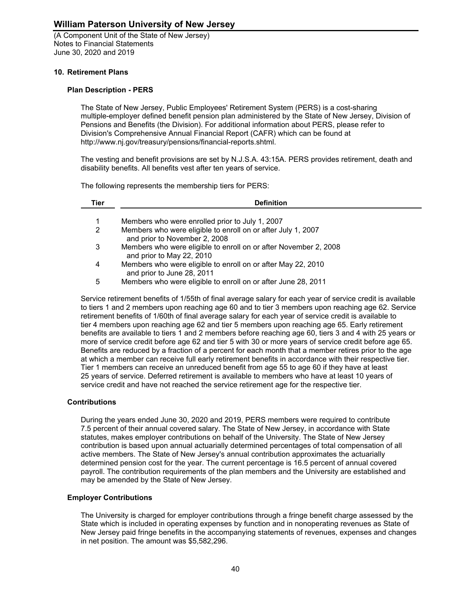(A Component Unit of the State of New Jersey) Notes to Financial Statements June 30, 2020 and 2019

### **10. Retirement Plans**

### **Plan Description - PERS**

The State of New Jersey, Public Employees' Retirement System (PERS) is a cost-sharing multiple-employer defined benefit pension plan administered by the State of New Jersey, Division of Pensions and Benefits (the Division). For additional information about PERS, please refer to Division's Comprehensive Annual Financial Report (CAFR) which can be found at http://www.nj.gov/treasury/pensions/financial-reports.shtml.

The vesting and benefit provisions are set by N.J.S.A. 43:15A. PERS provides retirement, death and disability benefits. All benefits vest after ten years of service.

The following represents the membership tiers for PERS:

| Tier | <b>Definition</b>                                                                             |
|------|-----------------------------------------------------------------------------------------------|
|      |                                                                                               |
|      | Members who were enrolled prior to July 1, 2007                                               |
| 2    | Members who were eligible to enroll on or after July 1, 2007<br>and prior to November 2, 2008 |
| 3    | Members who were eligible to enroll on or after November 2, 2008<br>and prior to May 22, 2010 |
| 4    | Members who were eligible to enroll on or after May 22, 2010<br>and prior to June 28, 2011    |
| 5    | Members who were eligible to enroll on or after June 28, 2011                                 |

Service retirement benefits of 1/55th of final average salary for each year of service credit is available to tiers 1 and 2 members upon reaching age 60 and to tier 3 members upon reaching age 62. Service retirement benefits of 1/60th of final average salary for each year of service credit is available to tier 4 members upon reaching age 62 and tier 5 members upon reaching age 65. Early retirement benefits are available to tiers 1 and 2 members before reaching age 60, tiers 3 and 4 with 25 years or more of service credit before age 62 and tier 5 with 30 or more years of service credit before age 65. Benefits are reduced by a fraction of a percent for each month that a member retires prior to the age at which a member can receive full early retirement benefits in accordance with their respective tier. Tier 1 members can receive an unreduced benefit from age 55 to age 60 if they have at least 25 years of service. Deferred retirement is available to members who have at least 10 years of service credit and have not reached the service retirement age for the respective tier.

### **Contributions**

During the years ended June 30, 2020 and 2019, PERS members were required to contribute 7.5 percent of their annual covered salary. The State of New Jersey, in accordance with State statutes, makes employer contributions on behalf of the University. The State of New Jersey contribution is based upon annual actuarially determined percentages of total compensation of all active members. The State of New Jersey's annual contribution approximates the actuarially determined pension cost for the year. The current percentage is 16.5 percent of annual covered payroll. The contribution requirements of the plan members and the University are established and may be amended by the State of New Jersey.

#### **Employer Contributions**

The University is charged for employer contributions through a fringe benefit charge assessed by the State which is included in operating expenses by function and in nonoperating revenues as State of New Jersey paid fringe benefits in the accompanying statements of revenues, expenses and changes in net position. The amount was \$5,582,296.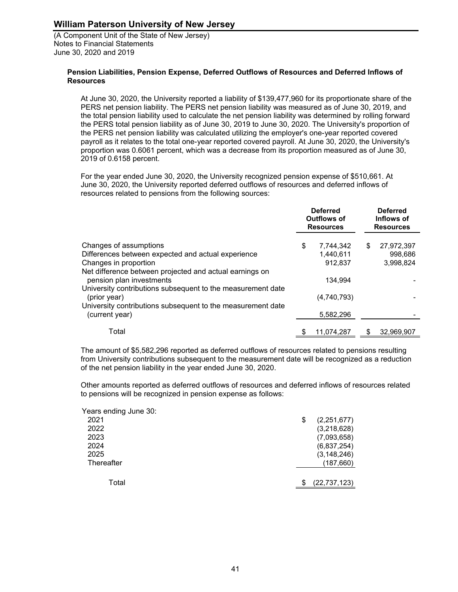(A Component Unit of the State of New Jersey) Notes to Financial Statements June 30, 2020 and 2019

### **Pension Liabilities, Pension Expense, Deferred Outflows of Resources and Deferred Inflows of Resources**

At June 30, 2020, the University reported a liability of \$139,477,960 for its proportionate share of the PERS net pension liability. The PERS net pension liability was measured as of June 30, 2019, and the total pension liability used to calculate the net pension liability was determined by rolling forward the PERS total pension liability as of June 30, 2019 to June 30, 2020. The University's proportion of the PERS net pension liability was calculated utilizing the employer's one-year reported covered payroll as it relates to the total one-year reported covered payroll. At June 30, 2020, the University's proportion was 0.6061 percent, which was a decrease from its proportion measured as of June 30, 2019 of 0.6158 percent.

For the year ended June 30, 2020, the University recognized pension expense of \$510,661. At June 30, 2020, the University reported deferred outflows of resources and deferred inflows of resources related to pensions from the following sources:

|                                                                                     | <b>Deferred</b><br>Outflows of<br><b>Resources</b> |             | <b>Deferred</b><br>Inflows of<br><b>Resources</b> |
|-------------------------------------------------------------------------------------|----------------------------------------------------|-------------|---------------------------------------------------|
| Changes of assumptions                                                              | \$                                                 | 7,744,342   | \$<br>27,972,397                                  |
| Differences between expected and actual experience                                  |                                                    | 1,440,611   | 998,686                                           |
| Changes in proportion                                                               |                                                    | 912.837     | 3,998,824                                         |
| Net difference between projected and actual earnings on<br>pension plan investments |                                                    | 134.994     |                                                   |
| University contributions subsequent to the measurement date<br>(prior year)         |                                                    | (4,740,793) |                                                   |
| University contributions subsequent to the measurement date<br>(current year)       |                                                    | 5,582,296   |                                                   |
| Total                                                                               |                                                    | 11,074,287  | 32.969.907                                        |

The amount of \$5,582,296 reported as deferred outflows of resources related to pensions resulting from University contributions subsequent to the measurement date will be recognized as a reduction of the net pension liability in the year ended June 30, 2020.

Other amounts reported as deferred outflows of resources and deferred inflows of resources related to pensions will be recognized in pension expense as follows:

| Years ending June 30: |                   |  |
|-----------------------|-------------------|--|
| 2021                  | (2,251,677)<br>\$ |  |
| 2022                  | (3,218,628)       |  |
| 2023                  | (7,093,658)       |  |
| 2024                  | (6,837,254)       |  |
| 2025                  | (3, 148, 246)     |  |
| Thereafter            | (187, 660)        |  |
|                       |                   |  |
| Total                 | (22, 737, 123)    |  |
|                       |                   |  |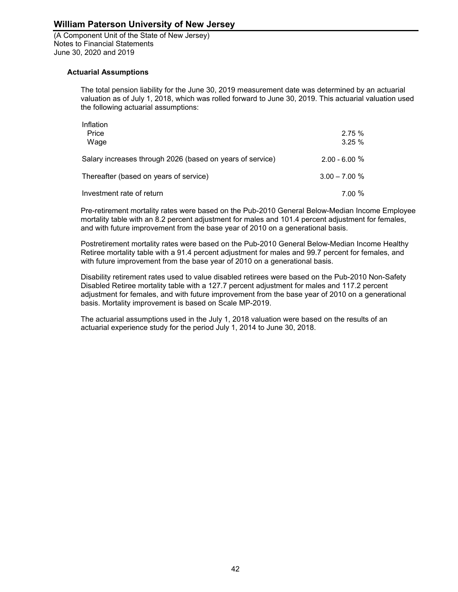(A Component Unit of the State of New Jersey) Notes to Financial Statements June 30, 2020 and 2019

### **Actuarial Assumptions**

The total pension liability for the June 30, 2019 measurement date was determined by an actuarial valuation as of July 1, 2018, which was rolled forward to June 30, 2019. This actuarial valuation used the following actuarial assumptions:

| Inflation<br>Price<br>Wage                                | 2.75%<br>3.25%   |
|-----------------------------------------------------------|------------------|
| Salary increases through 2026 (based on years of service) | $2.00 - 6.00 %$  |
| Thereafter (based on years of service)                    | $3.00 - 7.00 \%$ |
| Investment rate of return                                 | 7.00%            |

Pre-retirement mortality rates were based on the Pub-2010 General Below-Median Income Employee mortality table with an 8.2 percent adjustment for males and 101.4 percent adjustment for females, and with future improvement from the base year of 2010 on a generational basis.

Postretirement mortality rates were based on the Pub-2010 General Below-Median Income Healthy Retiree mortality table with a 91.4 percent adjustment for males and 99.7 percent for females, and with future improvement from the base year of 2010 on a generational basis.

Disability retirement rates used to value disabled retirees were based on the Pub-2010 Non-Safety Disabled Retiree mortality table with a 127.7 percent adjustment for males and 117.2 percent adjustment for females, and with future improvement from the base year of 2010 on a generational basis. Mortality improvement is based on Scale MP-2019.

The actuarial assumptions used in the July 1, 2018 valuation were based on the results of an actuarial experience study for the period July 1, 2014 to June 30, 2018.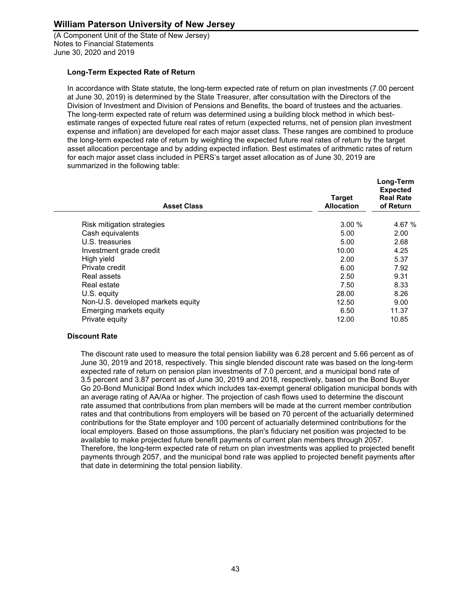(A Component Unit of the State of New Jersey) Notes to Financial Statements June 30, 2020 and 2019

### **Long-Term Expected Rate of Return**

In accordance with State statute, the long-term expected rate of return on plan investments (7.00 percent at June 30, 2019) is determined by the State Treasurer, after consultation with the Directors of the Division of Investment and Division of Pensions and Benefits, the board of trustees and the actuaries. The long-term expected rate of return was determined using a building block method in which bestestimate ranges of expected future real rates of return (expected returns, net of pension plan investment expense and inflation) are developed for each major asset class. These ranges are combined to produce the long-term expected rate of return by weighting the expected future real rates of return by the target asset allocation percentage and by adding expected inflation. Best estimates of arithmetic rates of return for each major asset class included in PERS's target asset allocation as of June 30, 2019 are summarized in the following table:

| <b>Asset Class</b>                | <b>Target</b><br><b>Allocation</b> | Long-Term<br><b>Expected</b><br><b>Real Rate</b><br>of Return |
|-----------------------------------|------------------------------------|---------------------------------------------------------------|
| Risk mitigation strategies        | 3.00%                              | 4.67 %                                                        |
| Cash equivalents                  | 5.00                               | 2.00                                                          |
| U.S. treasuries                   | 5.00                               | 2.68                                                          |
| Investment grade credit           | 10.00                              | 4.25                                                          |
| High yield                        | 2.00                               | 5.37                                                          |
| Private credit                    | 6.00                               | 7.92                                                          |
| Real assets                       | 2.50                               | 9.31                                                          |
| Real estate                       | 7.50                               | 8.33                                                          |
| U.S. equity                       | 28.00                              | 8.26                                                          |
| Non-U.S. developed markets equity | 12.50                              | 9.00                                                          |
| Emerging markets equity           | 6.50                               | 11.37                                                         |
| Private equity                    | 12.00                              | 10.85                                                         |
|                                   |                                    |                                                               |

#### **Discount Rate**

The discount rate used to measure the total pension liability was 6.28 percent and 5.66 percent as of June 30, 2019 and 2018, respectively. This single blended discount rate was based on the long-term expected rate of return on pension plan investments of 7.0 percent, and a municipal bond rate of 3.5 percent and 3.87 percent as of June 30, 2019 and 2018, respectively, based on the Bond Buyer Go 20-Bond Municipal Bond Index which includes tax-exempt general obligation municipal bonds with an average rating of AA/Aa or higher. The projection of cash flows used to determine the discount rate assumed that contributions from plan members will be made at the current member contribution rates and that contributions from employers will be based on 70 percent of the actuarially determined contributions for the State employer and 100 percent of actuarially determined contributions for the local employers. Based on those assumptions, the plan's fiduciary net position was projected to be available to make projected future benefit payments of current plan members through 2057. Therefore, the long-term expected rate of return on plan investments was applied to projected benefit payments through 2057, and the municipal bond rate was applied to projected benefit payments after that date in determining the total pension liability.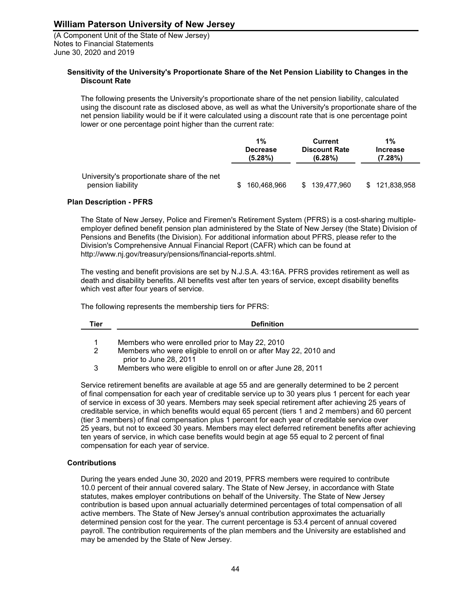(A Component Unit of the State of New Jersey) Notes to Financial Statements June 30, 2020 and 2019

### **Sensitivity of the University's Proportionate Share of the Net Pension Liability to Changes in the Discount Rate**

The following presents the University's proportionate share of the net pension liability, calculated using the discount rate as disclosed above, as well as what the University's proportionate share of the net pension liability would be if it were calculated using a discount rate that is one percentage point lower or one percentage point higher than the current rate:

|                                                                  | 1%<br><b>Decrease</b><br>$(5.28\%)$ | Current<br><b>Discount Rate</b><br>$(6.28\%)$ | 1%<br><b>Increase</b><br>(7.28%) |
|------------------------------------------------------------------|-------------------------------------|-----------------------------------------------|----------------------------------|
| University's proportionate share of the net<br>pension liability | 160.468.966                         | \$139.477.960                                 | \$121,838,958                    |

### **Plan Description - PFRS**

The State of New Jersey, Police and Firemen's Retirement System (PFRS) is a cost-sharing multipleemployer defined benefit pension plan administered by the State of New Jersey (the State) Division of Pensions and Benefits (the Division). For additional information about PFRS, please refer to the Division's Comprehensive Annual Financial Report (CAFR) which can be found at http://www.nj.gov/treasury/pensions/financial-reports.shtml.

The vesting and benefit provisions are set by N.J.S.A. 43:16A. PFRS provides retirement as well as death and disability benefits. All benefits vest after ten years of service, except disability benefits which vest after four years of service.

The following represents the membership tiers for PFRS:

| Tier | <b>Definition</b>                                                                          |
|------|--------------------------------------------------------------------------------------------|
|      |                                                                                            |
|      | Members who were enrolled prior to May 22, 2010                                            |
| 2    | Members who were eligible to enroll on or after May 22, 2010 and<br>prior to June 28, 2011 |
| 3    | Members who were eligible to enroll on or after June 28, 2011                              |

Service retirement benefits are available at age 55 and are generally determined to be 2 percent of final compensation for each year of creditable service up to 30 years plus 1 percent for each year of service in excess of 30 years. Members may seek special retirement after achieving 25 years of creditable service, in which benefits would equal 65 percent (tiers 1 and 2 members) and 60 percent (tier 3 members) of final compensation plus 1 percent for each year of creditable service over 25 years, but not to exceed 30 years. Members may elect deferred retirement benefits after achieving ten years of service, in which case benefits would begin at age 55 equal to 2 percent of final compensation for each year of service.

### **Contributions**

During the years ended June 30, 2020 and 2019, PFRS members were required to contribute 10.0 percent of their annual covered salary. The State of New Jersey, in accordance with State statutes, makes employer contributions on behalf of the University. The State of New Jersey contribution is based upon annual actuarially determined percentages of total compensation of all active members. The State of New Jersey's annual contribution approximates the actuarially determined pension cost for the year. The current percentage is 53.4 percent of annual covered payroll. The contribution requirements of the plan members and the University are established and may be amended by the State of New Jersey.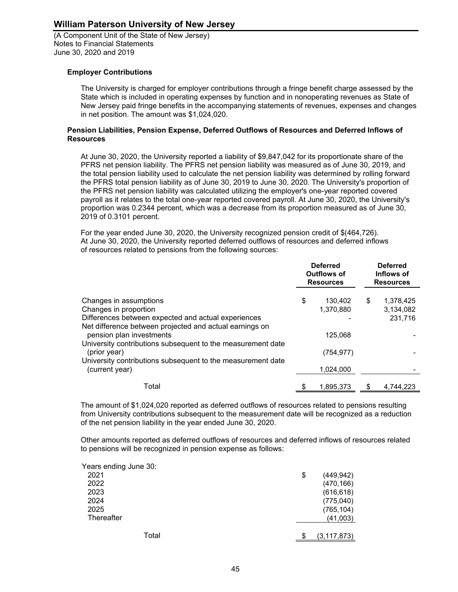(A Component Unit of the State of New Jersey) Notes to Financial Statements June 30, 2020 and 2019

### **Employer Contributions**

The University is charged for employer contributions through a fringe benefit charge assessed by the State which is included in operating expenses by function and in nonoperating revenues as State of New Jersey paid fringe benefits in the accompanying statements of revenues, expenses and changes in net position. The amount was \$1,024,020.

#### **Pension Liabilities, Pension Expense, Deferred Outflows of Resources and Deferred Inflows of Resources**

At June 30, 2020, the University reported a liability of \$9,847,042 for its proportionate share of the PFRS net pension liability. The PFRS net pension liability was measured as of June 30, 2019, and the total pension liability used to calculate the net pension liability was determined by rolling forward the PFRS total pension liability as of June 30, 2019 to June 30, 2020. The University's proportion of the PFRS net pension liability was calculated utilizing the employer's one-year reported covered payroll as it relates to the total one-year reported covered payroll. At June 30, 2020, the University's proportion was 0.2344 percent, which was a decrease from its proportion measured as of June 30, 2019 of 0.3101 percent.

For the year ended June 30, 2020, the University recognized pension credit of \$(464,726). At June 30, 2020, the University reported deferred outflows of resources and deferred inflows of resources related to pensions from the following sources:

|                                                                                                                | <b>Deferred</b><br>Outflows of<br><b>Resources</b> | <b>Deferred</b><br>Inflows of<br><b>Resources</b> |
|----------------------------------------------------------------------------------------------------------------|----------------------------------------------------|---------------------------------------------------|
| Changes in assumptions                                                                                         | \$<br>130.402                                      | \$<br>1,378,425                                   |
| Changes in proportion                                                                                          | 1,370,880                                          | 3,134,082                                         |
| Differences between expected and actual experiences<br>Net difference between projected and actual earnings on |                                                    | 231.716                                           |
| pension plan investments<br>University contributions subsequent to the measurement date                        | 125.068                                            |                                                   |
| (prior year)<br>University contributions subsequent to the measurement date                                    | (754, 977)                                         |                                                   |
| (current year)                                                                                                 | 1,024,000                                          |                                                   |
| Total                                                                                                          | 1,895,373                                          | 4,744,223                                         |

The amount of \$1,024,020 reported as deferred outflows of resources related to pensions resulting from University contributions subsequent to the measurement date will be recognized as a reduction of the net pension liability in the year ended June 30, 2020.

Other amounts reported as deferred outflows of resources and deferred inflows of resources related to pensions will be recognized in pension expense as follows:

| Years ending June 30: |                     |
|-----------------------|---------------------|
| 2021                  | \$<br>(449, 942)    |
| 2022                  | (470, 166)          |
| 2023                  | (616, 618)          |
| 2024                  | (775, 040)          |
| 2025                  | (765, 104)          |
| Thereafter            | (41,003)            |
|                       |                     |
| Total                 | \$<br>(3, 117, 873) |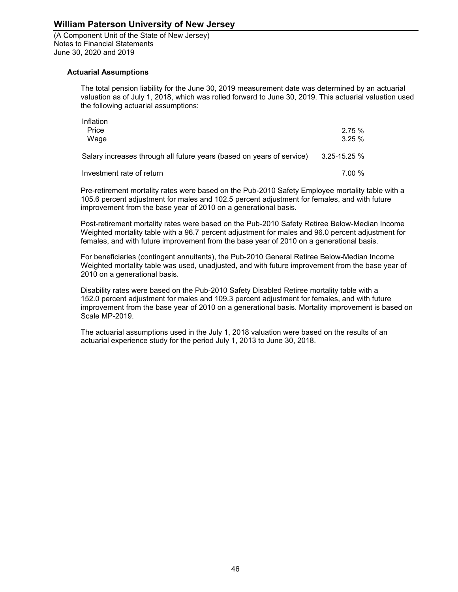(A Component Unit of the State of New Jersey) Notes to Financial Statements June 30, 2020 and 2019

### **Actuarial Assumptions**

The total pension liability for the June 30, 2019 measurement date was determined by an actuarial valuation as of July 1, 2018, which was rolled forward to June 30, 2019. This actuarial valuation used the following actuarial assumptions:

| Inflation                                                             |                   |
|-----------------------------------------------------------------------|-------------------|
| Price                                                                 | 2.75%             |
| Wage                                                                  | $3.25 \%$         |
| Salary increases through all future years (based on years of service) | $3.25 - 15.25 \%$ |
| Investment rate of return                                             | 7.00 %            |

Pre-retirement mortality rates were based on the Pub-2010 Safety Employee mortality table with a 105.6 percent adjustment for males and 102.5 percent adjustment for females, and with future improvement from the base year of 2010 on a generational basis.

Post-retirement mortality rates were based on the Pub-2010 Safety Retiree Below-Median Income Weighted mortality table with a 96.7 percent adjustment for males and 96.0 percent adjustment for females, and with future improvement from the base year of 2010 on a generational basis.

For beneficiaries (contingent annuitants), the Pub-2010 General Retiree Below-Median Income Weighted mortality table was used, unadjusted, and with future improvement from the base year of 2010 on a generational basis.

Disability rates were based on the Pub-2010 Safety Disabled Retiree mortality table with a 152.0 percent adjustment for males and 109.3 percent adjustment for females, and with future improvement from the base year of 2010 on a generational basis. Mortality improvement is based on Scale MP-2019.

The actuarial assumptions used in the July 1, 2018 valuation were based on the results of an actuarial experience study for the period July 1, 2013 to June 30, 2018.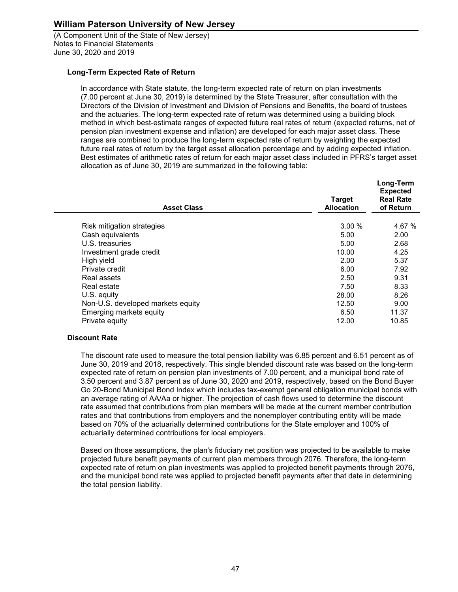(A Component Unit of the State of New Jersey) Notes to Financial Statements June 30, 2020 and 2019

### **Long-Term Expected Rate of Return**

In accordance with State statute, the long-term expected rate of return on plan investments (7.00 percent at June 30, 2019) is determined by the State Treasurer, after consultation with the Directors of the Division of Investment and Division of Pensions and Benefits, the board of trustees and the actuaries. The long-term expected rate of return was determined using a building block method in which best-estimate ranges of expected future real rates of return (expected returns, net of pension plan investment expense and inflation) are developed for each major asset class. These ranges are combined to produce the long-term expected rate of return by weighting the expected future real rates of return by the target asset allocation percentage and by adding expected inflation. Best estimates of arithmetic rates of return for each major asset class included in PFRS's target asset allocation as of June 30, 2019 are summarized in the following table:

| <b>Asset Class</b>                | <b>Target</b><br><b>Allocation</b> | Long-Term<br><b>Expected</b><br><b>Real Rate</b><br>of Return |
|-----------------------------------|------------------------------------|---------------------------------------------------------------|
| Risk mitigation strategies        | 3.00%                              | 4.67 %                                                        |
| Cash equivalents                  | 5.00                               | 2.00                                                          |
| U.S. treasuries                   | 5.00                               | 2.68                                                          |
| Investment grade credit           | 10.00                              | 4.25                                                          |
| High yield                        | 2.00                               | 5.37                                                          |
| Private credit                    | 6.00                               | 7.92                                                          |
| Real assets                       | 2.50                               | 9.31                                                          |
| Real estate                       | 7.50                               | 8.33                                                          |
| U.S. equity                       | 28.00                              | 8.26                                                          |
| Non-U.S. developed markets equity | 12.50                              | 9.00                                                          |
| Emerging markets equity           | 6.50                               | 11.37                                                         |
| Private equity                    | 12.00                              | 10.85                                                         |

#### **Discount Rate**

The discount rate used to measure the total pension liability was 6.85 percent and 6.51 percent as of June 30, 2019 and 2018, respectively. This single blended discount rate was based on the long-term expected rate of return on pension plan investments of 7.00 percent, and a municipal bond rate of 3.50 percent and 3.87 percent as of June 30, 2020 and 2019, respectively, based on the Bond Buyer Go 20-Bond Municipal Bond Index which includes tax-exempt general obligation municipal bonds with an average rating of AA/Aa or higher. The projection of cash flows used to determine the discount rate assumed that contributions from plan members will be made at the current member contribution rates and that contributions from employers and the nonemployer contributing entity will be made based on 70% of the actuarially determined contributions for the State employer and 100% of actuarially determined contributions for local employers.

Based on those assumptions, the plan's fiduciary net position was projected to be available to make projected future benefit payments of current plan members through 2076. Therefore, the long-term expected rate of return on plan investments was applied to projected benefit payments through 2076, and the municipal bond rate was applied to projected benefit payments after that date in determining the total pension liability.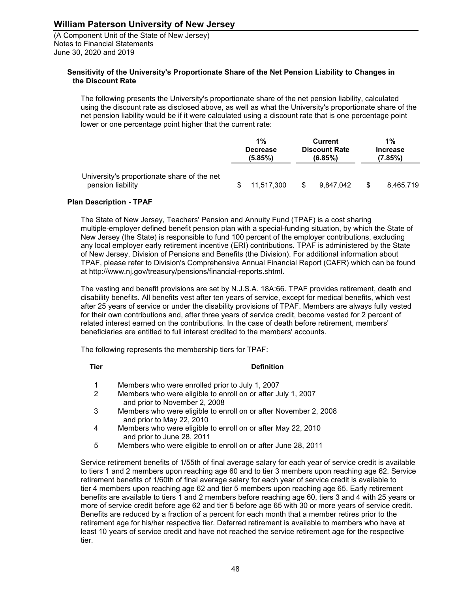(A Component Unit of the State of New Jersey) Notes to Financial Statements June 30, 2020 and 2019

### **Sensitivity of the University's Proportionate Share of the Net Pension Liability to Changes in the Discount Rate**

The following presents the University's proportionate share of the net pension liability, calculated using the discount rate as disclosed above, as well as what the University's proportionate share of the net pension liability would be if it were calculated using a discount rate that is one percentage point lower or one percentage point higher that the current rate:

|                                                                  | 1%<br><b>Decrease</b><br>(5.85%) |     | Current<br><b>Discount Rate</b><br>(6.85%) | 1%<br><b>Increase</b><br>(7.85%) |
|------------------------------------------------------------------|----------------------------------|-----|--------------------------------------------|----------------------------------|
| University's proportionate share of the net<br>pension liability | 11.517.300                       | \$. | 9.847.042                                  | 8.465.719                        |

### **Plan Description - TPAF**

The State of New Jersey, Teachers' Pension and Annuity Fund (TPAF) is a cost sharing multiple-employer defined benefit pension plan with a special-funding situation, by which the State of New Jersey (the State) is responsible to fund 100 percent of the employer contributions, excluding any local employer early retirement incentive (ERI) contributions. TPAF is administered by the State of New Jersey, Division of Pensions and Benefits (the Division). For additional information about TPAF, please refer to Division's Comprehensive Annual Financial Report (CAFR) which can be found at http://www.nj.gov/treasury/pensions/financial-reports.shtml.

The vesting and benefit provisions are set by N.J.S.A. 18A:66. TPAF provides retirement, death and disability benefits. All benefits vest after ten years of service, except for medical benefits, which vest after 25 years of service or under the disability provisions of TPAF. Members are always fully vested for their own contributions and, after three years of service credit, become vested for 2 percent of related interest earned on the contributions. In the case of death before retirement, members' beneficiaries are entitled to full interest credited to the members' accounts.

The following represents the membership tiers for TPAF:

| Tier | <b>Definition</b>                                                                             |
|------|-----------------------------------------------------------------------------------------------|
|      | Members who were enrolled prior to July 1, 2007                                               |
| 2    | Members who were eligible to enroll on or after July 1, 2007<br>and prior to November 2, 2008 |
| 3    | Members who were eligible to enroll on or after November 2, 2008<br>and prior to May 22, 2010 |
| 4    | Members who were eligible to enroll on or after May 22, 2010<br>and prior to June 28, 2011    |
| 5    | Members who were eligible to enroll on or after June 28, 2011                                 |
|      |                                                                                               |

Service retirement benefits of 1/55th of final average salary for each year of service credit is available to tiers 1 and 2 members upon reaching age 60 and to tier 3 members upon reaching age 62. Service retirement benefits of 1/60th of final average salary for each year of service credit is available to tier 4 members upon reaching age 62 and tier 5 members upon reaching age 65. Early retirement benefits are available to tiers 1 and 2 members before reaching age 60, tiers 3 and 4 with 25 years or more of service credit before age 62 and tier 5 before age 65 with 30 or more years of service credit. Benefits are reduced by a fraction of a percent for each month that a member retires prior to the retirement age for his/her respective tier. Deferred retirement is available to members who have at least 10 years of service credit and have not reached the service retirement age for the respective tier.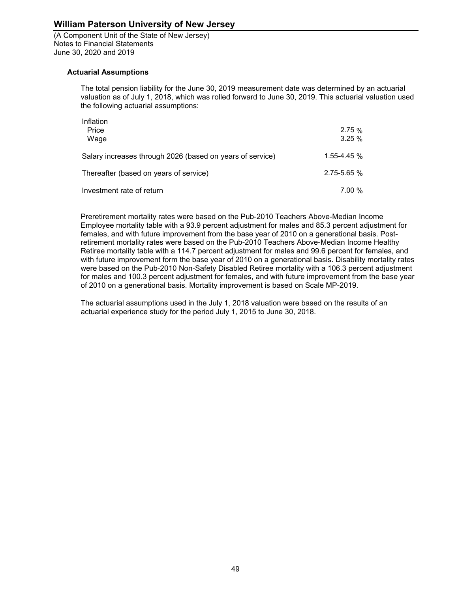(A Component Unit of the State of New Jersey) Notes to Financial Statements June 30, 2020 and 2019

### **Actuarial Assumptions**

The total pension liability for the June 30, 2019 measurement date was determined by an actuarial valuation as of July 1, 2018, which was rolled forward to June 30, 2019. This actuarial valuation used the following actuarial assumptions:

| Inflation<br>Price<br>Wage                                | 2.75%<br>$3.25 \%$ |
|-----------------------------------------------------------|--------------------|
| Salary increases through 2026 (based on years of service) | $1.55 - 4.45$ %    |
| Thereafter (based on years of service)                    | $2.75 - 5.65$ %    |
| Investment rate of return                                 | $7.00 \%$          |

Preretirement mortality rates were based on the Pub-2010 Teachers Above-Median Income Employee mortality table with a 93.9 percent adjustment for males and 85.3 percent adjustment for females, and with future improvement from the base year of 2010 on a generational basis. Postretirement mortality rates were based on the Pub-2010 Teachers Above-Median Income Healthy Retiree mortality table with a 114.7 percent adjustment for males and 99.6 percent for females, and with future improvement form the base year of 2010 on a generational basis. Disability mortality rates were based on the Pub-2010 Non-Safety Disabled Retiree mortality with a 106.3 percent adjustment for males and 100.3 percent adjustment for females, and with future improvement from the base year of 2010 on a generational basis. Mortality improvement is based on Scale MP-2019.

The actuarial assumptions used in the July 1, 2018 valuation were based on the results of an actuarial experience study for the period July 1, 2015 to June 30, 2018.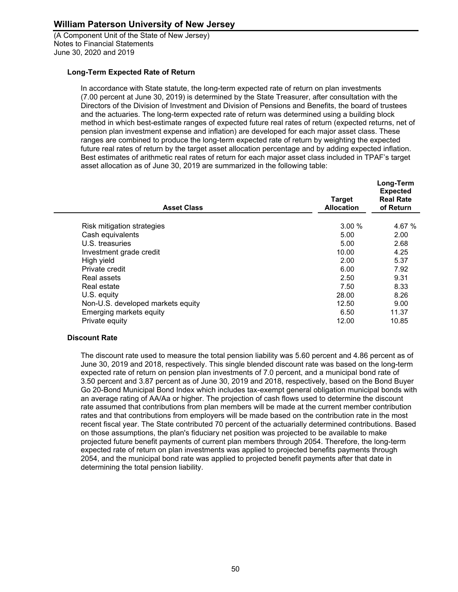(A Component Unit of the State of New Jersey) Notes to Financial Statements June 30, 2020 and 2019

### **Long-Term Expected Rate of Return**

In accordance with State statute, the long-term expected rate of return on plan investments (7.00 percent at June 30, 2019) is determined by the State Treasurer, after consultation with the Directors of the Division of Investment and Division of Pensions and Benefits, the board of trustees and the actuaries. The long-term expected rate of return was determined using a building block method in which best-estimate ranges of expected future real rates of return (expected returns, net of pension plan investment expense and inflation) are developed for each major asset class. These ranges are combined to produce the long-term expected rate of return by weighting the expected future real rates of return by the target asset allocation percentage and by adding expected inflation. Best estimates of arithmetic real rates of return for each major asset class included in TPAF's target asset allocation as of June 30, 2019 are summarized in the following table:

| <b>Asset Class</b>                | <b>Target</b><br><b>Allocation</b> | Long-Term<br><b>Expected</b><br><b>Real Rate</b><br>of Return |
|-----------------------------------|------------------------------------|---------------------------------------------------------------|
| Risk mitigation strategies        | 3.00%                              | 4.67 %                                                        |
| Cash equivalents                  | 5.00                               | 2.00                                                          |
| U.S. treasuries                   | 5.00                               | 2.68                                                          |
| Investment grade credit           | 10.00                              | 4.25                                                          |
| High yield                        | 2.00                               | 5.37                                                          |
| Private credit                    | 6.00                               | 7.92                                                          |
| Real assets                       | 2.50                               | 9.31                                                          |
| Real estate                       | 7.50                               | 8.33                                                          |
| U.S. equity                       | 28.00                              | 8.26                                                          |
| Non-U.S. developed markets equity | 12.50                              | 9.00                                                          |
| Emerging markets equity           | 6.50                               | 11.37                                                         |
| Private equity                    | 12.00                              | 10.85                                                         |

#### **Discount Rate**

The discount rate used to measure the total pension liability was 5.60 percent and 4.86 percent as of June 30, 2019 and 2018, respectively. This single blended discount rate was based on the long-term expected rate of return on pension plan investments of 7.0 percent, and a municipal bond rate of 3.50 percent and 3.87 percent as of June 30, 2019 and 2018, respectively, based on the Bond Buyer Go 20-Bond Municipal Bond Index which includes tax-exempt general obligation municipal bonds with an average rating of AA/Aa or higher. The projection of cash flows used to determine the discount rate assumed that contributions from plan members will be made at the current member contribution rates and that contributions from employers will be made based on the contribution rate in the most recent fiscal year. The State contributed 70 percent of the actuarially determined contributions. Based on those assumptions, the plan's fiduciary net position was projected to be available to make projected future benefit payments of current plan members through 2054. Therefore, the long-term expected rate of return on plan investments was applied to projected benefits payments through 2054, and the municipal bond rate was applied to projected benefit payments after that date in determining the total pension liability.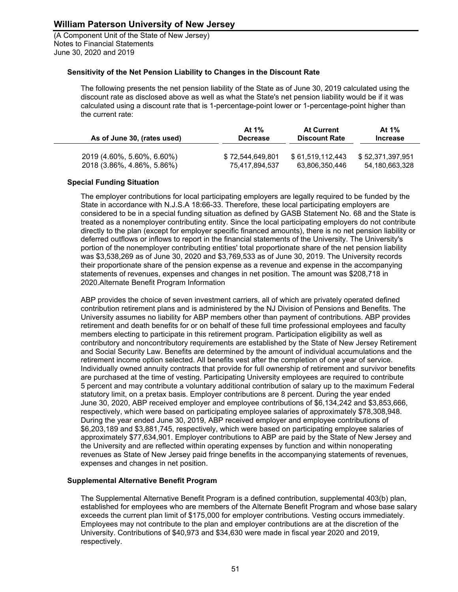(A Component Unit of the State of New Jersey) Notes to Financial Statements June 30, 2020 and 2019

### **Sensitivity of the Net Pension Liability to Changes in the Discount Rate**

The following presents the net pension liability of the State as of June 30, 2019 calculated using the discount rate as disclosed above as well as what the State's net pension liability would be if it was calculated using a discount rate that is 1-percentage-point lower or 1-percentage-point higher than the current rate:

| As of June 30, (rates used) | At $1\%$<br><b>Decrease</b> | <b>At Current</b><br><b>Discount Rate</b> | At 1%<br><b>Increase</b> |  |
|-----------------------------|-----------------------------|-------------------------------------------|--------------------------|--|
| 2019 (4.60%, 5.60%, 6.60%)  | \$72,544,649,801            | \$61.519.112.443                          | \$52,371,397,951         |  |
| 2018 (3.86%, 4.86%, 5.86%)  | 75,417,894,537              | 63,806,350,446                            | 54,180,663,328           |  |

### **Special Funding Situation**

The employer contributions for local participating employers are legally required to be funded by the State in accordance with N.J.S.A 18:66-33. Therefore, these local participating employers are considered to be in a special funding situation as defined by GASB Statement No. 68 and the State is treated as a nonemployer contributing entity. Since the local participating employers do not contribute directly to the plan (except for employer specific financed amounts), there is no net pension liability or deferred outflows or inflows to report in the financial statements of the University. The University's portion of the nonemployer contributing entities' total proportionate share of the net pension liability was \$3,538,269 as of June 30, 2020 and \$3,769,533 as of June 30, 2019. The University records their proportionate share of the pension expense as a revenue and expense in the accompanying statements of revenues, expenses and changes in net position. The amount was \$208,718 in 2020.Alternate Benefit Program Information

ABP provides the choice of seven investment carriers, all of which are privately operated defined contribution retirement plans and is administered by the NJ Division of Pensions and Benefits. The University assumes no liability for ABP members other than payment of contributions. ABP provides retirement and death benefits for or on behalf of these full time professional employees and faculty members electing to participate in this retirement program. Participation eligibility as well as contributory and noncontributory requirements are established by the State of New Jersey Retirement and Social Security Law. Benefits are determined by the amount of individual accumulations and the retirement income option selected. All benefits vest after the completion of one year of service. Individually owned annuity contracts that provide for full ownership of retirement and survivor benefits are purchased at the time of vesting. Participating University employees are required to contribute 5 percent and may contribute a voluntary additional contribution of salary up to the maximum Federal statutory limit, on a pretax basis. Employer contributions are 8 percent. During the year ended June 30, 2020, ABP received employer and employee contributions of \$6,134,242 and \$3,853,666, respectively, which were based on participating employee salaries of approximately \$78,308,948. During the year ended June 30, 2019, ABP received employer and employee contributions of \$6,203,189 and \$3,881,745, respectively, which were based on participating employee salaries of approximately \$77,634,901. Employer contributions to ABP are paid by the State of New Jersey and the University and are reflected within operating expenses by function and within nonoperating revenues as State of New Jersey paid fringe benefits in the accompanying statements of revenues, expenses and changes in net position.

### **Supplemental Alternative Benefit Program**

The Supplemental Alternative Benefit Program is a defined contribution, supplemental 403(b) plan, established for employees who are members of the Alternate Benefit Program and whose base salary exceeds the current plan limit of \$175,000 for employer contributions. Vesting occurs immediately. Employees may not contribute to the plan and employer contributions are at the discretion of the University. Contributions of \$40,973 and \$34,630 were made in fiscal year 2020 and 2019, respectively.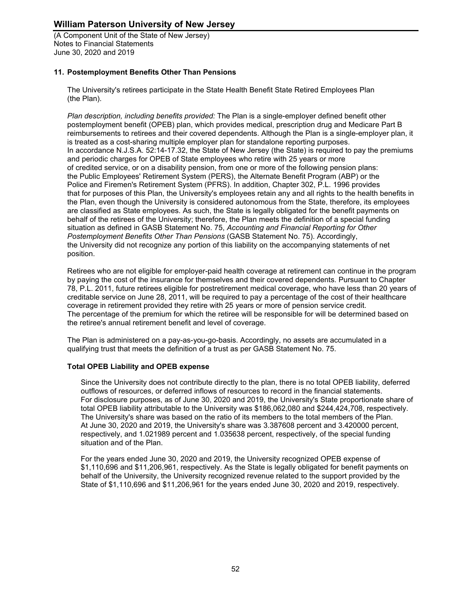(A Component Unit of the State of New Jersey) Notes to Financial Statements June 30, 2020 and 2019

### **11. Postemployment Benefits Other Than Pensions**

The University's retirees participate in the State Health Benefit State Retired Employees Plan (the Plan).

*Plan description, including benefits provided:* The Plan is a single-employer defined benefit other postemployment benefit (OPEB) plan, which provides medical, prescription drug and Medicare Part B reimbursements to retirees and their covered dependents. Although the Plan is a single-employer plan, it is treated as a cost-sharing multiple employer plan for standalone reporting purposes. In accordance N.J.S.A. 52:14-17.32, the State of New Jersey (the State) is required to pay the premiums and periodic charges for OPEB of State employees who retire with 25 years or more of credited service, or on a disability pension, from one or more of the following pension plans: the Public Employees' Retirement System (PERS), the Alternate Benefit Program (ABP) or the Police and Firemen's Retirement System (PFRS). In addition, Chapter 302, P.L. 1996 provides that for purposes of this Plan, the University's employees retain any and all rights to the health benefits in the Plan, even though the University is considered autonomous from the State, therefore, its employees are classified as State employees. As such, the State is legally obligated for the benefit payments on behalf of the retirees of the University; therefore, the Plan meets the definition of a special funding situation as defined in GASB Statement No. 75, *Accounting and Financial Reporting for Other Postemployment Benefits Other Than Pensions* (GASB Statement No. 75). Accordingly, the University did not recognize any portion of this liability on the accompanying statements of net position.

Retirees who are not eligible for employer-paid health coverage at retirement can continue in the program by paying the cost of the insurance for themselves and their covered dependents. Pursuant to Chapter 78, P.L. 2011, future retirees eligible for postretirement medical coverage, who have less than 20 years of creditable service on June 28, 2011, will be required to pay a percentage of the cost of their healthcare coverage in retirement provided they retire with 25 years or more of pension service credit. The percentage of the premium for which the retiree will be responsible for will be determined based on the retiree's annual retirement benefit and level of coverage.

The Plan is administered on a pay-as-you-go-basis. Accordingly, no assets are accumulated in a qualifying trust that meets the definition of a trust as per GASB Statement No. 75.

### **Total OPEB Liability and OPEB expense**

Since the University does not contribute directly to the plan, there is no total OPEB liability, deferred outflows of resources, or deferred inflows of resources to record in the financial statements. For disclosure purposes, as of June 30, 2020 and 2019, the University's State proportionate share of total OPEB liability attributable to the University was \$186,062,080 and \$244,424,708, respectively. The University's share was based on the ratio of its members to the total members of the Plan. At June 30, 2020 and 2019, the University's share was 3.387608 percent and 3.420000 percent, respectively, and 1.021989 percent and 1.035638 percent, respectively, of the special funding situation and of the Plan.

For the years ended June 30, 2020 and 2019, the University recognized OPEB expense of \$1,110,696 and \$11,206,961, respectively. As the State is legally obligated for benefit payments on behalf of the University, the University recognized revenue related to the support provided by the State of \$1,110,696 and \$11,206,961 for the years ended June 30, 2020 and 2019, respectively.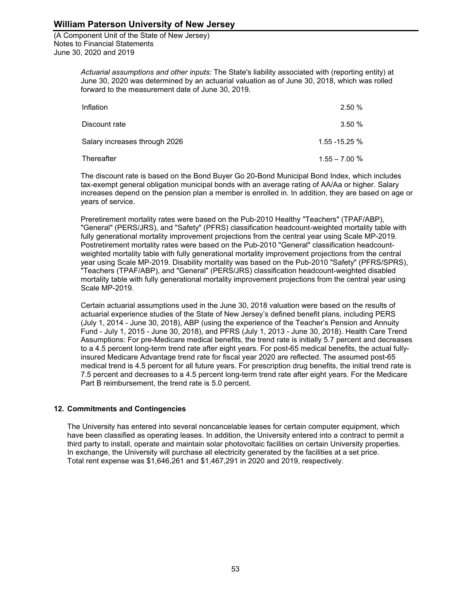(A Component Unit of the State of New Jersey) Notes to Financial Statements June 30, 2020 and 2019

> *Actuarial assumptions and other inputs:* The State's liability associated with (reporting entity) at June 30, 2020 was determined by an actuarial valuation as of June 30, 2018, which was rolled forward to the measurement date of June 30, 2019.

| Inflation                     | 2.50%            |
|-------------------------------|------------------|
| Discount rate                 | 3.50%            |
| Salary increases through 2026 | $1.55 - 15.25$ % |
| Thereafter                    | $1.55 - 7.00 %$  |

The discount rate is based on the Bond Buyer Go 20-Bond Municipal Bond Index, which includes tax-exempt general obligation municipal bonds with an average rating of AA/Aa or higher. Salary increases depend on the pension plan a member is enrolled in. In addition, they are based on age or years of service.

Preretirement mortality rates were based on the Pub-2010 Healthy "Teachers" (TPAF/ABP), "General" (PERS/JRS), and "Safety" (PFRS) classification headcount-weighted mortality table with fully generational mortality improvement projections from the central year using Scale MP-2019. Postretirement mortality rates were based on the Pub-2010 "General" classification headcountweighted mortality table with fully generational mortality improvement projections from the central year using Scale MP-2019. Disability mortality was based on the Pub-2010 "Safety" (PFRS/SPRS), "Teachers (TPAF/ABP), and "General" (PERS/JRS) classification headcount-weighted disabled mortality table with fully generational mortality improvement projections from the central year using Scale MP-2019.

Certain actuarial assumptions used in the June 30, 2018 valuation were based on the results of actuarial experience studies of the State of New Jersey's defined benefit plans, including PERS (July 1, 2014 - June 30, 2018), ABP (using the experience of the Teacher's Pension and Annuity Fund - July 1, 2015 - June 30, 2018), and PFRS (July 1, 2013 - June 30, 2018). Health Care Trend Assumptions: For pre-Medicare medical benefits, the trend rate is initially 5.7 percent and decreases to a 4.5 percent long-term trend rate after eight years. For post-65 medical benefits, the actual fullyinsured Medicare Advantage trend rate for fiscal year 2020 are reflected. The assumed post-65 medical trend is 4.5 percent for all future years. For prescription drug benefits, the initial trend rate is 7.5 percent and decreases to a 4.5 percent long-term trend rate after eight years. For the Medicare Part B reimbursement, the trend rate is 5.0 percent.

### **12. Commitments and Contingencies**

The University has entered into several noncancelable leases for certain computer equipment, which have been classified as operating leases. In addition, the University entered into a contract to permit a third party to install, operate and maintain solar photovoltaic facilities on certain University properties. In exchange, the University will purchase all electricity generated by the facilities at a set price. Total rent expense was \$1,646,261 and \$1,467,291 in 2020 and 2019, respectively.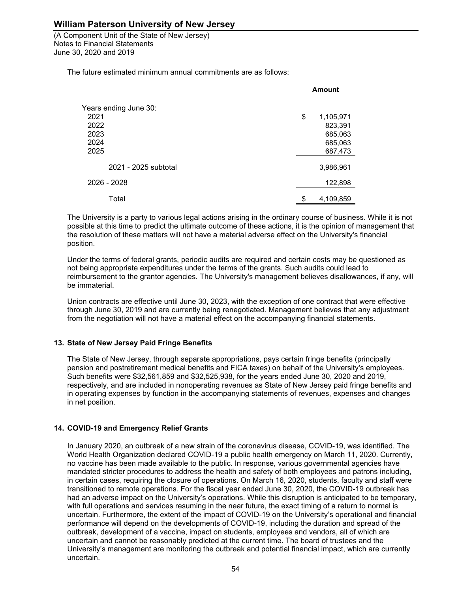(A Component Unit of the State of New Jersey) Notes to Financial Statements June 30, 2020 and 2019

The future estimated minimum annual commitments are as follows:

|                       | <b>Amount</b>   |  |
|-----------------------|-----------------|--|
| Years ending June 30: |                 |  |
| 2021                  | \$<br>1,105,971 |  |
| 2022                  | 823,391         |  |
| 2023                  | 685,063         |  |
| 2024                  | 685,063         |  |
| 2025                  | 687,473         |  |
| 2021 - 2025 subtotal  | 3,986,961       |  |
| 2026 - 2028           | 122,898         |  |
| Total                 | \$<br>4,109,859 |  |

The University is a party to various legal actions arising in the ordinary course of business. While it is not possible at this time to predict the ultimate outcome of these actions, it is the opinion of management that the resolution of these matters will not have a material adverse effect on the University's financial position.

Under the terms of federal grants, periodic audits are required and certain costs may be questioned as not being appropriate expenditures under the terms of the grants. Such audits could lead to reimbursement to the grantor agencies. The University's management believes disallowances, if any, will be immaterial.

Union contracts are effective until June 30, 2023, with the exception of one contract that were effective through June 30, 2019 and are currently being renegotiated. Management believes that any adjustment from the negotiation will not have a material effect on the accompanying financial statements.

### **13. State of New Jersey Paid Fringe Benefits**

The State of New Jersey, through separate appropriations, pays certain fringe benefits (principally pension and postretirement medical benefits and FICA taxes) on behalf of the University's employees. Such benefits were \$32,561,859 and \$32,525,938, for the years ended June 30, 2020 and 2019, respectively, and are included in nonoperating revenues as State of New Jersey paid fringe benefits and in operating expenses by function in the accompanying statements of revenues, expenses and changes in net position.

### **14. COVID-19 and Emergency Relief Grants**

In January 2020, an outbreak of a new strain of the coronavirus disease, COVID-19, was identified. The World Health Organization declared COVID-19 a public health emergency on March 11, 2020. Currently, no vaccine has been made available to the public. In response, various governmental agencies have mandated stricter procedures to address the health and safety of both employees and patrons including, in certain cases, requiring the closure of operations. On March 16, 2020, students, faculty and staff were transitioned to remote operations. For the fiscal year ended June 30, 2020, the COVID-19 outbreak has had an adverse impact on the University's operations. While this disruption is anticipated to be temporary, with full operations and services resuming in the near future, the exact timing of a return to normal is uncertain. Furthermore, the extent of the impact of COVID-19 on the University's operational and financial performance will depend on the developments of COVID-19, including the duration and spread of the outbreak, development of a vaccine, impact on students, employees and vendors, all of which are uncertain and cannot be reasonably predicted at the current time. The board of trustees and the University's management are monitoring the outbreak and potential financial impact, which are currently uncertain.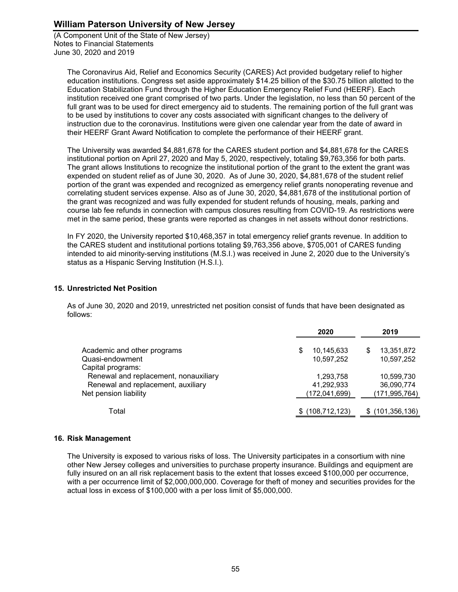(A Component Unit of the State of New Jersey) Notes to Financial Statements June 30, 2020 and 2019

The Coronavirus Aid, Relief and Economics Security (CARES) Act provided budgetary relief to higher education institutions. Congress set aside approximately \$14.25 billion of the \$30.75 billion allotted to the Education Stabilization Fund through the Higher Education Emergency Relief Fund (HEERF). Each institution received one grant comprised of two parts. Under the legislation, no less than 50 percent of the full grant was to be used for direct emergency aid to students. The remaining portion of the full grant was to be used by institutions to cover any costs associated with significant changes to the delivery of instruction due to the coronavirus. Institutions were given one calendar year from the date of award in their HEERF Grant Award Notification to complete the performance of their HEERF grant.

The University was awarded \$4,881,678 for the CARES student portion and \$4,881,678 for the CARES institutional portion on April 27, 2020 and May 5, 2020, respectively, totaling \$9,763,356 for both parts. The grant allows Institutions to recognize the institutional portion of the grant to the extent the grant was expended on student relief as of June 30, 2020. As of June 30, 2020, \$4,881,678 of the student relief portion of the grant was expended and recognized as emergency relief grants nonoperating revenue and correlating student services expense. Also as of June 30, 2020, \$4,881,678 of the institutional portion of the grant was recognized and was fully expended for student refunds of housing, meals, parking and course lab fee refunds in connection with campus closures resulting from COVID-19. As restrictions were met in the same period, these grants were reported as changes in net assets without donor restrictions.

In FY 2020, the University reported \$10,468,357 in total emergency relief grants revenue. In addition to the CARES student and institutional portions totaling \$9,763,356 above, \$705,001 of CARES funding intended to aid minority-serving institutions (M.S.I.) was received in June 2, 2020 due to the University's status as a Hispanic Serving Institution (H.S.I.).

### **15. Unrestricted Net Position**

As of June 30, 2020 and 2019, unrestricted net position consist of funds that have been designated as follows:

|                                       | 2020             | 2019            |
|---------------------------------------|------------------|-----------------|
| Academic and other programs           | 10,145,633<br>\$ | 13,351,872<br>S |
| Quasi-endowment                       | 10,597,252       | 10,597,252      |
| Capital programs:                     |                  |                 |
| Renewal and replacement, nonauxiliary | 1,293,758        | 10,599,730      |
| Renewal and replacement, auxiliary    | 41,292,933       | 36,090,774      |
| Net pension liability                 | (172,041,699)    | (171, 995, 764) |
|                                       |                  |                 |
| Total                                 | (108, 712, 123)  | (101, 356, 136) |

#### **16. Risk Management**

The University is exposed to various risks of loss. The University participates in a consortium with nine other New Jersey colleges and universities to purchase property insurance. Buildings and equipment are fully insured on an all risk replacement basis to the extent that losses exceed \$100,000 per occurrence, with a per occurrence limit of \$2,000,000,000. Coverage for theft of money and securities provides for the actual loss in excess of \$100,000 with a per loss limit of \$5,000,000.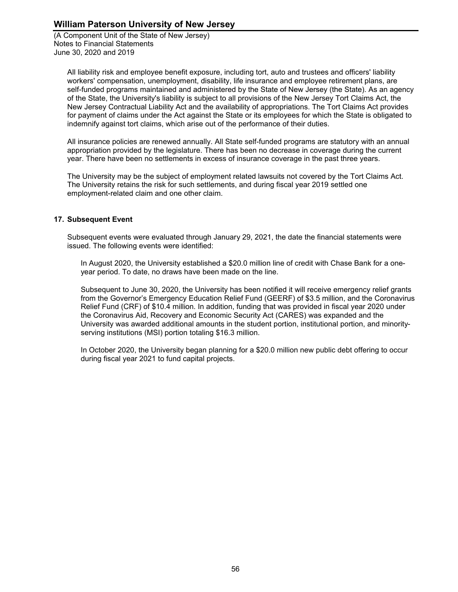(A Component Unit of the State of New Jersey) Notes to Financial Statements June 30, 2020 and 2019

All liability risk and employee benefit exposure, including tort, auto and trustees and officers' liability workers' compensation, unemployment, disability, life insurance and employee retirement plans, are self-funded programs maintained and administered by the State of New Jersey (the State). As an agency of the State, the University's liability is subject to all provisions of the New Jersey Tort Claims Act, the New Jersey Contractual Liability Act and the availability of appropriations. The Tort Claims Act provides for payment of claims under the Act against the State or its employees for which the State is obligated to indemnify against tort claims, which arise out of the performance of their duties.

All insurance policies are renewed annually. All State self-funded programs are statutory with an annual appropriation provided by the legislature. There has been no decrease in coverage during the current year. There have been no settlements in excess of insurance coverage in the past three years.

The University may be the subject of employment related lawsuits not covered by the Tort Claims Act. The University retains the risk for such settlements, and during fiscal year 2019 settled one employment-related claim and one other claim.

### **17. Subsequent Event**

Subsequent events were evaluated through January 29, 2021, the date the financial statements were issued. The following events were identified:

In August 2020, the University established a \$20.0 million line of credit with Chase Bank for a oneyear period. To date, no draws have been made on the line.

Subsequent to June 30, 2020, the University has been notified it will receive emergency relief grants from the Governor's Emergency Education Relief Fund (GEERF) of \$3.5 million, and the Coronavirus Relief Fund (CRF) of \$10.4 million. In addition, funding that was provided in fiscal year 2020 under the Coronavirus Aid, Recovery and Economic Security Act (CARES) was expanded and the University was awarded additional amounts in the student portion, institutional portion, and minorityserving institutions (MSI) portion totaling \$16.3 million.

In October 2020, the University began planning for a \$20.0 million new public debt offering to occur during fiscal year 2021 to fund capital projects.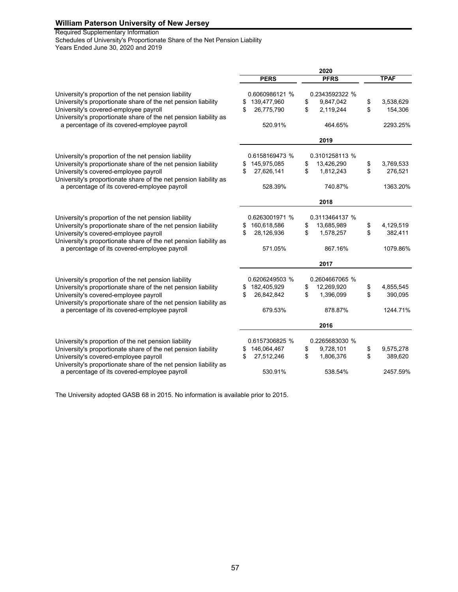#### Required Supplementary Information

Years Ended June 30, 2020 and 2019 Schedules of University's Proportionate Share of the Net Pension Liability

|                                                                                                                  |                   | 2020             |                 |
|------------------------------------------------------------------------------------------------------------------|-------------------|------------------|-----------------|
|                                                                                                                  | <b>PERS</b>       | <b>PFRS</b>      | <b>TPAF</b>     |
| University's proportion of the net pension liability                                                             | 0.6060986121 %    | 0.2343592322 %   |                 |
| University's proportionate share of the net pension liability                                                    | \$<br>139,477,960 | \$<br>9,847,042  | \$<br>3,538,629 |
| University's covered-employee payroll                                                                            | \$<br>26,775,790  | \$<br>2,119,244  | \$<br>154,306   |
| University's proportionate share of the net pension liability as<br>a percentage of its covered-employee payroll | 520.91%           | 464.65%          | 2293.25%        |
|                                                                                                                  |                   | 2019             |                 |
| University's proportion of the net pension liability                                                             | 0.6158169473 %    | 0.3101258113 %   |                 |
| University's proportionate share of the net pension liability                                                    | 145,975,085<br>\$ | 13,426,290<br>\$ | \$<br>3,769,533 |
| University's covered-employee payroll                                                                            | 27,626,141<br>\$  | \$<br>1,812,243  | \$<br>276,521   |
| University's proportionate share of the net pension liability as<br>a percentage of its covered-employee payroll | 528.39%           | 740.87%          | 1363.20%        |
|                                                                                                                  |                   | 2018             |                 |
| University's proportion of the net pension liability                                                             | 0.6263001971 %    | 0.3113464137 %   |                 |
| University's proportionate share of the net pension liability                                                    | 160,618,586<br>\$ | 13,685,989<br>\$ | \$<br>4,129,519 |
| University's covered-employee payroll                                                                            | 28,126,936<br>\$  | \$<br>1,578,257  | \$<br>382,411   |
| University's proportionate share of the net pension liability as<br>a percentage of its covered-employee payroll | 571.05%           | 867.16%          | 1079.86%        |
|                                                                                                                  |                   | 2017             |                 |
| University's proportion of the net pension liability                                                             | 0.6206249503 %    | 0.2604667065 %   |                 |
| University's proportionate share of the net pension liability                                                    | 182,405,929<br>\$ | \$<br>12,269,920 | \$<br>4,855,545 |
| University's covered-employee payroll                                                                            | 26,842,842<br>\$. | \$<br>1,396,099  | \$<br>390,095   |
| University's proportionate share of the net pension liability as<br>a percentage of its covered-employee payroll | 679.53%           | 878.87%          | 1244.71%        |
|                                                                                                                  |                   | 2016             |                 |
| University's proportion of the net pension liability                                                             | 0.6157306825 %    | 0.2265683030 %   |                 |
| University's proportionate share of the net pension liability                                                    | 146,064,467<br>\$ | 9,728,101<br>\$  | \$<br>9,575,278 |
| University's covered-employee payroll                                                                            | \$<br>27,512,246  | \$<br>1,806,376  | \$<br>389,620   |
| University's proportionate share of the net pension liability as<br>a percentage of its covered-employee payroll | 530.91%           | 538.54%          | 2457.59%        |

The University adopted GASB 68 in 2015. No information is available prior to 2015.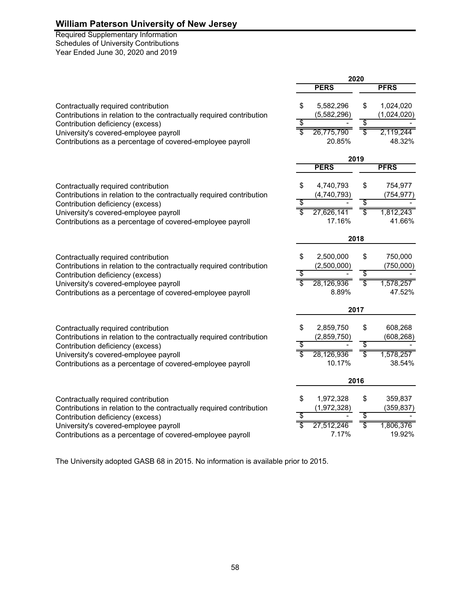Required Supplementary Information Year Ended June 30, 2020 and 2019 Schedules of University Contributions

|                                                                                                             | 2020                                   |                                |  |
|-------------------------------------------------------------------------------------------------------------|----------------------------------------|--------------------------------|--|
|                                                                                                             | <b>PERS</b>                            | <b>PFRS</b>                    |  |
| Contractually required contribution<br>Contributions in relation to the contractually required contribution | \$<br>5,582,296<br>(5,582,296)         | \$<br>1,024,020<br>(1,024,020) |  |
| Contribution deficiency (excess)                                                                            | \$                                     | \$                             |  |
| University's covered-employee payroll                                                                       | 26,775,790                             | $\overline{\$}$<br>2,119,244   |  |
| Contributions as a percentage of covered-employee payroll                                                   | 20.85%                                 | 48.32%                         |  |
|                                                                                                             | 2019                                   |                                |  |
|                                                                                                             | <b>PERS</b>                            | <b>PFRS</b>                    |  |
| Contractually required contribution                                                                         | \$<br>4,740,793                        | \$<br>754,977                  |  |
| Contributions in relation to the contractually required contribution                                        | (4,740,793)                            | (754, 977)                     |  |
| Contribution deficiency (excess)                                                                            | \$                                     | \$                             |  |
| University's covered-employee payroll                                                                       | \$<br>27,626,141                       | \$<br>1,812,243                |  |
| Contributions as a percentage of covered-employee payroll                                                   | 17.16%                                 | 41.66%                         |  |
|                                                                                                             | 2018                                   |                                |  |
| Contractually required contribution                                                                         | \$<br>2,500,000                        | \$<br>750,000                  |  |
| Contributions in relation to the contractually required contribution                                        | (2,500,000)                            | (750,000)                      |  |
| Contribution deficiency (excess)                                                                            | \$                                     | \$                             |  |
| University's covered-employee payroll                                                                       | $\overline{s}$<br>28,126,936           | Ŝ<br>1,578,257                 |  |
| Contributions as a percentage of covered-employee payroll                                                   | 8.89%                                  | 47.52%                         |  |
|                                                                                                             | 2017                                   |                                |  |
| Contractually required contribution                                                                         | \$<br>2,859,750                        | 608,268<br>\$                  |  |
| Contributions in relation to the contractually required contribution                                        | (2,859,750)                            | (608, 268)                     |  |
| Contribution deficiency (excess)                                                                            | $\overline{\boldsymbol{\mathfrak{s}}}$ | \$                             |  |
| University's covered-employee payroll                                                                       | $\overline{\mathbf{s}}$<br>28,126,936  | Ŝ<br>1,578,257                 |  |
| Contributions as a percentage of covered-employee payroll                                                   | 10.17%                                 | 38.54%                         |  |
|                                                                                                             | 2016                                   |                                |  |
| Contractually required contribution                                                                         | \$<br>1,972,328                        | \$<br>359,837                  |  |
| Contributions in relation to the contractually required contribution                                        | (1,972,328)                            | (359, 837)                     |  |
| Contribution deficiency (excess)                                                                            | \$                                     | \$                             |  |
| University's covered-employee payroll                                                                       | 27,512,246                             | \$<br>1,806,376                |  |
| Contributions as a percentage of covered-employee payroll                                                   | 7.17%                                  | 19.92%                         |  |

The University adopted GASB 68 in 2015. No information is available prior to 2015.